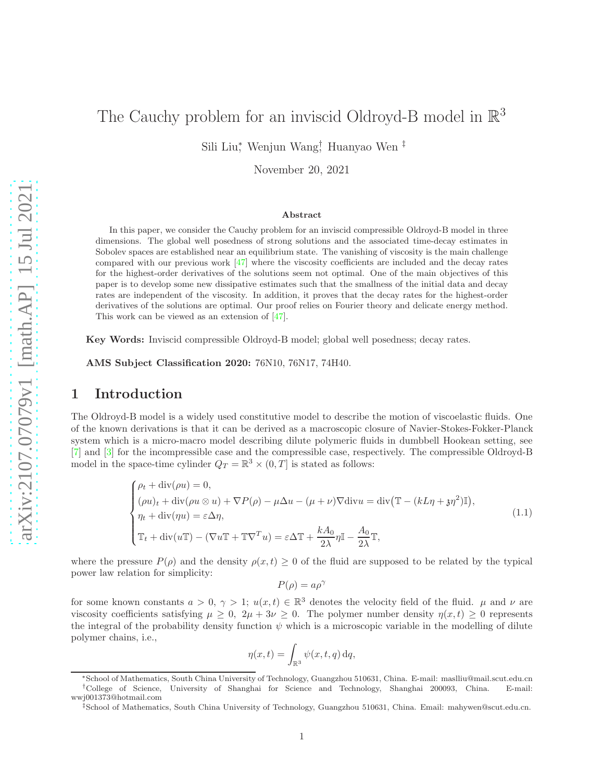# The Cauchy problem for an inviscid Oldroyd-B model in  $\mathbb{R}^3$

Sili Liu<sup>∗</sup> , Wenjun Wang† , Huanyao Wen ‡

November 20, 2021

#### Abstract

In this paper, we consider the Cauchy problem for an inviscid compressible Oldroyd-B model in three dimensions. The global well posedness of strong solutions and the associated time-decay estimates in Sobolev spaces are established near an equilibrium state. The vanishing of viscosity is the main challenge compared with our previous work [\[47\]](#page-36-0) where the viscosity coefficients are included and the decay rates for the highest-order derivatives of the solutions seem not optimal. One of the main objectives of this paper is to develop some new dissipative estimates such that the smallness of the initial data and decay rates are independent of the viscosity. In addition, it proves that the decay rates for the highest-order derivatives of the solutions are optimal. Our proof relies on Fourier theory and delicate energy method. This work can be viewed as an extension of [\[47\]](#page-36-0).

Key Words: Inviscid compressible Oldroyd-B model; global well posedness; decay rates.

AMS Subject Classification 2020: 76N10, 76N17, 74H40.

# 1 Introduction

The Oldroyd-B model is a widely used constitutive model to describe the motion of viscoelastic fluids. One of the known derivations is that it can be derived as a macroscopic closure of Navier-Stokes-Fokker-Planck system which is a micro-macro model describing dilute polymeric fluids in dumbbell Hookean setting, see [\[7\]](#page-34-0) and [\[3\]](#page-34-1) for the incompressible case and the compressible case, respectively. The compressible Oldroyd-B model in the space-time cylinder  $Q_T = \mathbb{R}^3 \times (0,T]$  is stated as follows:

<span id="page-0-0"></span>
$$
\begin{cases}\n\rho_t + \operatorname{div}(\rho u) = 0, \\
(\rho u)_t + \operatorname{div}(\rho u \otimes u) + \nabla P(\rho) - \mu \Delta u - (\mu + \nu) \nabla \operatorname{div} u = \operatorname{div} (\mathbb{T} - (kL\eta + \mathfrak{z}\eta^2) \mathbb{I}), \\
\eta_t + \operatorname{div}(\eta u) = \varepsilon \Delta \eta, \\
\mathbb{T}_t + \operatorname{div}(u \mathbb{T}) - (\nabla u \mathbb{T} + \mathbb{T} \nabla^T u) = \varepsilon \Delta \mathbb{T} + \frac{kA_0}{2\lambda} \eta \mathbb{I} - \frac{A_0}{2\lambda} \mathbb{T},\n\end{cases} (1.1)
$$

where the pressure  $P(\rho)$  and the density  $\rho(x, t) \geq 0$  of the fluid are supposed to be related by the typical power law relation for simplicity:

$$
P(\rho) = a\rho^{\gamma}
$$

for some known constants  $a > 0, \gamma > 1$ ;  $u(x,t) \in \mathbb{R}^3$  denotes the velocity field of the fluid.  $\mu$  and  $\nu$  are viscosity coefficients satisfying  $\mu \geq 0$ ,  $2\mu + 3\nu \geq 0$ . The polymer number density  $\eta(x, t) \geq 0$  represents the integral of the probability density function  $\psi$  which is a microscopic variable in the modelling of dilute polymer chains, i.e.,

$$
\eta(x,t)=\int_{\mathbb{R}^3}\psi(x,t,q)\,\text{d} q,
$$

<sup>∗</sup>School of Mathematics, South China University of Technology, Guangzhou 510631, China. E-mail: maslliu@mail.scut.edu.cn †College of Science, University of Shanghai for Science and Technology, Shanghai 200093, China. E-mail: wwj001373@hotmail.com

<sup>‡</sup>School of Mathematics, South China University of Technology, Guangzhou 510631, China. Email: mahywen@scut.edu.cn.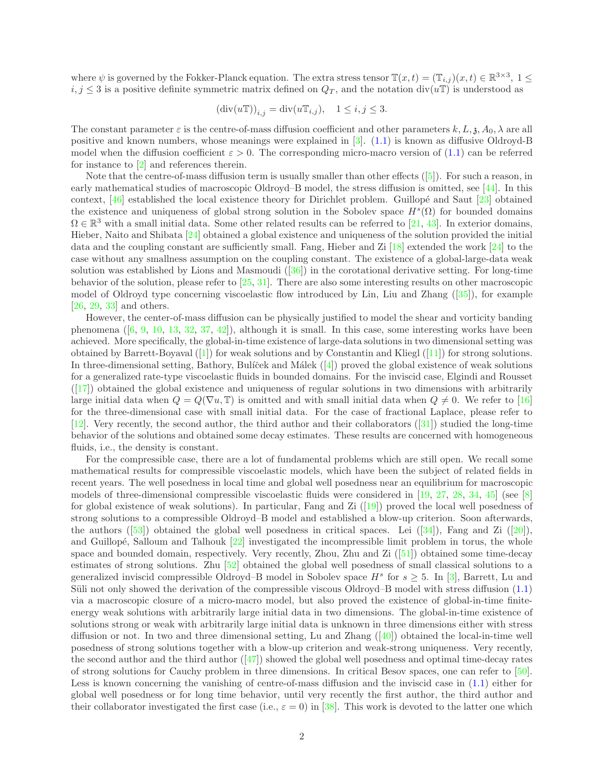where  $\psi$  is governed by the Fokker-Planck equation. The extra stress tensor  $\mathbb{T}(x,t) = (\mathbb{T}_{i,j})(x,t) \in \mathbb{R}^{3 \times 3}$ ,  $1 \leq$  $i, j \leq 3$  is a positive definite symmetric matrix defined on  $Q_T$ , and the notation div(uT) is understood as

$$
(\operatorname{div}(u\mathbb{T}))_{i,j} = \operatorname{div}(u\mathbb{T}_{i,j}), \quad 1 \le i, j \le 3.
$$

The constant parameter  $\varepsilon$  is the centre-of-mass diffusion coefficient and other parameters  $k, L, \lambda, A_0, \lambda$  are all positive and known numbers, whose meanings were explained in [\[3\]](#page-34-1). [\(1.1\)](#page-0-0) is known as diffusive Oldroyd-B model when the diffusion coefficient  $\varepsilon > 0$ . The corresponding micro-macro version of [\(1.1\)](#page-0-0) can be referred for instance to [\[2\]](#page-34-2) and references therein.

Note that the centre-of-mass diffusion term is usually smaller than other effects ([\[5\]](#page-34-3)). For such a reason, in early mathematical studies of macroscopic Oldroyd–B model, the stress diffusion is omitted, see [\[44\]](#page-36-1). In this context,  $[46]$  established the local existence theory for Dirichlet problem. Guillopé and Saut  $[23]$  obtained the existence and uniqueness of global strong solution in the Sobolev space  $H<sup>s</sup>(\Omega)$  for bounded domains  $\Omega \in \mathbb{R}^3$  with a small initial data. Some other related results can be referred to [\[21,](#page-35-1) [43\]](#page-36-3). In exterior domains, Hieber, Naito and Shibata [\[24\]](#page-35-2) obtained a global existence and uniqueness of the solution provided the initial data and the coupling constant are sufficiently small. Fang, Hieber and Zi [\[18\]](#page-34-4) extended the work [\[24\]](#page-35-2) to the case without any smallness assumption on the coupling constant. The existence of a global-large-data weak solution was established by Lions and Masmoudi  $(36)$  in the corotational derivative setting. For long-time behavior of the solution, please refer to [\[25,](#page-35-4) [31\]](#page-35-5). There are also some interesting results on other macroscopic model of Oldroyd type concerning viscoelastic flow introduced by Lin, Liu and Zhang ([\[35\]](#page-35-6)), for example [\[26,](#page-35-7) [29,](#page-35-8) [33\]](#page-35-9) and others.

However, the center-of-mass diffusion can be physically justified to model the shear and vorticity banding phenomena  $([6, 9, 10, 13, 32, 37, 42])$  $([6, 9, 10, 13, 32, 37, 42])$  $([6, 9, 10, 13, 32, 37, 42])$  $([6, 9, 10, 13, 32, 37, 42])$  $([6, 9, 10, 13, 32, 37, 42])$  $([6, 9, 10, 13, 32, 37, 42])$  $([6, 9, 10, 13, 32, 37, 42])$  $([6, 9, 10, 13, 32, 37, 42])$  $([6, 9, 10, 13, 32, 37, 42])$  $([6, 9, 10, 13, 32, 37, 42])$  $([6, 9, 10, 13, 32, 37, 42])$  $([6, 9, 10, 13, 32, 37, 42])$  $([6, 9, 10, 13, 32, 37, 42])$  $([6, 9, 10, 13, 32, 37, 42])$  $([6, 9, 10, 13, 32, 37, 42])$ , although it is small. In this case, some interesting works have been achieved. More specifically, the global-in-time existence of large-data solutions in two dimensional setting was obtained by Barrett-Boyaval ([\[1\]](#page-34-9)) for weak solutions and by Constantin and Kliegl ([\[11\]](#page-34-10)) for strong solutions. In three-dimensional setting, Bathory, Bulíček and Málek  $([4])$  $([4])$  $([4])$  proved the global existence of weak solutions for a generalized rate-type viscoelastic fluids in bounded domains. For the inviscid case, Elgindi and Rousset ([\[17\]](#page-34-12)) obtained the global existence and uniqueness of regular solutions in two dimensions with arbitrarily large initial data when  $Q = Q(\nabla u, \mathbb{T})$  is omitted and with small initial data when  $Q \neq 0$ . We refer to [\[16\]](#page-34-13) for the three-dimensional case with small initial data. For the case of fractional Laplace, please refer to [\[12\]](#page-34-14). Very recently, the second author, the third author and their collaborators ([\[31\]](#page-35-5)) studied the long-time behavior of the solutions and obtained some decay estimates. These results are concerned with homogeneous fluids, i.e., the density is constant.

For the compressible case, there are a lot of fundamental problems which are still open. We recall some mathematical results for compressible viscoelastic models, which have been the subject of related fields in recent years. The well posedness in local time and global well posedness near an equilibrium for macroscopic models of three-dimensional compressible viscoelastic fluids were considered in [\[19,](#page-35-12) [27,](#page-35-13) [28,](#page-35-14) [34,](#page-35-15) [45\]](#page-36-5) (see [\[8\]](#page-34-15) for global existence of weak solutions). In particular, Fang and Zi ([\[19\]](#page-35-12)) proved the local well posedness of strong solutions to a compressible Oldroyd–B model and established a blow-up criterion. Soon afterwards, the authors ([\[53\]](#page-36-6)) obtained the global well posedness in critical spaces. Lei ([\[34\]](#page-35-15)), Fang and Zi ([\[20\]](#page-35-16)), and Guillopé, Salloum and Talhouk  $[22]$  investigated the incompressible limit problem in torus, the whole space and bounded domain, respectively. Very recently, Zhou, Zhu and Zi ([\[51\]](#page-36-7)) obtained some time-decay estimates of strong solutions. Zhu [\[52\]](#page-36-8) obtained the global well posedness of small classical solutions to a generalized inviscid compressible Oldroyd–B model in Sobolev space  $H^s$  for  $s \geq 5$ . In [\[3\]](#page-34-1), Barrett, Lu and Süli not only showed the derivation of the compressible viscous Oldroyd–B model with stress diffusion [\(1.1\)](#page-0-0) via a macroscopic closure of a micro-macro model, but also proved the existence of global-in-time finiteenergy weak solutions with arbitrarily large initial data in two dimensions. The global-in-time existence of solutions strong or weak with arbitrarily large initial data is unknown in three dimensions either with stress diffusion or not. In two and three dimensional setting, Lu and Zhang  $(40)$  obtained the local-in-time well posedness of strong solutions together with a blow-up criterion and weak-strong uniqueness. Very recently, the second author and the third author  $(47)$  showed the global well posedness and optimal time-decay rates of strong solutions for Cauchy problem in three dimensions. In critical Besov spaces, one can refer to [\[50\]](#page-36-10). Less is known concerning the vanishing of centre-of-mass diffusion and the inviscid case in [\(1.1\)](#page-0-0) either for global well posedness or for long time behavior, until very recently the first author, the third author and their collaborator investigated the first case (i.e.,  $\varepsilon = 0$ ) in [\[38\]](#page-35-18). This work is devoted to the latter one which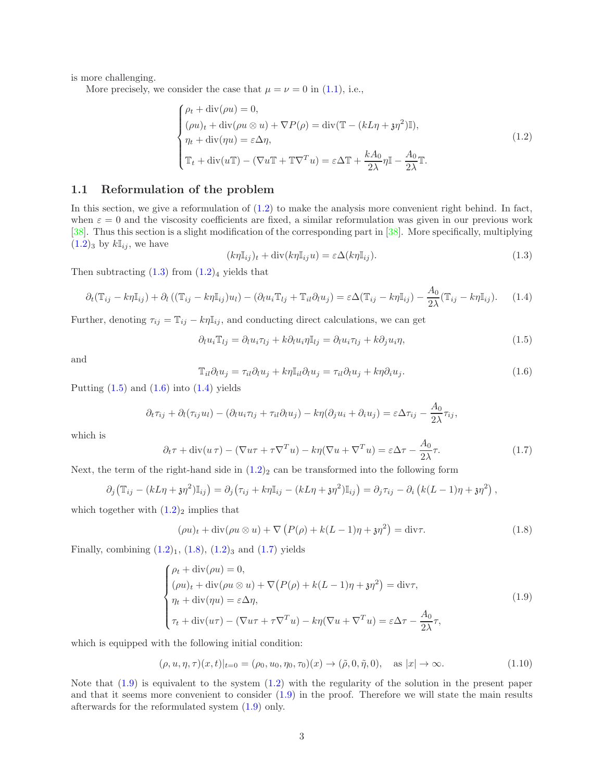is more challenging.

More precisely, we consider the case that  $\mu = \nu = 0$  in [\(1.1\)](#page-0-0), i.e.,

<span id="page-2-0"></span>
$$
\begin{cases}\n\rho_t + \operatorname{div}(\rho u) = 0, \\
(\rho u)_t + \operatorname{div}(\rho u \otimes u) + \nabla P(\rho) = \operatorname{div}(\mathbb{T} - (kL\eta + \mathfrak{z}\eta^2)\mathbb{I}), \\
\eta_t + \operatorname{div}(\eta u) = \varepsilon \Delta \eta, \\
\mathbb{T}_t + \operatorname{div}(u\mathbb{T}) - (\nabla u \mathbb{T} + \mathbb{T}\nabla^T u) = \varepsilon \Delta \mathbb{T} + \frac{kA_0}{2\lambda} \eta \mathbb{I} - \frac{A_0}{2\lambda} \mathbb{T}.\n\end{cases}
$$
\n(1.2)

### 1.1 Reformulation of the problem

In this section, we give a reformulation of [\(1.2\)](#page-2-0) to make the analysis more convenient right behind. In fact, when  $\varepsilon = 0$  and the viscosity coefficients are fixed, a similar reformulation was given in our previous work [\[38\]](#page-35-18). Thus this section is a slight modification of the corresponding part in [\[38\]](#page-35-18). More specifically, multiplying  $(1.2)_3$  $(1.2)_3$  $(1.2)_3$  by  $k\mathbb{I}_{ij}$ , we have

<span id="page-2-1"></span>
$$
(k\eta \mathbb{I}_{ij})_t + \text{div}(k\eta \mathbb{I}_{ij}u) = \varepsilon \Delta(k\eta \mathbb{I}_{ij}).
$$
\n(1.3)

Then subtracting  $(1.3)$  $(1.3)$  from  $(1.2)_4$  $(1.2)_4$  $(1.2)_4$  yields that

<span id="page-2-4"></span>
$$
\partial_t (\mathbb{T}_{ij} - k\eta \mathbb{I}_{ij}) + \partial_l ((\mathbb{T}_{ij} - k\eta \mathbb{I}_{ij})u_l) - (\partial_l u_i \mathbb{T}_{lj} + \mathbb{T}_{il}\partial_l u_j) = \varepsilon \Delta (\mathbb{T}_{ij} - k\eta \mathbb{I}_{ij}) - \frac{A_0}{2\lambda} (\mathbb{T}_{ij} - k\eta \mathbb{I}_{ij}). \tag{1.4}
$$

Further, denoting  $\tau_{ij} = \mathbb{T}_{ij} - k\eta \mathbb{I}_{ij}$ , and conducting direct calculations, we can get

<span id="page-2-2"></span>
$$
\partial_l u_i \mathbb{T}_{lj} = \partial_l u_i \tau_{lj} + k \partial_l u_i \eta \mathbb{I}_{lj} = \partial_l u_i \tau_{lj} + k \partial_j u_i \eta,
$$
\n(1.5)

and

<span id="page-2-3"></span>
$$
\mathbb{T}_{il}\partial_l u_j = \tau_{il}\partial_l u_j + k\eta \mathbb{I}_{il}\partial_l u_j = \tau_{il}\partial_l u_j + k\eta \partial_i u_j. \tag{1.6}
$$

Putting  $(1.5)$  $(1.5)$  and  $(1.6)$  into  $(1.4)$  yields

$$
\partial_t \tau_{ij} + \partial_l(\tau_{ij} u_l) - (\partial_l u_i \tau_{lj} + \tau_{il} \partial_l u_j) - k \eta (\partial_j u_i + \partial_i u_j) = \varepsilon \Delta \tau_{ij} - \frac{A_0}{2\lambda} \tau_{ij},
$$

which is

<span id="page-2-6"></span>
$$
\partial_t \tau + \operatorname{div}(u \tau) - (\nabla u \tau + \tau \nabla^T u) - k \eta (\nabla u + \nabla^T u) = \varepsilon \Delta \tau - \frac{A_0}{2\lambda} \tau.
$$
 (1.7)

Next, the term of the right-hand side in  $(1.2)_2$  $(1.2)_2$  $(1.2)_2$  can be transformed into the following form

$$
\partial_j (\mathbb{T}_{ij} - (kL\eta + \mathfrak{z}\eta^2) \mathbb{I}_{ij}) = \partial_j (\tau_{ij} + k\eta \mathbb{I}_{ij} - (kL\eta + \mathfrak{z}\eta^2) \mathbb{I}_{ij}) = \partial_j \tau_{ij} - \partial_i (k(L-1)\eta + \mathfrak{z}\eta^2) ,
$$

which together with  $(1.2)_2$  implies that

<span id="page-2-5"></span>
$$
(\rho u)_t + \operatorname{div}(\rho u \otimes u) + \nabla \left( P(\rho) + k(L-1)\eta + \mathfrak{z}\eta^2 \right) = \operatorname{div}\tau. \tag{1.8}
$$

Finally, combining  $(1.2)_1$  $(1.2)_1$  $(1.2)_1$ ,  $(1.8)$  $(1.8)$ ,  $(1.2)_3$  and  $(1.7)$  $(1.7)$  yields

<span id="page-2-7"></span>
$$
\begin{cases}\n\rho_t + \operatorname{div}(\rho u) = 0, \\
(\rho u)_t + \operatorname{div}(\rho u \otimes u) + \nabla (P(\rho) + k(L - 1)\eta + \mathfrak{z}\eta^2) = \operatorname{div}\tau, \\
\eta_t + \operatorname{div}(\eta u) = \varepsilon \Delta \eta, \\
\tau_t + \operatorname{div}(u\tau) - (\nabla u\tau + \tau \nabla^T u) - k\eta(\nabla u + \nabla^T u) = \varepsilon \Delta \tau - \frac{A_0}{2\lambda}\tau,\n\end{cases}
$$
\n(1.9)

which is equipped with the following initial condition:

<span id="page-2-8"></span>
$$
(\rho, u, \eta, \tau)(x, t)|_{t=0} = (\rho_0, u_0, \eta_0, \tau_0)(x) \to (\tilde{\rho}, 0, \tilde{\eta}, 0), \text{ as } |x| \to \infty.
$$
 (1.10)

Note that  $(1.9)$  is equivalent to the system  $(1.2)$  with the regularity of the solution in the present paper and that it seems more convenient to consider [\(1.9\)](#page-2-7) in the proof. Therefore we will state the main results afterwards for the reformulated system [\(1.9\)](#page-2-7) only.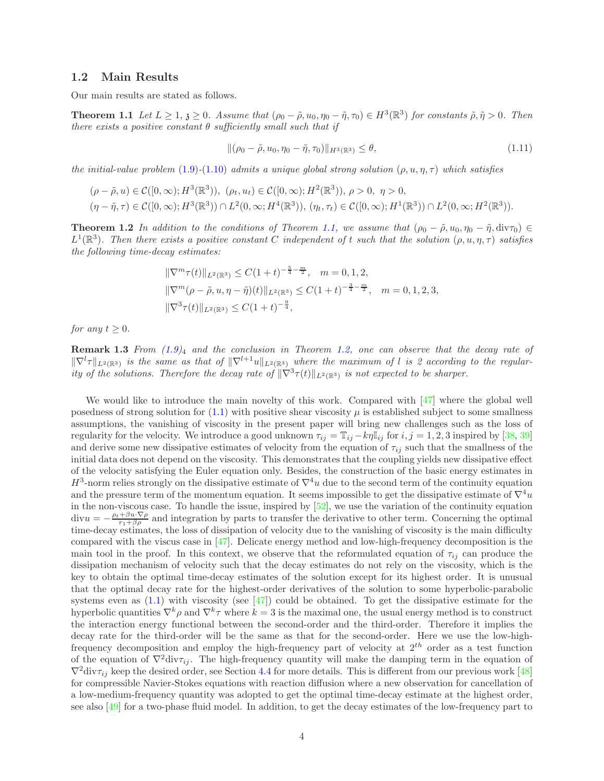#### 1.2 Main Results

Our main results are stated as follows.

**Theorem 1.1** Let  $L \geq 1$ ,  $\mathfrak{z} \geq 0$ . Assume that  $(\rho_0 - \tilde{\rho}, u_0, \eta_0 - \tilde{\eta}, \tau_0) \in H^3(\mathbb{R}^3)$  for constants  $\tilde{\rho}, \tilde{\eta} > 0$ . Then there exists a positive constant  $\theta$  sufficiently small such that if

<span id="page-3-2"></span><span id="page-3-0"></span>
$$
\|(\rho_0 - \tilde{\rho}, u_0, \eta_0 - \tilde{\eta}, \tau_0)\|_{H^3(\mathbb{R}^3)} \le \theta,
$$
\n(1.11)

the initial-value problem [\(1](#page-2-7).9)-(1.[10\)](#page-2-8) admits a unique global strong solution  $(\rho, u, \eta, \tau)$  which satisfies

$$
(\rho - \tilde{\rho}, u) \in C([0, \infty); H^3(\mathbb{R}^3)), \ (\rho_t, u_t) \in C([0, \infty); H^2(\mathbb{R}^3)), \ \rho > 0, \ \eta > 0, \ \eta > 0,
$$
  

$$
(\eta - \tilde{\eta}, \tau) \in C([0, \infty); H^3(\mathbb{R}^3)) \cap L^2(0, \infty; H^4(\mathbb{R}^3)), \ (\eta_t, \tau_t) \in C([0, \infty); H^1(\mathbb{R}^3)) \cap L^2(0, \infty; H^2(\mathbb{R}^3)).
$$

<span id="page-3-1"></span>**Theorem 1.2** In addition to the conditions of Theorem [1.1,](#page-3-0) we assume that  $(\rho_0 - \tilde{\rho}, u_0, \eta_0 - \tilde{\eta}, \text{div}\tau_0) \in$  $L^1(\mathbb{R}^3)$ . Then there exists a positive constant C independent of t such that the solution  $(\rho, u, \eta, \tau)$  satisfies the following time-decay estimates:

$$
\|\nabla^m \tau(t)\|_{L^2(\mathbb{R}^3)} \le C(1+t)^{-\frac{5}{4}-\frac{m}{2}}, \quad m = 0, 1, 2,
$$
  

$$
\|\nabla^m(\rho - \tilde{\rho}, u, \eta - \tilde{\eta})(t)\|_{L^2(\mathbb{R}^3)} \le C(1+t)^{-\frac{3}{4}-\frac{m}{2}}, \quad m = 0, 1, 2, 3,
$$
  

$$
\|\nabla^3 \tau(t)\|_{L^2(\mathbb{R}^3)} \le C(1+t)^{-\frac{9}{4}}.
$$

for any  $t \geq 0$ .

**Remark 1.3** From  $(1.9)_4$  and the conclusion in Theorem [1.2,](#page-3-1) one can observe that the decay rate of  $||\nabla^l \tau||_{L^2(\mathbb{R}^3)}$  is the same as that of  $||\nabla^{l+1}u||_{L^2(\mathbb{R}^3)}$  where the maximum of l is 2 according to the regularity of the solutions. Therefore the decay rate of  $\|\nabla^3 \tau(t)\|_{L^2(\mathbb{R}^3)}$  is not expected to be sharper.

We would like to introduce the main novelty of this work. Compared with [\[47\]](#page-36-0) where the global well posedness of strong solution for  $(1.1)$  with positive shear viscosity  $\mu$  is established subject to some smallness assumptions, the vanishing of viscosity in the present paper will bring new challenges such as the loss of regularity for the velocity. We introduce a good unknown  $\tau_{ij} = \mathbb{T}_{ij} - k\eta \mathbb{I}_{ij}$  for  $i, j = 1, 2, 3$  inspired by [\[38,](#page-35-18) [39\]](#page-35-19) and derive some new dissipative estimates of velocity from the equation of  $\tau_{ij}$  such that the smallness of the initial data does not depend on the viscosity. This demonstrates that the coupling yields new dissipative effect of the velocity satisfying the Euler equation only. Besides, the construction of the basic energy estimates in  $H^3$ -norm relies strongly on the dissipative estimate of  $\nabla^4 u$  due to the second term of the continuity equation and the pressure term of the momentum equation. It seems impossible to get the dissipative estimate of  $\nabla^4 u$ in the non-viscous case. To handle the issue, inspired by  $[52]$ , we use the variation of the continuity equation  $divu = -\frac{\rho_t + \beta u \cdot \nabla \rho}{r_1 + \beta \rho}$  and integration by parts to transfer the derivative to other term. Concerning the optimal time-decay estimates, the loss of dissipation of velocity due to the vanishing of viscosity is the main difficulty compared with the viscus case in [\[47\]](#page-36-0). Delicate energy method and low-high-frequency decomposition is the main tool in the proof. In this context, we observe that the reformulated equation of  $\tau_{ij}$  can produce the dissipation mechanism of velocity such that the decay estimates do not rely on the viscosity, which is the key to obtain the optimal time-decay estimates of the solution except for its highest order. It is unusual that the optimal decay rate for the highest-order derivatives of the solution to some hyperbolic-parabolic systems even as  $(1.1)$  with viscosity (see [\[47\]](#page-36-0)) could be obtained. To get the dissipative estimate for the hyperbolic quantities  $\nabla^k \rho$  and  $\nabla^k \tau$  where  $k=3$  is the maximal one, the usual energy method is to construct the interaction energy functional between the second-order and the third-order. Therefore it implies the decay rate for the third-order will be the same as that for the second-order. Here we use the low-highfrequency decomposition and employ the high-frequency part of velocity at  $2^{th}$  order as a test function of the equation of  $\nabla^2 \text{div} \tau_{ij}$ . The high-frequency quantity will make the damping term in the equation of  $\nabla^2 \text{div} \tau_{ii}$  keep the desired order, see Section [4.4](#page-24-0) for more details. This is different from our previous work [\[48\]](#page-36-11) for compressible Navier-Stokes equations with reaction diffusion where a new observation for cancellation of a low-medium-frequency quantity was adopted to get the optimal time-decay estimate at the highest order, see also [\[49\]](#page-36-12) for a two-phase fluid model. In addition, to get the decay estimates of the low-frequency part to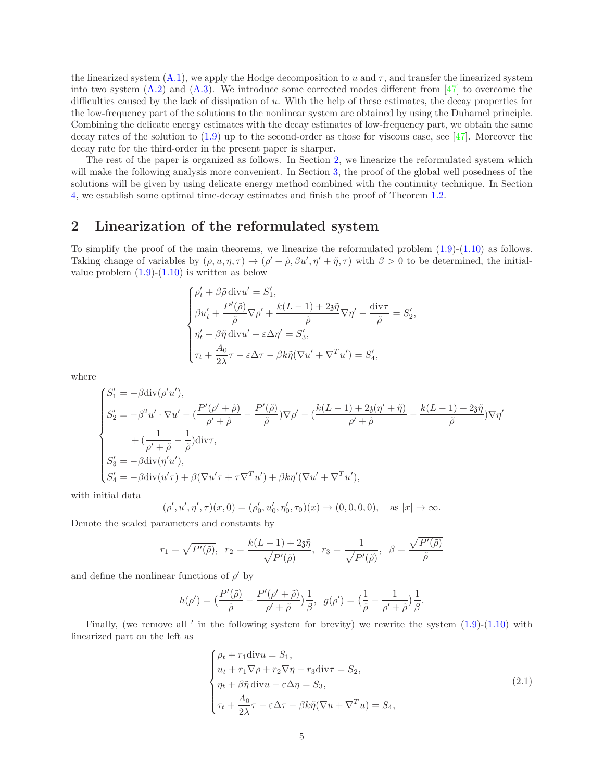the linearized system  $(A.1)$ , we apply the Hodge decomposition to u and  $\tau$ , and transfer the linearized system into two system  $(A.2)$  and  $(A.3)$ . We introduce some corrected modes different from [\[47\]](#page-36-0) to overcome the difficulties caused by the lack of dissipation of u. With the help of these estimates, the decay properties for the low-frequency part of the solutions to the nonlinear system are obtained by using the Duhamel principle. Combining the delicate energy estimates with the decay estimates of low-frequency part, we obtain the same decay rates of the solution to  $(1.9)$  up to the second-order as those for viscous case, see [\[47\]](#page-36-0). Moreover the decay rate for the third-order in the present paper is sharper.

The rest of the paper is organized as follows. In Section [2,](#page-4-0) we linearize the reformulated system which will make the following analysis more convenient. In Section [3,](#page-5-0) the proof of the global well posedness of the solutions will be given by using delicate energy method combined with the continuity technique. In Section [4,](#page-17-0) we establish some optimal time-decay estimates and finish the proof of Theorem [1.2.](#page-3-1)

# <span id="page-4-0"></span>2 Linearization of the reformulated system

To simplify the proof of the main theorems, we linearize the reformulated problem [\(1.9\)](#page-2-7)-[\(1.10\)](#page-2-8) as follows. Taking change of variables by  $(\rho, u, \eta, \tau) \to (\rho' + \tilde{\rho}, \beta u', \eta' + \tilde{\eta}, \tau)$  with  $\beta > 0$  to be determined, the initialvalue problem  $(1.9)-(1.10)$  $(1.9)-(1.10)$  is written as below

$$
\begin{cases} \rho'_t + \beta \tilde{\rho} \operatorname{div} u' = S'_1, \\ \beta u'_t + \dfrac{P'(\tilde{\rho})}{\tilde{\rho}} \nabla \rho' + \dfrac{k(L-1) + 2\tilde{\delta}\tilde{\eta}}{\tilde{\rho}} \nabla \eta' - \dfrac{\operatorname{div} \tau}{\tilde{\rho}} = S'_2, \\ \eta'_t + \beta \tilde{\eta} \operatorname{div} u' - \varepsilon \Delta \eta' = S'_3, \\ \tau_t + \dfrac{A_0}{2\lambda} \tau - \varepsilon \Delta \tau - \beta k \tilde{\eta} (\nabla u' + \nabla^T u') = S'_4, \end{cases}
$$

where

$$
\label{eq:2.1} \begin{cases} S_1'=-\beta\mathrm{div}(\rho'u'),\\ S_2'=-\beta^2u'\cdot\nabla u'-(\frac{P'(\rho'+\tilde{\rho})}{\rho'+\tilde{\rho}}-\frac{P'(\tilde{\rho})}{\tilde{\rho}})\nabla\rho'-(\frac{k(L-1)+2\mathfrak{z}(\eta'+\tilde{\eta})}{\rho'+\tilde{\rho}}-\frac{k(L-1)+2\mathfrak{z}\tilde{\eta}}{\tilde{\rho}})\nabla\eta'\\qquad \qquad +(\frac{1}{\rho'+\tilde{\rho}}-\frac{1}{\tilde{\rho}})\mathrm{div}\tau,\\ S_3'=-\beta\mathrm{div}(\eta'u'),\\ S_4'=-\beta\mathrm{div}(u'\tau)+\beta(\nabla u'\tau+\tau\nabla^T u')+\beta k\eta'(\nabla u'+\nabla^T u'), \end{cases}
$$

with initial data

$$
(\rho', u', \eta', \tau)(x, 0) = (\rho'_0, u'_0, \eta'_0, \tau_0)(x) \to (0, 0, 0, 0), \text{ as } |x| \to \infty.
$$

Denote the scaled parameters and constants by

$$
r_1 = \sqrt{P'(\tilde{\rho})}, \quad r_2 = \frac{k(L-1) + 2\tilde{\eta}}{\sqrt{P'(\tilde{\rho})}}, \quad r_3 = \frac{1}{\sqrt{P'(\tilde{\rho})}}, \quad \beta = \frac{\sqrt{P'(\tilde{\rho})}}{\tilde{\rho}}
$$

and define the nonlinear functions of  $\rho'$  by

$$
h(\rho') = \left(\frac{P'(\tilde{\rho})}{\tilde{\rho}} - \frac{P'(\rho' + \tilde{\rho})}{\rho' + \tilde{\rho}}\right)\frac{1}{\beta}, \ \ g(\rho') = \left(\frac{1}{\tilde{\rho}} - \frac{1}{\rho' + \tilde{\rho}}\right)\frac{1}{\beta}.
$$

Finally, (we remove all  $\prime$  in the following system for brevity) we rewrite the system  $(1.9)-(1.10)$  $(1.9)-(1.10)$  $(1.9)-(1.10)$  $(1.9)-(1.10)$  with linearized part on the left as

<span id="page-4-1"></span>
$$
\begin{cases}\n\rho_t + r_1 \text{div} u = S_1, \\
u_t + r_1 \nabla \rho + r_2 \nabla \eta - r_3 \text{div} \tau = S_2, \\
\eta_t + \beta \tilde{\eta} \text{div} u - \varepsilon \Delta \eta = S_3, \\
\tau_t + \frac{A_0}{2\lambda} \tau - \varepsilon \Delta \tau - \beta k \tilde{\eta} (\nabla u + \nabla^T u) = S_4,\n\end{cases}
$$
\n(2.1)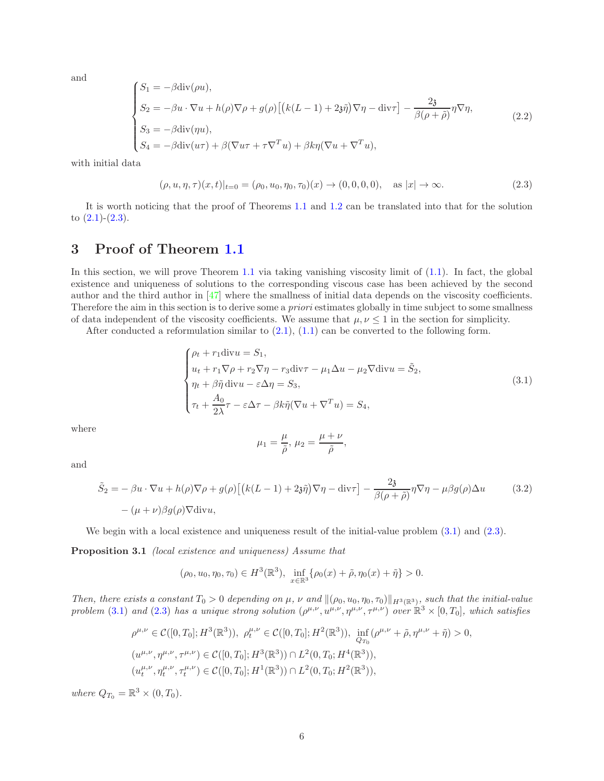and

<span id="page-5-5"></span>
$$
\begin{cases}\nS_1 = -\beta \operatorname{div}(\rho u), \\
S_2 = -\beta u \cdot \nabla u + h(\rho) \nabla \rho + g(\rho) \left[ \left( k(L-1) + 2\mathfrak{z}\tilde{\eta} \right) \nabla \eta - \operatorname{div} \tau \right] - \frac{2\mathfrak{z}}{\beta(\rho + \tilde{\rho})} \eta \nabla \eta, \\
S_3 = -\beta \operatorname{div}(\eta u), \\
S_4 = -\beta \operatorname{div}(u\tau) + \beta(\nabla u\tau + \tau \nabla^T u) + \beta k \eta (\nabla u + \nabla^T u),\n\end{cases} (2.2)
$$

with initial data

<span id="page-5-1"></span>
$$
(\rho, u, \eta, \tau)(x, t)|_{t=0} = (\rho_0, u_0, \eta_0, \tau_0)(x) \to (0, 0, 0, 0), \quad \text{as } |x| \to \infty.
$$
 (2.3)

It is worth noticing that the proof of Theorems [1.1](#page-3-0) and [1.2](#page-3-1) can be translated into that for the solution to  $(2.1)-(2.3)$  $(2.1)-(2.3)$  $(2.1)-(2.3)$  $(2.1)-(2.3)$ .

# <span id="page-5-0"></span>3 Proof of Theorem [1.1](#page-3-0)

In this section, we will prove Theorem [1.1](#page-3-0) via taking vanishing viscosity limit of  $(1.1)$ . In fact, the global existence and uniqueness of solutions to the corresponding viscous case has been achieved by the second author and the third author in [\[47\]](#page-36-0) where the smallness of initial data depends on the viscosity coefficients. Therefore the aim in this section is to derive some a *priori* estimates globally in time subject to some smallness of data independent of the viscosity coefficients. We assume that  $\mu, \nu \leq 1$  in the section for simplicity.

After conducted a reformulation similar to  $(2.1)$ ,  $(1.1)$  can be converted to the following form.

<span id="page-5-2"></span>
$$
\begin{cases}\n\rho_t + r_1 \operatorname{div} u = S_1, \\
u_t + r_1 \nabla \rho + r_2 \nabla \eta - r_3 \operatorname{div} \tau - \mu_1 \Delta u - \mu_2 \nabla \operatorname{div} u = \tilde{S}_2, \\
\eta_t + \beta \tilde{\eta} \operatorname{div} u - \varepsilon \Delta \eta = S_3, \\
\tau_t + \frac{A_0}{2\lambda} \tau - \varepsilon \Delta \tau - \beta k \tilde{\eta} (\nabla u + \nabla^T u) = S_4,\n\end{cases}
$$
\n(3.1)

where

and

<span id="page-5-4"></span><span id="page-5-3"></span>
$$
\mu_1 = \frac{\mu}{\tilde{\rho}}, \mu_2 = \frac{\mu + \nu}{\tilde{\rho}},
$$

$$
\tilde{S}_2 = -\beta u \cdot \nabla u + h(\rho) \nabla \rho + g(\rho) \left[ \left( k(L-1) + 2\tilde{\eta} \right) \nabla \eta - \text{div}\tau \right] - \frac{2\tilde{\eta}}{\beta(\rho+\tilde{\rho})} \eta \nabla \eta - \mu \beta g(\rho) \Delta u \tag{3.2}
$$
\n
$$
-(\mu+\nu)\beta g(\rho) \nabla \text{div}u,
$$

We begin with a local existence and uniqueness result of the initial-value problem  $(3.1)$  $(3.1)$  and  $(2.3)$  $(2.3)$ .

Proposition 3.1 (local existence and uniqueness) Assume that

$$
(\rho_0, u_0, \eta_0, \tau_0) \in H^3(\mathbb{R}^3), \inf_{x \in \mathbb{R}^3} {\rho_0(x) + \tilde{\rho}, \eta_0(x) + \tilde{\eta}} > 0.
$$

Then, there exists a constant  $T_0 > 0$  depending on  $\mu$ ,  $\nu$  and  $\|(\rho_0, u_0, \eta_0, \tau_0)\|_{H^3(\mathbb{R}^3)}$ , such that the initial-value problem [\(3](#page-5-2).1) and [\(2](#page-5-1).3) has a unique strong solution  $(\rho^{\mu,\nu}, u^{\mu,\nu}, \eta^{\mu,\nu}, \tau^{\mu,\nu})$  over  $\mathbb{R}^3 \times [0, T_0]$ , which satisfies

$$
\rho^{\mu,\nu} \in \mathcal{C}([0,T_0];H^3(\mathbb{R}^3)), \ \rho_t^{\mu,\nu} \in \mathcal{C}([0,T_0];H^2(\mathbb{R}^3)), \ \inf_{Q_{T_0}} (\rho^{\mu,\nu} + \tilde{\rho}, \eta^{\mu,\nu} + \tilde{\eta}) > 0,
$$
  

$$
(u^{\mu,\nu}, \eta^{\mu,\nu}, \tau^{\mu,\nu}) \in \mathcal{C}([0,T_0];H^3(\mathbb{R}^3)) \cap L^2(0,T_0;H^4(\mathbb{R}^3)),
$$
  

$$
(u_t^{\mu,\nu}, \eta_t^{\mu,\nu}, \tau_t^{\mu,\nu}) \in \mathcal{C}([0,T_0];H^1(\mathbb{R}^3)) \cap L^2(0,T_0;H^2(\mathbb{R}^3)),
$$

where  $Q_{T_0} = \mathbb{R}^3 \times (0, T_0)$ .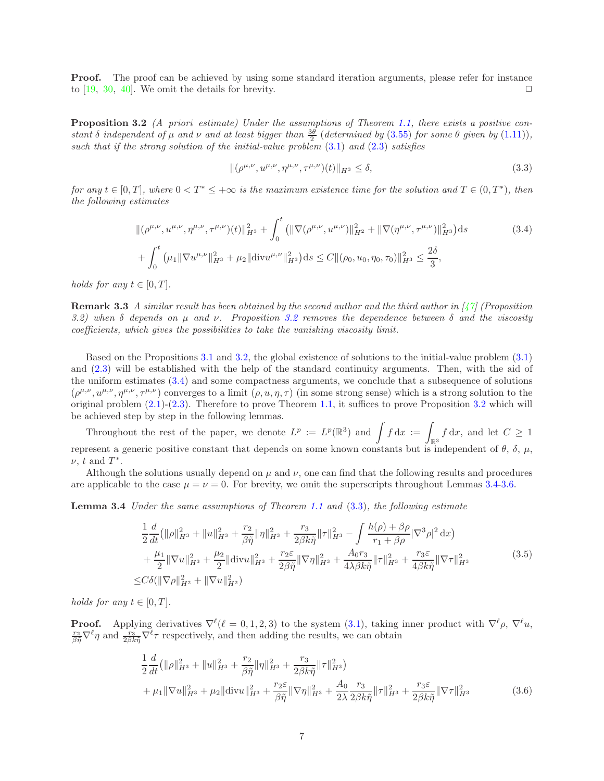Proof. The proof can be achieved by using some standard iteration arguments, please refer for instance to [\[19](#page-35-12), [30](#page-35-20), [40\]](#page-36-9). We omit the details for brevity.  $\square$ 

<span id="page-6-0"></span>Proposition 3.2 (A priori estimate) Under the assumptions of Theorem [1.1,](#page-3-0) there exists a positive constant  $\delta$  independent of  $\mu$  and  $\nu$  and at least bigger than  $\frac{3\theta}{2}$  (determined by (3.[55\)](#page-16-0) for some  $\theta$  given by (1.[11\)](#page-3-2)), such that if the strong solution of the initial-value problem  $(3.1)$  $(3.1)$  and  $(2.3)$  $(2.3)$  satisfies

<span id="page-6-3"></span><span id="page-6-1"></span>
$$
\|(\rho^{\mu,\nu}, u^{\mu,\nu}, \eta^{\mu,\nu}, \tau^{\mu,\nu})(t)\|_{H^3} \le \delta,
$$
\n(3.3)

for any  $t \in [0,T]$ , where  $0 < T^* \leq +\infty$  is the maximum existence time for the solution and  $T \in (0,T^*)$ , then the following estimates

$$
\|(\rho^{\mu,\nu}, u^{\mu,\nu}, \eta^{\mu,\nu}, \tau^{\mu,\nu})(t)\|_{H^3}^2 + \int_0^t \left( \|\nabla(\rho^{\mu,\nu}, u^{\mu,\nu})\|_{H^2}^2 + \|\nabla(\eta^{\mu,\nu}, \tau^{\mu,\nu})\|_{H^3}^2 \right) ds \tag{3.4}
$$

$$
+ \int_0^t \left( \mu_1 \|\nabla u^{\mu,\nu}\|_{H^3}^2 + \mu_2 \|\text{div} u^{\mu,\nu}\|_{H^3}^2 \right) ds \leq C \|(\rho_0, u_0, \eta_0, \tau_0)\|_{H^3}^2 \leq \frac{2\delta}{3},
$$

holds for any  $t \in [0, T]$ .

**Remark 3.3** A similar result has been obtained by the second author and the third author in  $\left[\frac{1}{1}\right]$  (Proposition [3.2](#page-6-0)) when  $\delta$  depends on  $\mu$  and  $\nu$ . Proposition 3.2 removes the dependence between  $\delta$  and the viscosity coefficients, which gives the possibilities to take the vanishing viscosity limit.

Based on the Propositions [3.1](#page-5-3) and [3.2,](#page-6-0) the global existence of solutions to the initial-value problem [\(3](#page-5-2).1) and [\(2](#page-5-1).3) will be established with the help of the standard continuity arguments. Then, with the aid of the uniform estimates [\(3.4\)](#page-6-1) and some compactness arguments, we conclude that a subsequence of solutions  $(\rho^{\mu,\nu}, u^{\mu,\nu}, \eta^{\mu,\nu}, \tau^{\mu,\nu})$  converges to a limit  $(\rho, u, \eta, \tau)$  (in some strong sense) which is a strong solution to the original problem (2.[1\)](#page-4-1)-[\(2](#page-5-1).3). Therefore to prove Theorem [1.1,](#page-3-0) it suffices to prove Proposition [3.2](#page-6-0) which will be achieved step by step in the following lemmas.

Throughout the rest of the paper, we denote  $L^p := L^p(\mathbb{R}^3)$  and  $\int f dx := \int_{\mathbb{R}^3} f dx$ , and let  $C \geq 1$ represent a generic positive constant that depends on some known constants but is independent of  $\theta$ ,  $\delta$ ,  $\mu$ ,  $\nu$ , t and  $T^*$ .

<span id="page-6-2"></span>Although the solutions usually depend on  $\mu$  and  $\nu$ , one can find that the following results and procedures are applicable to the case  $\mu = \nu = 0$ . For brevity, we omit the superscripts throughout Lemmas [3.4](#page-6-2)[-3.6.](#page-14-0)

Lemma 3.4 Under the same assumptions of Theorem [1.1](#page-3-0) and [\(3.3\)](#page-6-3), the following estimate

$$
\frac{1}{2}\frac{d}{dt}\left(\|\rho\|_{H^3}^2 + \|u\|_{H^3}^2 + \frac{r_2}{\beta\tilde{\eta}}\|\eta\|_{H^3}^2 + \frac{r_3}{2\beta k\tilde{\eta}}\|\tau\|_{H^3}^2 - \int \frac{h(\rho) + \beta\rho}{r_1 + \beta\rho}|\nabla^3\rho|^2 dx\right) \n+ \frac{\mu_1}{2}\|\nabla u\|_{H^3}^2 + \frac{\mu_2}{2}\|\text{div}u\|_{H^3}^2 + \frac{r_2\varepsilon}{2\beta\tilde{\eta}}\|\nabla\eta\|_{H^3}^2 + \frac{A_0r_3}{4\lambda\beta k\tilde{\eta}}\|\tau\|_{H^3}^2 + \frac{r_3\varepsilon}{4\beta k\tilde{\eta}}\|\nabla\tau\|_{H^3}^2
$$
\n
$$
\leq C\delta(\|\nabla\rho\|_{H^2}^2 + \|\nabla u\|_{H^2}^2)
$$
\n(3.5)

<span id="page-6-5"></span>holds for any  $t \in [0, T]$ .

**Proof.** Applying derivatives  $\nabla^{\ell}(\ell=0,1,2,3)$  to the system [\(3.1\)](#page-5-2), taking inner product with  $\nabla^{\ell}\rho$ ,  $\nabla^{\ell}u$ ,  $\frac{r_2}{\beta \tilde{\eta}} \nabla^{\ell} \eta$  and  $\frac{r_3}{2\beta k \tilde{\eta}} \nabla^{\ell} \tau$  respectively, and then adding the results, we can obtain

<span id="page-6-4"></span>
$$
\frac{1}{2}\frac{d}{dt}\left(\|\rho\|_{H^3}^2 + \|u\|_{H^3}^2 + \frac{r_2}{\beta\tilde{\eta}}\|\eta\|_{H^3}^2 + \frac{r_3}{2\beta k\tilde{\eta}}\|\tau\|_{H^3}^2\right) \n+ \mu_1 \|\nabla u\|_{H^3}^2 + \mu_2 \|\text{div}u\|_{H^3}^2 + \frac{r_2 \varepsilon}{\beta\tilde{\eta}}\|\nabla \eta\|_{H^3}^2 + \frac{A_0}{2\lambda} \frac{r_3}{2\beta k\tilde{\eta}}\|\tau\|_{H^3}^2 + \frac{r_3 \varepsilon}{2\beta k\tilde{\eta}}\|\nabla \tau\|_{H^3}^2
$$
\n(3.6)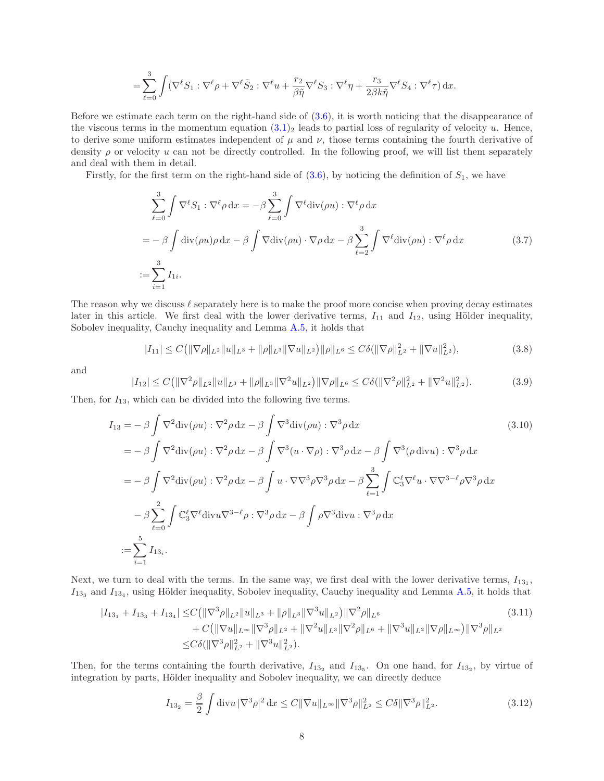$$
= \sum_{\ell=0}^3 \int (\nabla^\ell S_1 : \nabla^\ell \rho + \nabla^\ell \tilde{S}_2 : \nabla^\ell u + \frac{r_2}{\beta \tilde{\eta}} \nabla^\ell S_3 : \nabla^\ell \eta + \frac{r_3}{2\beta k \tilde{\eta}} \nabla^\ell S_4 : \nabla^\ell \tau) \, \mathrm{d}x.
$$

Before we estimate each term on the right-hand side of  $(3.6)$ , it is worth noticing that the disappearance of the viscous terms in the momentum equation  $(3.1)_2$  leads to partial loss of regularity of velocity u. Hence, to derive some uniform estimates independent of  $\mu$  and  $\nu$ , those terms containing the fourth derivative of density  $\rho$  or velocity u can not be directly controlled. In the following proof, we will list them separately and deal with them in detail.

Firstly, for the first term on the right-hand side of  $(3.6)$ , by noticing the definition of  $S_1$ , we have

<span id="page-7-5"></span>
$$
\sum_{\ell=0}^{3} \int \nabla^{\ell} S_1 : \nabla^{\ell} \rho \, dx = -\beta \sum_{\ell=0}^{3} \int \nabla^{\ell} \text{div}(\rho u) : \nabla^{\ell} \rho \, dx
$$

$$
= -\beta \int \text{div}(\rho u) \rho \, dx - \beta \int \nabla \text{div}(\rho u) \cdot \nabla \rho \, dx - \beta \sum_{\ell=2}^{3} \int \nabla^{\ell} \text{div}(\rho u) : \nabla^{\ell} \rho \, dx \tag{3.7}
$$

$$
:= \sum_{i=1}^{3} I_{1i}.
$$

The reason why we discuss  $\ell$  separately here is to make the proof more concise when proving decay estimates later in this article. We first deal with the lower derivative terms,  $I_{11}$  and  $I_{12}$ , using Hölder inequality, Sobolev inequality, Cauchy inequality and Lemma [A.5,](#page-33-0) it holds that

<span id="page-7-3"></span><span id="page-7-2"></span>
$$
|I_{11}| \leq C \left( \|\nabla \rho\|_{L^2} \|u\|_{L^3} + \|\rho\|_{L^3} \|\nabla u\|_{L^2} \right) \|\rho\|_{L^6} \leq C \delta \left( \|\nabla \rho\|_{L^2}^2 + \|\nabla u\|_{L^2}^2 \right),\tag{3.8}
$$

and

<span id="page-7-4"></span>
$$
|I_{12}| \leq C \left( \|\nabla^2 \rho \|_{L^2} \|u\|_{L^3} + \|\rho \|_{L^3} \|\nabla^2 u\|_{L^2} \right) \|\nabla \rho\|_{L^6} \leq C \delta (\|\nabla^2 \rho\|_{L^2}^2 + \|\nabla^2 u\|_{L^2}^2).
$$
 (3.9)

Then, for  $I_{13}$ , which can be divided into the following five terms.

$$
I_{13} = -\beta \int \nabla^2 \text{div}(\rho u) : \nabla^2 \rho \, dx - \beta \int \nabla^3 \text{div}(\rho u) : \nabla^3 \rho \, dx \qquad (3.10)
$$
  
\n
$$
= -\beta \int \nabla^2 \text{div}(\rho u) : \nabla^2 \rho \, dx - \beta \int \nabla^3 (u \cdot \nabla \rho) : \nabla^3 \rho \, dx - \beta \int \nabla^3 (\rho \, \text{div} u) : \nabla^3 \rho \, dx
$$
  
\n
$$
= -\beta \int \nabla^2 \text{div}(\rho u) : \nabla^2 \rho \, dx - \beta \int u \cdot \nabla \nabla^3 \rho \nabla^3 \rho \, dx - \beta \sum_{\ell=1}^3 \int \mathbb{C}_3^{\ell} \nabla^{\ell} u \cdot \nabla \nabla^{3-\ell} \rho \nabla^3 \rho \, dx
$$
  
\n
$$
- \beta \sum_{\ell=0}^2 \int \mathbb{C}_3^{\ell} \nabla^{\ell} \text{div} u \nabla^{3-\ell} \rho : \nabla^3 \rho \, dx - \beta \int \rho \nabla^3 \text{div} u : \nabla^3 \rho \, dx
$$
  
\n
$$
:= \sum_{i=1}^5 I_{13_i}.
$$
 (3.10)

Next, we turn to deal with the terms. In the same way, we first deal with the lower derivative terms,  $I_{13_1}$ ,  $I_{133}$  and  $I_{134}$ , using Hölder inequality, Sobolev inequality, Cauchy inequality and Lemma [A.5,](#page-33-0) it holds that

$$
|I_{13_1} + I_{13_3} + I_{13_4}| \le C \left( \|\nabla^3 \rho\|_{L^2} \|u\|_{L^3} + \|\rho\|_{L^3} \|\nabla^3 u\|_{L^2} \right) \|\nabla^2 \rho\|_{L^6} + C \left( \|\nabla u\|_{L^\infty} \|\nabla^3 \rho\|_{L^2} + \|\nabla^2 u\|_{L^3} \|\nabla^2 \rho\|_{L^6} + \|\nabla^3 u\|_{L^2} \|\nabla \rho\|_{L^\infty} \right) \|\nabla^3 \rho\|_{L^2} \le C \delta \left( \|\nabla^3 \rho\|_{L^2}^2 + \|\nabla^3 u\|_{L^2}^2 \right).
$$
\n(3.11)

Then, for the terms containing the fourth derivative,  $I_{13_2}$  and  $I_{13_5}$ . On one hand, for  $I_{13_2}$ , by virtue of integration by parts, Hölder inequality and Sobolev inequality, we can directly deduce

<span id="page-7-1"></span><span id="page-7-0"></span>
$$
I_{13_2} = \frac{\beta}{2} \int \text{div} u \, |\nabla^3 \rho|^2 \, \mathrm{d} x \le C \|\nabla u\|_{L^\infty} \|\nabla^3 \rho\|_{L^2}^2 \le C \delta \|\nabla^3 \rho\|_{L^2}^2. \tag{3.12}
$$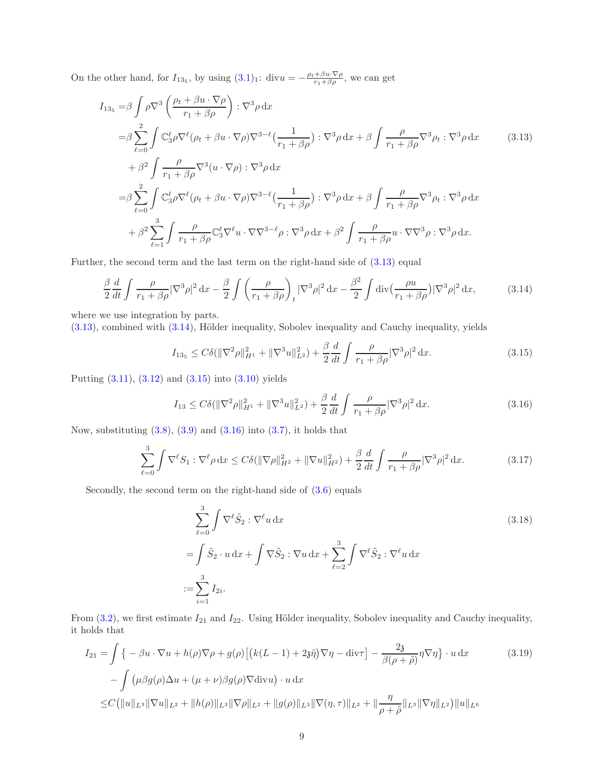On the other hand, for  $I_{13_5}$ , by using  $(3.1)_1$ : div $u = -\frac{\rho_t + \beta u \cdot \nabla \rho}{r_1 + \beta \rho}$ , we can get

$$
I_{13_5} = \beta \int \rho \nabla^3 \left( \frac{\rho_t + \beta u \cdot \nabla \rho}{r_1 + \beta \rho} \right) : \nabla^3 \rho \, dx
$$
  
\n
$$
= \beta \sum_{\ell=0}^2 \int \mathbb{C}_3^{\ell} \rho \nabla^{\ell} (\rho_t + \beta u \cdot \nabla \rho) \nabla^{3-\ell} (\frac{1}{r_1 + \beta \rho}) : \nabla^3 \rho \, dx + \beta \int \frac{\rho}{r_1 + \beta \rho} \nabla^3 \rho_t : \nabla^3 \rho \, dx \qquad (3.13)
$$
  
\n
$$
+ \beta^2 \int \frac{\rho}{r_1 + \beta \rho} \nabla^3 (u \cdot \nabla \rho) : \nabla^3 \rho \, dx
$$
  
\n
$$
= \beta \sum_{\ell=0}^2 \int \mathbb{C}_3^{\ell} \rho \nabla^{\ell} (\rho_t + \beta u \cdot \nabla \rho) \nabla^{3-\ell} (\frac{1}{r_1 + \beta \rho}) : \nabla^3 \rho \, dx + \beta \int \frac{\rho}{r_1 + \beta \rho} \nabla^3 \rho_t : \nabla^3 \rho \, dx
$$
  
\n
$$
+ \beta^2 \sum_{\ell=1}^3 \int \frac{\rho}{r_1 + \beta \rho} \mathbb{C}_3^{\ell} \nabla^{\ell} u \cdot \nabla \nabla^{3-\ell} \rho : \nabla^3 \rho \, dx + \beta^2 \int \frac{\rho}{r_1 + \beta \rho} u \cdot \nabla \nabla^3 \rho : \nabla^3 \rho \, dx.
$$
 (3.13)

Further, the second term and the last term on the right-hand side of [\(3.13\)](#page-8-0) equal

<span id="page-8-1"></span>
$$
\frac{\beta}{2}\frac{d}{dt}\int \frac{\rho}{r_1+\beta\rho}|\nabla^3\rho|^2\,\mathrm{d}x - \frac{\beta}{2}\int \left(\frac{\rho}{r_1+\beta\rho}\right)_t|\nabla^3\rho|^2\,\mathrm{d}x - \frac{\beta^2}{2}\int \mathrm{div}\big(\frac{\rho u}{r_1+\beta\rho}\big)|\nabla^3\rho|^2\,\mathrm{d}x,\tag{3.14}
$$

where we use integration by parts.

 $(3.13)$ , combined with  $(3.14)$ , Hölder inequality, Sobolev inequality and Cauchy inequality, yields

<span id="page-8-2"></span><span id="page-8-0"></span>
$$
I_{13_5} \leq C\delta(\|\nabla^2 \rho\|_{H^1}^2 + \|\nabla^3 u\|_{L^2}^2) + \frac{\beta}{2} \frac{d}{dt} \int \frac{\rho}{r_1 + \beta \rho} |\nabla^3 \rho|^2 dx. \tag{3.15}
$$

Putting [\(3.11\)](#page-7-0), [\(3.12\)](#page-7-1) and [\(3.15\)](#page-8-2) into [\(3.10\)](#page-7-2) yields

<span id="page-8-3"></span>
$$
I_{13} \leq C\delta(\|\nabla^2 \rho\|_{H^1}^2 + \|\nabla^3 u\|_{L^2}^2) + \frac{\beta}{2} \frac{d}{dt} \int \frac{\rho}{r_1 + \beta \rho} |\nabla^3 \rho|^2 dx. \tag{3.16}
$$

Now, substituting  $(3.8)$ ,  $(3.9)$  and  $(3.16)$  into  $(3.7)$ , it holds that

<span id="page-8-6"></span>
$$
\sum_{\ell=0}^{3} \int \nabla^{\ell} S_1 : \nabla^{\ell} \rho \, dx \le C \delta (\|\nabla \rho\|_{H^2}^2 + \|\nabla u\|_{H^2}^2) + \frac{\beta}{2} \frac{d}{dt} \int \frac{\rho}{r_1 + \beta \rho} |\nabla^3 \rho|^2 \, dx. \tag{3.17}
$$

Secondly, the second term on the right-hand side of  $(3.6)$  equals

<span id="page-8-5"></span><span id="page-8-4"></span>
$$
\sum_{\ell=0}^{3} \int \nabla^{\ell} \tilde{S}_2 : \nabla^{\ell} u \, dx
$$
\n
$$
= \int \tilde{S}_2 \cdot u \, dx + \int \nabla \tilde{S}_2 : \nabla u \, dx + \sum_{\ell=2}^{3} \int \nabla^{\ell} \tilde{S}_2 : \nabla^{\ell} u \, dx
$$
\n
$$
:= \sum_{i=1}^{3} I_{2i}.
$$
\n(3.18)

From  $(3.2)$ , we first estimate  $I_{21}$  and  $I_{22}$ . Using Hölder inequality, Sobolev inequality and Cauchy inequality, it holds that

$$
I_{21} = \int \left\{ -\beta u \cdot \nabla u + h(\rho) \nabla \rho + g(\rho) \left[ \left( k(L-1) + 2\mathfrak{z}\tilde{\eta} \right) \nabla \eta - \text{div}\tau \right] - \frac{2\mathfrak{z}}{\beta(\rho+\tilde{\rho})} \eta \nabla \eta \right\} \cdot u \, dx \tag{3.19}
$$

$$
- \int \left( \mu \beta g(\rho) \Delta u + (\mu + \nu) \beta g(\rho) \nabla \text{div} u \right) \cdot u \, dx
$$

$$
\leq C \left( \|u\|_{L^3} \|\nabla u\|_{L^2} + \|h(\rho)\|_{L^3} \|\nabla \rho\|_{L^2} + \|g(\rho)\|_{L^3} \|\nabla (\eta, \tau)\|_{L^2} + \|\frac{\eta}{\rho+\tilde{\rho}}\|_{L^3} \|\nabla \eta\|_{L^2} \right) \|u\|_{L^6}
$$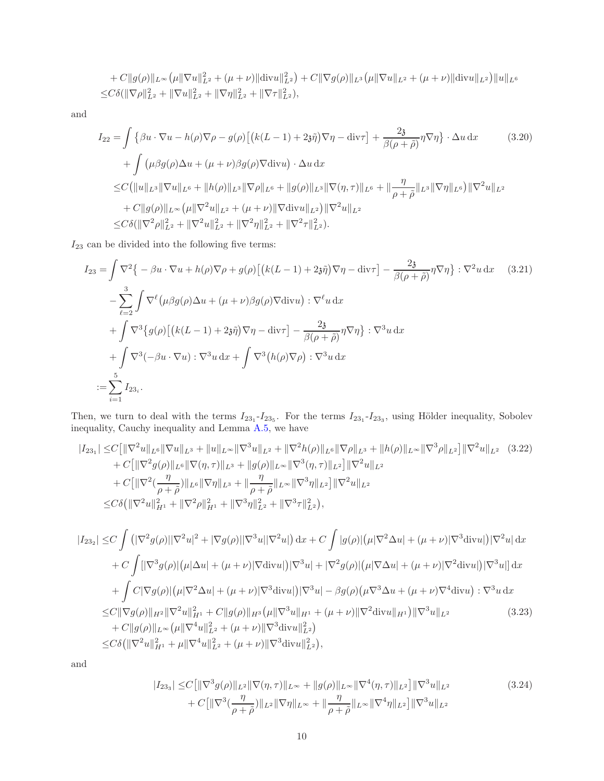$$
+ C||g(\rho)||_{L^{\infty}}(\mu||\nabla u||_{L^{2}}^{2} + (\mu + \nu)||\text{div}u||_{L^{2}}^{2}) + C||\nabla g(\rho)||_{L^{3}}(\mu||\nabla u||_{L^{2}} + (\mu + \nu)||\text{div}u||_{L^{2}})||u||_{L^{6}}\leq C\delta(||\nabla\rho||_{L^{2}}^{2} + ||\nabla u||_{L^{2}}^{2} + ||\nabla\eta||_{L^{2}}^{2} + ||\nabla\tau||_{L^{2}}^{2}),
$$

and

<span id="page-9-4"></span>
$$
I_{22} = \int \left\{ \beta u \cdot \nabla u - h(\rho) \nabla \rho - g(\rho) \left[ \left( k(L-1) + 2\mathfrak{z}\tilde{\eta} \right) \nabla \eta - \text{div}\tau \right] + \frac{2\mathfrak{z}}{\beta(\rho + \tilde{\rho})} \eta \nabla \eta \right\} \cdot \Delta u \, dx \tag{3.20}
$$
  
+ 
$$
\int \left( \mu \beta g(\rho) \Delta u + (\mu + \nu) \beta g(\rho) \nabla \text{div} u \right) \cdot \Delta u \, dx
$$
  

$$
\leq C \left( \|u\|_{L^3} \|\nabla u\|_{L^6} + \|h(\rho)\|_{L^3} \|\nabla \rho\|_{L^6} + \|g(\rho)\|_{L^3} \|\nabla (\eta, \tau)\|_{L^6} + \|\frac{\eta}{\rho + \tilde{\rho}}\|_{L^3} \|\nabla \eta\|_{L^6} \right) \|\nabla^2 u\|_{L^2}
$$
  
+ 
$$
C \|g(\rho)\|_{L^\infty} \left( \mu \|\nabla^2 u\|_{L^2} + (\mu + \nu) \|\nabla \text{div} u\|_{L^2} \right) \|\nabla^2 u\|_{L^2}
$$
  

$$
\leq C \delta (\|\nabla^2 \rho\|_{L^2}^2 + \|\nabla^2 u\|_{L^2}^2 + \|\nabla^2 \eta\|_{L^2}^2 + \|\nabla^2 \eta\|_{L^2}^2).
$$

 ${\cal I}_{23}$  can be divided into the following five terms:

<span id="page-9-3"></span>
$$
I_{23} = \int \nabla^2 \{-\beta u \cdot \nabla u + h(\rho) \nabla \rho + g(\rho) \left[ \left( k(L-1) + 2\mathfrak{z}\tilde{\eta} \right) \nabla \eta - \text{div}\tau \right] - \frac{2\mathfrak{z}}{\beta(\rho+\tilde{\rho})} \eta \nabla \eta \} : \nabla^2 u \, dx \qquad (3.21)
$$

$$
- \sum_{\ell=2}^3 \int \nabla^\ell (\mu \beta g(\rho) \Delta u + (\mu + \nu) \beta g(\rho) \nabla \text{div} u) : \nabla^\ell u \, dx
$$

$$
+ \int \nabla^3 \{ g(\rho) \left[ \left( k(L-1) + 2\mathfrak{z}\tilde{\eta} \right) \nabla \eta - \text{div}\tau \right] - \frac{2\mathfrak{z}}{\beta(\rho+\tilde{\rho})} \eta \nabla \eta \} : \nabla^3 u \, dx
$$

$$
+ \int \nabla^3 (-\beta u \cdot \nabla u) : \nabla^3 u \, dx + \int \nabla^3 (h(\rho) \nabla \rho) : \nabla^3 u \, dx
$$

$$
:= \sum_{i=1}^5 I_{23_i}.
$$

Then, we turn to deal with the terms  $I_{23_1}$ - $I_{23_5}$ . For the terms  $I_{23_1}$ - $I_{23_3}$ , using Hölder inequality, Sobolev inequality, Cauchy inequality and Lemma [A.5,](#page-33-0) we have

$$
|I_{231}| \leq C \left[ \|\nabla^2 u\|_{L^6} \|\nabla u\|_{L^3} + \|u\|_{L^\infty} \|\nabla^3 u\|_{L^2} + \|\nabla^2 h(\rho)\|_{L^6} \|\nabla \rho\|_{L^3} + \|h(\rho)\|_{L^\infty} \|\nabla^3 \rho\|_{L^2} \right] \|\nabla^2 u\|_{L^2} \quad (3.22)
$$
  
+ 
$$
C \left[ \|\nabla^2 g(\rho)\|_{L^6} \|\nabla (\eta, \tau)\|_{L^3} + \|g(\rho)\|_{L^\infty} \|\nabla^3 (\eta, \tau)\|_{L^2} \right] \|\nabla^2 u\|_{L^2}
$$
  
+ 
$$
C \left[ \|\nabla^2 \left( \frac{\eta}{\rho + \tilde{\rho}}\right) \|_{L^6} \|\nabla \eta\|_{L^3} + \|\frac{\eta}{\rho + \tilde{\rho}}\|_{L^\infty} \|\nabla^3 \eta\|_{L^2} \right] \|\nabla^2 u\|_{L^2}
$$
  

$$
\leq C\delta \left( \|\nabla^2 u\|_{H^1}^2 + \|\nabla^2 \rho\|_{H^1}^2 + \|\nabla^3 \eta\|_{L^2}^2 + \|\nabla^3 \tau\|_{L^2}^2 \right),
$$

$$
|I_{23_2}| \leq C \int (|\nabla^2 g(\rho)| |\nabla^2 u|^2 + |\nabla g(\rho)| |\nabla^3 u| |\nabla^2 u|) dx + C \int |g(\rho)| (\mu |\nabla^2 \Delta u| + (\mu + \nu) |\nabla^3 \text{div} u|) |\nabla^2 u| dx
$$
  
+ 
$$
C \int [|\nabla^3 g(\rho)| (\mu |\Delta u| + (\mu + \nu) |\nabla \text{div} u|) |\nabla^3 u| + |\nabla^2 g(\rho)| (\mu |\nabla \Delta u| + (\mu + \nu) |\nabla^2 \text{div} u|) |\nabla^3 u|] dx
$$
  
+ 
$$
\int C |\nabla g(\rho)| (\mu |\nabla^2 \Delta u| + (\mu + \nu) |\nabla^3 \text{div} u|) |\nabla^3 u| - \beta g(\rho) (\mu \nabla^3 \Delta u + (\mu + \nu) \nabla^4 \text{div} u) : \nabla^3 u dx
$$
  

$$
\leq C \|\nabla g(\rho)\|_{H^2} \|\nabla^2 u\|_{H^1}^2 + C \|g(\rho)\|_{H^3} (\mu \|\nabla^3 u\|_{H^1} + (\mu + \nu) \|\nabla^2 \text{div} u\|_{H^1}) \|\nabla^3 u\|_{L^2}
$$
  
+ 
$$
C \|g(\rho)\|_{L^\infty} (\mu \|\nabla^4 u\|_{L^2}^2 + (\mu + \nu) \|\nabla^3 \text{div} u\|_{L^2}^2)
$$
  

$$
\leq C \delta (\|\nabla^2 u\|_{H^1}^2 + \mu \|\nabla^4 u\|_{L^2}^2 + (\mu + \nu) \|\nabla^3 \text{div} u\|_{L^2}^2),
$$
 (3.23)

and

<span id="page-9-2"></span><span id="page-9-1"></span><span id="page-9-0"></span>
$$
|I_{23_3}| \le C \left[ \|\nabla^3 g(\rho)\|_{L^2} \|\nabla(\eta, \tau)\|_{L^\infty} + \|g(\rho)\|_{L^\infty} \|\nabla^4(\eta, \tau)\|_{L^2} \right] \|\nabla^3 u\|_{L^2} + C \left[ \|\nabla^3 \left( \frac{\eta}{\rho + \tilde{\rho}}\right) \|_{L^2} \|\nabla \eta\|_{L^\infty} + \|\frac{\eta}{\rho + \tilde{\rho}}\|_{L^\infty} \|\nabla^4 \eta\|_{L^2} \right] \|\nabla^3 u\|_{L^2}
$$
(3.24)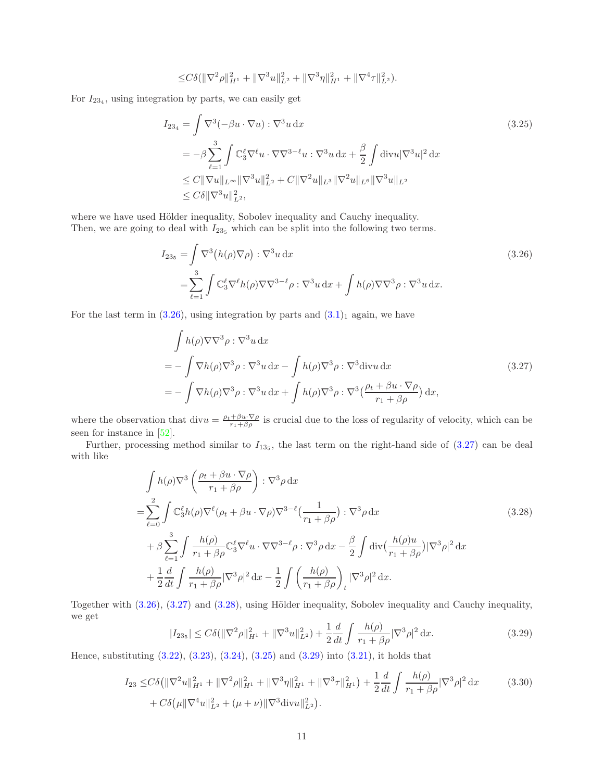<span id="page-10-3"></span>
$$
\leq C\delta \left( \|\nabla^2 \rho\|_{H^1}^2 + \|\nabla^3 u\|_{L^2}^2 + \|\nabla^3 \eta\|_{H^1}^2 + \|\nabla^4 \tau\|_{L^2}^2 \right).
$$

For  $I_{234}$ , using integration by parts, we can easily get

$$
I_{234} = \int \nabla^3(-\beta u \cdot \nabla u) : \nabla^3 u \, dx
$$
\n
$$
= -\beta \sum_{\ell=1}^3 \int \mathbb{C}_3^{\ell} \nabla^{\ell} u \cdot \nabla \nabla^{3-\ell} u : \nabla^3 u \, dx + \frac{\beta}{2} \int \text{div} u |\nabla^3 u|^2 \, dx
$$
\n
$$
\leq C \|\nabla u\|_{L^{\infty}} \|\nabla^3 u\|_{L^2}^2 + C \|\nabla^2 u\|_{L^3} \|\nabla^2 u\|_{L^6} \|\nabla^3 u\|_{L^2}
$$
\n
$$
\leq C\delta \|\nabla^3 u\|_{L^2}^2,
$$
\n(3.25)

where we have used Hölder inequality, Sobolev inequality and Cauchy inequality. Then, we are going to deal with  $I_{235}$  which can be split into the following two terms.

<span id="page-10-0"></span>
$$
I_{23_5} = \int \nabla^3 (h(\rho)\nabla \rho) : \nabla^3 u \, dx
$$
\n
$$
= \sum_{\ell=1}^3 \int \mathbb{C}_3^{\ell} \nabla^{\ell} h(\rho) \nabla \nabla^{3-\ell} \rho : \nabla^3 u \, dx + \int h(\rho) \nabla \nabla^3 \rho : \nabla^3 u \, dx.
$$
\n(3.26)

For the last term in  $(3.26)$ , using integration by parts and  $(3.1)<sub>1</sub>$  again, we have

<span id="page-10-1"></span>
$$
\int h(\rho)\nabla\nabla^3 \rho : \nabla^3 u \, dx
$$
\n
$$
= -\int \nabla h(\rho)\nabla^3 \rho : \nabla^3 u \, dx - \int h(\rho)\nabla^3 \rho : \nabla^3 \text{div} u \, dx \tag{3.27}
$$
\n
$$
= -\int \nabla h(\rho)\nabla^3 \rho : \nabla^3 u \, dx + \int h(\rho)\nabla^3 \rho : \nabla^3 \left(\frac{\rho_t + \beta u \cdot \nabla \rho}{r_1 + \beta \rho}\right) dx,
$$

where the observation that div $u = \frac{\rho_t + \beta u \cdot \nabla \rho}{r_1 + \beta \rho}$  is crucial due to the loss of regularity of velocity, which can be seen for instance in [\[52\]](#page-36-8).

Further, processing method similar to  $I_{135}$ , the last term on the right-hand side of  $(3.27)$  can be deal with like

$$
\int h(\rho)\nabla^3\left(\frac{\rho_t + \beta u \cdot \nabla \rho}{r_1 + \beta \rho}\right) : \nabla^3 \rho \, dx
$$
\n
$$
= \sum_{\ell=0}^2 \int \mathbb{C}_3^{\ell} h(\rho)\nabla^{\ell}(\rho_t + \beta u \cdot \nabla \rho)\nabla^{3-\ell}\left(\frac{1}{r_1 + \beta \rho}\right) : \nabla^3 \rho \, dx
$$
\n
$$
+ \beta \sum_{\ell=1}^3 \int \frac{h(\rho)}{r_1 + \beta \rho} \mathbb{C}_3^{\ell} \nabla^{\ell} u \cdot \nabla \nabla^{3-\ell} \rho : \nabla^3 \rho \, dx - \frac{\beta}{2} \int \text{div}\left(\frac{h(\rho)u}{r_1 + \beta \rho}\right) |\nabla^3 \rho|^2 \, dx
$$
\n
$$
+ \frac{1}{2} \frac{d}{dt} \int \frac{h(\rho)}{r_1 + \beta \rho} |\nabla^3 \rho|^2 \, dx - \frac{1}{2} \int \left(\frac{h(\rho)}{r_1 + \beta \rho}\right)_t |\nabla^3 \rho|^2 \, dx.
$$
\n(3.28)

Together with  $(3.26)$ ,  $(3.27)$  and  $(3.28)$ , using Hölder inequality, Sobolev inequality and Cauchy inequality, we get

<span id="page-10-5"></span><span id="page-10-4"></span><span id="page-10-2"></span>
$$
|I_{235}| \leq C\delta(\|\nabla^2 \rho\|_{H^1}^2 + \|\nabla^3 u\|_{L^2}^2) + \frac{1}{2}\frac{d}{dt}\int \frac{h(\rho)}{r_1 + \beta \rho} |\nabla^3 \rho|^2 \, \mathrm{d}x. \tag{3.29}
$$

Hence, substituting [\(3.22\)](#page-9-0), [\(3.23\)](#page-9-1), [\(3.24\)](#page-9-2), [\(3.25\)](#page-10-3) and [\(3.29\)](#page-10-4) into [\(3.21\)](#page-9-3), it holds that

$$
I_{23} \leq C\delta \left( \|\nabla^2 u\|_{H^1}^2 + \|\nabla^2 \rho\|_{H^1}^2 + \|\nabla^3 \eta\|_{H^1}^2 + \|\nabla^3 \tau\|_{H^1}^2 \right) + \frac{1}{2} \frac{d}{dt} \int \frac{h(\rho)}{r_1 + \beta \rho} |\nabla^3 \rho|^2 dx \tag{3.30}
$$
  
+  $C\delta \left( \mu \|\nabla^4 u\|_{L^2}^2 + (\mu + \nu) \|\nabla^3 \text{div} u\|_{L^2}^2 \right).$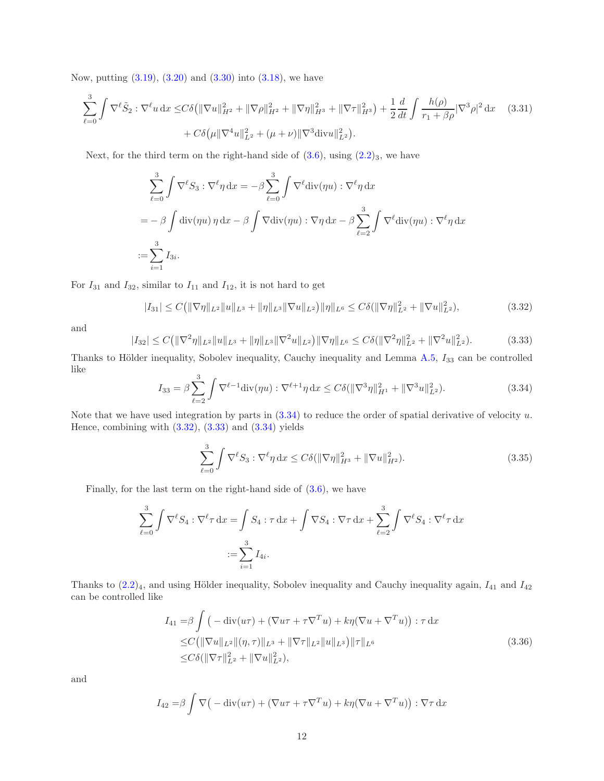Now, putting [\(3.19\)](#page-8-4), [\(3.20\)](#page-9-4) and [\(3.30\)](#page-10-5) into [\(3.18\)](#page-8-5), we have

$$
\sum_{\ell=0}^{3} \int \nabla^{\ell} \tilde{S}_2 : \nabla^{\ell} u \, dx \le C \delta \left( \|\nabla u\|_{H^2}^2 + \|\nabla \rho\|_{H^2}^2 + \|\nabla \eta\|_{H^3}^2 + \|\nabla \tau\|_{H^3}^2 \right) + \frac{1}{2} \frac{d}{dt} \int \frac{h(\rho)}{r_1 + \beta \rho} |\nabla^3 \rho|^2 \, dx \quad (3.31)
$$

$$
+ C \delta \left( \mu \|\nabla^4 u\|_{L^2}^2 + (\mu + \nu) \|\nabla^3 \text{div} u\|_{L^2}^2 \right).
$$

Next, for the third term on the right-hand side of  $(3.6)$ , using  $(2.2)_3$ , we have

<span id="page-11-4"></span>
$$
\sum_{\ell=0}^{3} \int \nabla^{\ell} S_3 : \nabla^{\ell} \eta \, dx = -\beta \sum_{\ell=0}^{3} \int \nabla^{\ell} \text{div}(\eta u) : \nabla^{\ell} \eta \, dx
$$
  
=  $-\beta \int \text{div}(\eta u) \eta \, dx - \beta \int \nabla \text{div}(\eta u) : \nabla \eta \, dx - \beta \sum_{\ell=2}^{3} \int \nabla^{\ell} \text{div}(\eta u) : \nabla^{\ell} \eta \, dx$   
:=  $\sum_{i=1}^{3} I_{3i}.$ 

For  $I_{31}$  and  $I_{32}$ , similar to  $I_{11}$  and  $I_{12}$ , it is not hard to get

<span id="page-11-1"></span>
$$
|I_{31}| \leq C \left( \|\nabla \eta\|_{L^2} \|u\|_{L^3} + \|\eta\|_{L^3} \|\nabla u\|_{L^2} \right) \|\eta\|_{L^6} \leq C \delta (\|\nabla \eta\|_{L^2}^2 + \|\nabla u\|_{L^2}^2),\tag{3.32}
$$

and

<span id="page-11-2"></span>
$$
|I_{32}| \leq C \left( \|\nabla^2 \eta\|_{L^2} \|u\|_{L^3} + \|\eta\|_{L^3} \|\nabla^2 u\|_{L^2} \right) \|\nabla \eta\|_{L^6} \leq C \delta \left( \|\nabla^2 \eta\|_{L^2}^2 + \|\nabla^2 u\|_{L^2}^2 \right). \tag{3.33}
$$

Thanks to Hölder inequality, Sobolev inequality, Cauchy inequality and Lemma  $A.5$ ,  $I_{33}$  can be controlled like

<span id="page-11-0"></span>
$$
I_{33} = \beta \sum_{\ell=2}^{3} \int \nabla^{\ell-1} \text{div}(\eta u) : \nabla^{\ell+1} \eta \, dx \le C \delta (\|\nabla^3 \eta\|_{H^1}^2 + \|\nabla^3 u\|_{L^2}^2). \tag{3.34}
$$

Note that we have used integration by parts in  $(3.34)$  to reduce the order of spatial derivative of velocity u. Hence, combining with  $(3.32)$ ,  $(3.33)$  and  $(3.34)$  yields

<span id="page-11-5"></span>
$$
\sum_{\ell=0}^{3} \int \nabla^{\ell} S_3 : \nabla^{\ell} \eta \, dx \le C \delta(\|\nabla \eta\|_{H^3}^2 + \|\nabla u\|_{H^2}^2). \tag{3.35}
$$

Finally, for the last term on the right-hand side of [\(3.6\)](#page-6-4), we have

$$
\sum_{\ell=0}^3 \int \nabla^{\ell} S_4 : \nabla^{\ell} \tau \, dx = \int S_4 : \tau \, dx + \int \nabla S_4 : \nabla \tau \, dx + \sum_{\ell=2}^3 \int \nabla^{\ell} S_4 : \nabla^{\ell} \tau \, dx
$$

$$
:= \sum_{i=1}^3 I_{4i}.
$$

Thanks to  $(2.2)_4$ , and using Hölder inequality, Sobolev inequality and Cauchy inequality again,  $I_{41}$  and  $I_{42}$ can be controlled like

<span id="page-11-3"></span>
$$
I_{41} = \beta \int \left( -\operatorname{div}(u\tau) + (\nabla u\tau + \tau \nabla^T u) + k\eta (\nabla u + \nabla^T u) \right) : \tau \, dx
$$
  
\n
$$
\leq C \left( \|\nabla u\|_{L^2} \| (\eta, \tau) \|_{L^3} + \|\nabla \tau\|_{L^2} \| u \|_{L^3} \right) \|\tau\|_{L^6}
$$
  
\n
$$
\leq C \delta \left( \|\nabla \tau\|_{L^2}^2 + \|\nabla u\|_{L^2}^2 \right),
$$
\n(3.36)

and

$$
I_{42} = \beta \int \nabla \big( -\text{div}(u\tau) + (\nabla u\tau + \tau \nabla^T u) + k\eta (\nabla u + \nabla^T u) \big) : \nabla \tau \, dx
$$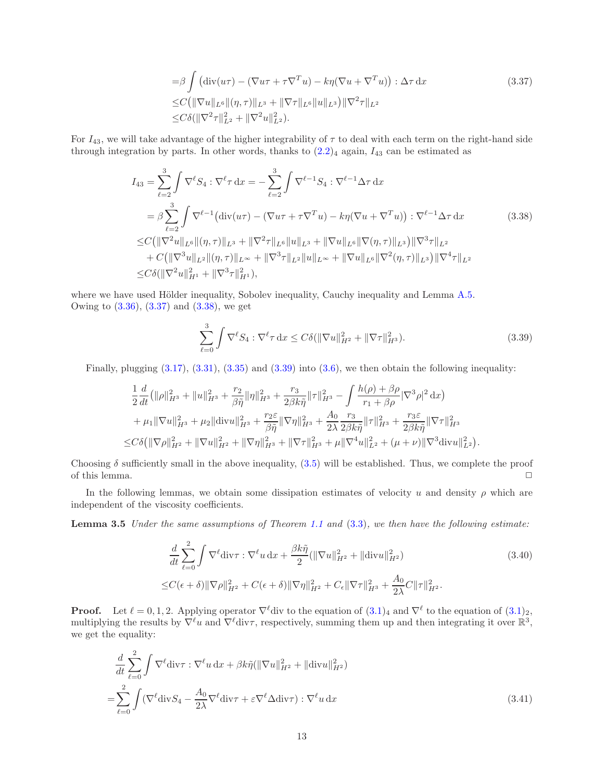<span id="page-12-0"></span>
$$
= \beta \int (\text{div}(u\tau) - (\nabla u\tau + \tau \nabla^T u) - k\eta (\nabla u + \nabla^T u)) : \Delta \tau \, dx
$$
\n
$$
\leq C \big( \|\nabla u\|_{L^6} \|(\eta, \tau)\|_{L^3} + \|\nabla \tau\|_{L^6} \|u\|_{L^3} \big) \|\nabla^2 \tau\|_{L^2}
$$
\n
$$
\leq C\delta (\|\nabla^2 \tau\|_{L^2}^2 + \|\nabla^2 u\|_{L^2}^2).
$$
\n(3.37)

For  $I_{43}$ , we will take advantage of the higher integrability of  $\tau$  to deal with each term on the right-hand side through integration by parts. In other words, thanks to  $(2.2)_4$  again,  $I_{43}$  can be estimated as

$$
I_{43} = \sum_{\ell=2}^{3} \int \nabla^{\ell} S_4 : \nabla^{\ell} \tau \, dx = -\sum_{\ell=2}^{3} \int \nabla^{\ell-1} S_4 : \nabla^{\ell-1} \Delta \tau \, dx
$$
  
\n
$$
= \beta \sum_{\ell=2}^{3} \int \nabla^{\ell-1} \big( \text{div}(u\tau) - (\nabla u\tau + \tau \nabla^T u) - k\eta (\nabla u + \nabla^T u) \big) : \nabla^{\ell-1} \Delta \tau \, dx
$$
  
\n
$$
\leq C \big( \| \nabla^2 u \|_{L^6} \| (\eta, \tau) \|_{L^3} + \| \nabla^2 \tau \|_{L^6} \| u \|_{L^3} + \| \nabla u \|_{L^6} \| \nabla (\eta, \tau) \|_{L^3} \big) \| \nabla^3 \tau \|_{L^2}
$$
  
\n
$$
+ C \big( \| \nabla^3 u \|_{L^2} \| (\eta, \tau) \|_{L^\infty} + \| \nabla^3 \tau \|_{L^2} \| u \|_{L^\infty} + \| \nabla u \|_{L^6} \| \nabla^2 (\eta, \tau) \|_{L^3} \big) \| \nabla^4 \tau \|_{L^2}
$$
  
\n
$$
\leq C \delta \big( \| \nabla^2 u \|_{H^1}^2 + \| \nabla^3 \tau \|_{H^1}^2 \big),
$$
 (3.38)

where we have used Hölder inequality, Sobolev inequality, Cauchy inequality and Lemma [A.5.](#page-33-0) Owing to  $(3.36)$ ,  $(3.37)$  and  $(3.38)$ , we get

<span id="page-12-2"></span><span id="page-12-1"></span>
$$
\sum_{\ell=0}^{3} \int \nabla^{\ell} S_4 : \nabla^{\ell} \tau \, dx \le C \delta (\|\nabla u\|_{H^2}^2 + \|\nabla \tau\|_{H^3}^2). \tag{3.39}
$$

Finally, plugging  $(3.17)$ ,  $(3.31)$ ,  $(3.35)$  and  $(3.39)$  into  $(3.6)$ , we then obtain the following inequality:

$$
\frac{1}{2}\frac{d}{dt}\left(\|\rho\|_{H^3}^2 + \|u\|_{H^3}^2 + \frac{r_2}{\beta\tilde{\eta}}\|\eta\|_{H^3}^2 + \frac{r_3}{2\beta k\tilde{\eta}}\|\tau\|_{H^3}^2 - \int \frac{h(\rho) + \beta\rho}{r_1 + \beta\rho}|\nabla^3\rho|^2 dx\right) \n+ \mu_1\|\nabla u\|_{H^3}^2 + \mu_2\|\text{div}u\|_{H^3}^2 + \frac{r_2\varepsilon}{\beta\tilde{\eta}}\|\nabla\eta\|_{H^3}^2 + \frac{A_0}{2\lambda}\frac{r_3}{2\beta k\tilde{\eta}}\|\tau\|_{H^3}^2 + \frac{r_3\varepsilon}{2\beta k\tilde{\eta}}\|\nabla\tau\|_{H^3}^2 \n\leq C\delta\left(\|\nabla\rho\|_{H^2}^2 + \|\nabla u\|_{H^2}^2 + \|\nabla\eta\|_{H^3}^2 + \|\nabla\tau\|_{H^3}^2 + \mu\|\nabla^4 u\|_{L^2}^2 + (\mu + \nu)\|\nabla^3 \text{div}u\|_{L^2}^2\right).
$$

Choosing  $\delta$  sufficiently small in the above inequality, [\(3](#page-6-5).5) will be established. Thus, we complete the proof of this lemma.  $\Box$ 

In the following lemmas, we obtain some dissipation estimates of velocity u and density  $\rho$  which are independent of the viscosity coefficients.

**Lemma 3.5** Under the same assumptions of Theorem [1.1](#page-3-0) and  $(3.3)$ , we then have the following estimate:

<span id="page-12-5"></span><span id="page-12-4"></span><span id="page-12-3"></span>
$$
\frac{d}{dt} \sum_{\ell=0}^{2} \int \nabla^{\ell} \text{div}\tau : \nabla^{\ell} u \, dx + \frac{\beta k \tilde{\eta}}{2} (\|\nabla u\|_{H^{2}}^{2} + \|\text{div}u\|_{H^{2}}^{2})
$$
\n
$$
\leq C(\epsilon + \delta) \|\nabla \rho\|_{H^{2}}^{2} + C(\epsilon + \delta) \|\nabla \eta\|_{H^{2}}^{2} + C_{\epsilon} \|\nabla \tau\|_{H^{3}}^{2} + \frac{A_{0}}{2\lambda} C \|\tau\|_{H^{2}}^{2}.
$$
\n(3.40)

**Proof.** Let  $\ell = 0, 1, 2$ . Applying operator  $\nabla^{\ell}$ div to the equation of  $(3.1)_{4}$  and  $\nabla^{\ell}$  to the equation of  $(3.1)_{2}$ , multiplying the results by  $\nabla^{\ell}u$  and  $\nabla^{\ell}$ div $\tau$ , respectively, summing them up and then integrating it over  $\mathbb{R}^3$ , we get the equality:

$$
\frac{d}{dt} \sum_{\ell=0}^{2} \int \nabla^{\ell} \text{div}\tau : \nabla^{\ell} u \, dx + \beta k \tilde{\eta} (\|\nabla u\|_{H^{2}}^{2} + \|\text{div}u\|_{H^{2}}^{2})
$$
\n
$$
= \sum_{\ell=0}^{2} \int (\nabla^{\ell} \text{div} S_{4} - \frac{A_{0}}{2\lambda} \nabla^{\ell} \text{div}\tau + \varepsilon \nabla^{\ell} \Delta \text{div}\tau) : \nabla^{\ell} u \, dx \tag{3.41}
$$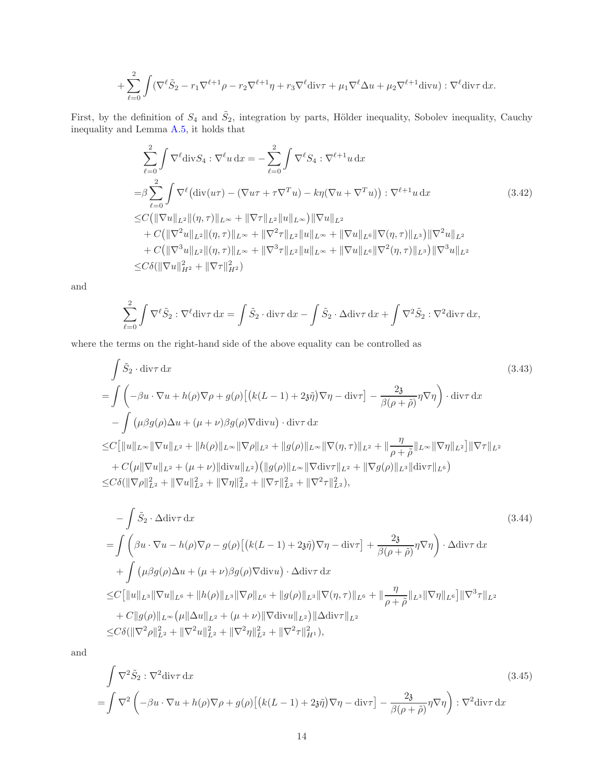+
$$
\sum_{\ell=0}^2 \int (\nabla^{\ell} \tilde{S}_2 - r_1 \nabla^{\ell+1} \rho - r_2 \nabla^{\ell+1} \eta + r_3 \nabla^{\ell} \text{div}\tau + \mu_1 \nabla^{\ell} \Delta u + \mu_2 \nabla^{\ell+1} \text{div}u) : \nabla^{\ell} \text{div}\tau \, \mathrm{d}x.
$$

First, by the definition of  $S_4$  and  $\tilde{S}_2$ , integration by parts, Hölder inequality, Sobolev inequality, Cauchy inequality and Lemma [A.5,](#page-33-0) it holds that

<span id="page-13-0"></span>
$$
\sum_{\ell=0}^{2} \int \nabla^{\ell} \text{div} S_{4} : \nabla^{\ell} u \, dx = -\sum_{\ell=0}^{2} \int \nabla^{\ell} S_{4} : \nabla^{\ell+1} u \, dx
$$
\n
$$
= \beta \sum_{\ell=0}^{2} \int \nabla^{\ell} (\text{div}(u\tau) - (\nabla u\tau + \tau \nabla^{T} u) - k\eta (\nabla u + \nabla^{T} u)) : \nabla^{\ell+1} u \, dx \tag{3.42}
$$
\n
$$
\leq C (\|\nabla u\|_{L^{2}} \|(\eta, \tau)\|_{L^{\infty}} + \|\nabla \tau\|_{L^{2}} \|u\|_{L^{\infty}}) \|\nabla u\|_{L^{2}} + C (\|\nabla^{2} u\|_{L^{2}} \|(\eta, \tau)\|_{L^{\infty}} + \|\nabla^{2} \tau\|_{L^{2}} \|u\|_{L^{\infty}} + \|\nabla u\|_{L^{6}} \|\nabla(\eta, \tau)\|_{L^{3}}) \|\nabla^{2} u\|_{L^{2}} + C (\|\nabla^{3} u\|_{L^{2}} \|(\eta, \tau)\|_{L^{\infty}} + \|\nabla^{3} \tau\|_{L^{2}} \|u\|_{L^{\infty}} + \|\nabla u\|_{L^{6}} \|\nabla^{2} (\eta, \tau)\|_{L^{3}}) \|\nabla^{3} u\|_{L^{2}}
$$
\n
$$
\leq C \delta (\|\nabla u\|_{H^{2}}^{2} + \|\nabla \tau\|_{H^{2}}^{2})
$$

and

<span id="page-13-1"></span>
$$
\sum_{\ell=0}^2 \int \nabla^{\ell} \tilde{S}_2 : \nabla^{\ell} \text{div}\tau \, \mathrm{d}x = \int \tilde{S}_2 \cdot \text{div}\tau \, \mathrm{d}x - \int \tilde{S}_2 \cdot \Delta \text{div}\tau \, \mathrm{d}x + \int \nabla^2 \tilde{S}_2 : \nabla^2 \text{div}\tau \, \mathrm{d}x,
$$

where the terms on the right-hand side of the above equality can be controlled as

$$
\int \tilde{S}_2 \cdot \operatorname{div}\tau \, dx
$$
\n
$$
= \int \left( -\beta u \cdot \nabla u + h(\rho) \nabla \rho + g(\rho) \left[ \left( k(L-1) + 2\tilde{s}\tilde{\eta} \right) \nabla \eta - \operatorname{div}\tau \right] - \frac{2\tilde{s}}{\beta(\rho + \tilde{\rho})} \eta \nabla \eta \right) \cdot \operatorname{div}\tau \, dx
$$
\n
$$
- \int \left( \mu \beta g(\rho) \Delta u + (\mu + \nu) \beta g(\rho) \nabla \operatorname{div}u \right) \cdot \operatorname{div}\tau \, dx
$$
\n
$$
\leq C \left[ \|u\|_{L^{\infty}} \|\nabla u\|_{L^{2}} + \|h(\rho)\|_{L^{\infty}} \|\nabla \rho\|_{L^{2}} + \|g(\rho)\|_{L^{\infty}} \|\nabla(\eta, \tau)\|_{L^{2}} + \|\frac{\eta}{\rho + \tilde{\rho}}\|_{L^{\infty}} \|\nabla \eta\|_{L^{2}} \right] \|\nabla \tau\|_{L^{2}}
$$
\n
$$
+ C \left( \mu \|\nabla u\|_{L^{2}} + (\mu + \nu) \|\operatorname{div}u\|_{L^{2}} \right) \left( \|g(\rho)\|_{L^{\infty}} \|\nabla \operatorname{div}\tau\|_{L^{2}} + \|\nabla g(\rho)\|_{L^{3}} \|\operatorname{div}\tau\|_{L^{6}} \right)
$$
\n
$$
\leq C \delta \left( \|\nabla \rho\|_{L^{2}}^{2} + \|\nabla u\|_{L^{2}}^{2} + \|\nabla \eta\|_{L^{2}}^{2} + \|\nabla \tau\|_{L^{2}}^{2} + \|\nabla^{2}\tau\|_{L^{2}}^{2} \right),
$$
\n(3.43)

$$
-\int \tilde{S}_2 \cdot \Delta \operatorname{div}\tau \, dx
$$
\n
$$
= \int \left( \beta u \cdot \nabla u - h(\rho) \nabla \rho - g(\rho) \left[ \left( k(L-1) + 2\tilde{\eta} \right) \nabla \eta - \operatorname{div}\tau \right] + \frac{2\tilde{\delta}}{\beta(\rho+\tilde{\rho})} \eta \nabla \eta \right) \cdot \Delta \operatorname{div}\tau \, dx
$$
\n
$$
+ \int \left( \mu \beta g(\rho) \Delta u + (\mu + \nu) \beta g(\rho) \nabla \operatorname{div}u \right) \cdot \Delta \operatorname{div}\tau \, dx
$$
\n
$$
\leq C \left[ \|u\|_{L^3} \|\nabla u\|_{L^6} + \|h(\rho)\|_{L^3} \|\nabla \rho\|_{L^6} + \|g(\rho)\|_{L^3} \|\nabla (\eta, \tau)\|_{L^6} + \|\frac{\eta}{\rho+\tilde{\rho}}\|_{L^3} \|\nabla \eta\|_{L^6} \right] \|\nabla^3 \tau\|_{L^2}
$$
\n
$$
+ C \|g(\rho) \|_{L^\infty} \left( \mu \|\Delta u\|_{L^2} + (\mu + \nu) \|\nabla \operatorname{div}u\|_{L^2} \right) \|\Delta \operatorname{div}\tau\|_{L^2}
$$
\n
$$
\leq C \delta (\|\nabla^2 \rho\|_{L^2}^2 + \|\nabla^2 u\|_{L^2}^2 + \|\nabla^2 \eta\|_{L^2}^2 + \|\nabla^2 \tau\|_{H^1}^2),
$$
\n(3.44)

and

<span id="page-13-2"></span>
$$
\int \nabla^2 \tilde{S}_2 : \nabla^2 \text{div}\tau \, \mathrm{d}x \tag{3.45}
$$
\n
$$
= \int \nabla^2 \left( -\beta u \cdot \nabla u + h(\rho) \nabla \rho + g(\rho) \left[ \left( k(L-1) + 2\mathfrak{z}\tilde{\eta} \right) \nabla \eta - \text{div}\tau \right] - \frac{2\mathfrak{z}}{\beta(\rho+\tilde{\rho})} \eta \nabla \eta \right) : \nabla^2 \text{div}\tau \, \mathrm{d}x \tag{3.45}
$$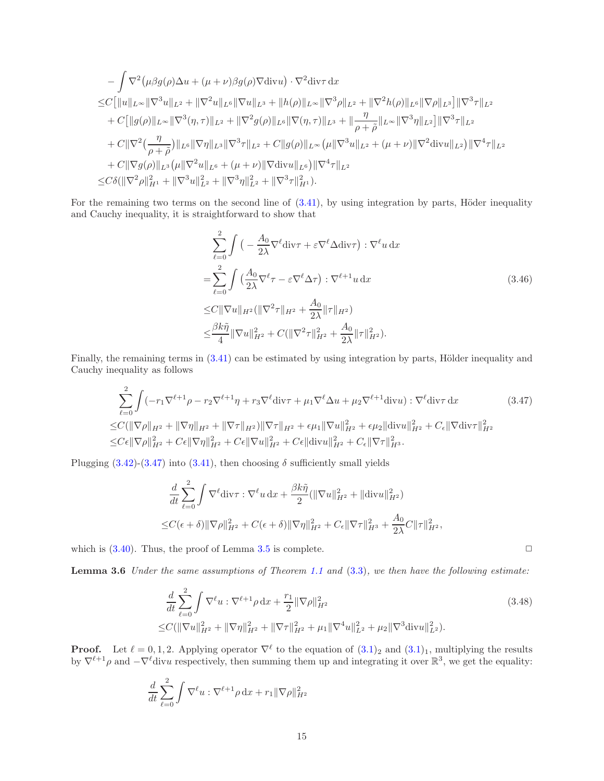$$
-\int \nabla^2 (\mu \beta g(\rho) \Delta u + (\mu + \nu) \beta g(\rho) \nabla \text{div} u) \cdot \nabla^2 \text{div} \tau \, dx
$$
  
\n
$$
\leq C \big[ \|u\|_{L^{\infty}} \|\nabla^3 u\|_{L^2} + \|\nabla^2 u\|_{L^6} \|\nabla u\|_{L^3} + \|h(\rho)\|_{L^{\infty}} \|\nabla^3 \rho\|_{L^2} + \|\nabla^2 h(\rho)\|_{L^6} \|\nabla \rho\|_{L^3} \big] \|\nabla^3 \tau\|_{L^2}
$$
  
\n
$$
+ C \big[ \|g(\rho)\|_{L^{\infty}} \|\nabla^3 (\eta, \tau)\|_{L^2} + \|\nabla^2 g(\rho)\|_{L^6} \|\nabla (\eta, \tau)\|_{L^3} + \|\frac{\eta}{\rho + \tilde{\rho}}\|_{L^{\infty}} \|\nabla^3 \eta\|_{L^2} \big] \|\nabla^3 \tau\|_{L^2}
$$
  
\n
$$
+ C \|\nabla^2 (\frac{\eta}{\rho + \tilde{\rho}}) \|_{L^6} \|\nabla \eta\|_{L^3} \|\nabla^3 \tau\|_{L^2} + C \|g(\rho)\|_{L^{\infty}} (\mu \|\nabla^3 u\|_{L^2} + (\mu + \nu) \|\nabla^2 \text{div} u\|_{L^2}) \|\nabla^4 \tau\|_{L^2}
$$
  
\n
$$
+ C \|\nabla g(\rho)\|_{L^3} (\mu \|\nabla^2 u\|_{L^6} + (\mu + \nu) \|\nabla \text{div} u\|_{L^6}) \|\nabla^4 \tau\|_{L^2}
$$
  
\n
$$
\leq C \delta (\|\nabla^2 \rho\|_{H^1}^2 + \|\nabla^3 u\|_{L^2}^2 + \|\nabla^3 \eta\|_{L^2}^2 + \|\nabla^3 \tau\|_{H^1}^2).
$$

For the remaining two terms on the second line of  $(3.41)$ , by using integration by parts, Höder inequality and Cauchy inequality, it is straightforward to show that

$$
\sum_{\ell=0}^{2} \int \left( -\frac{A_0}{2\lambda} \nabla^{\ell} \text{div}\tau + \varepsilon \nabla^{\ell} \Delta \text{div}\tau \right) : \nabla^{\ell} u \, \text{d}x
$$
\n
$$
= \sum_{\ell=0}^{2} \int \left( \frac{A_0}{2\lambda} \nabla^{\ell} \tau - \varepsilon \nabla^{\ell} \Delta \tau \right) : \nabla^{\ell+1} u \, \text{d}x
$$
\n
$$
\leq C \|\nabla u\|_{H^2} (\|\nabla^2 \tau\|_{H^2} + \frac{A_0}{2\lambda} \|\tau\|_{H^2})
$$
\n
$$
\leq \frac{\beta k \tilde{\eta}}{4} \|\nabla u\|_{H^2}^2 + C (\|\nabla^2 \tau\|_{H^2}^2 + \frac{A_0}{2\lambda} \|\tau\|_{H^2}^2).
$$
\n(3.46)

Finally, the remaining terms in  $(3.41)$  can be estimated by using integration by parts, Hölder inequality and Cauchy inequality as follows

$$
\sum_{\ell=0}^{2} \int (-r_1 \nabla^{\ell+1} \rho - r_2 \nabla^{\ell+1} \eta + r_3 \nabla^{\ell} \text{div}\tau + \mu_1 \nabla^{\ell} \Delta u + \mu_2 \nabla^{\ell+1} \text{div}u) : \nabla^{\ell} \text{div}\tau \, \mathrm{d}x \tag{3.47}
$$
\n
$$
\leq C(\|\nabla \rho\|_{H^2} + \|\nabla \eta\|_{H^2} + \|\nabla \tau\|_{H^2}) \|\nabla \tau\|_{H^2} + \epsilon \mu_1 \|\nabla u\|_{H^2}^2 + \epsilon \mu_2 \|\text{div}u\|_{H^2}^2 + C_{\epsilon} \|\nabla \text{div}\tau\|_{H^2}^2
$$
\n
$$
\leq C\epsilon \|\nabla \rho\|_{H^2}^2 + C\epsilon \|\nabla \eta\|_{H^2}^2 + C\epsilon \|\nabla u\|_{H^2}^2 + C\epsilon \|\text{div}u\|_{H^2}^2 + C_{\epsilon} \|\nabla \tau\|_{H^3}^2.
$$

Plugging  $(3.42)-(3.47)$  $(3.42)-(3.47)$  into  $(3.41)$ , then choosing  $\delta$  sufficiently small yields

$$
\frac{d}{dt} \sum_{\ell=0}^{2} \int \nabla^{\ell} \text{div}\tau : \nabla^{\ell} u \, dx + \frac{\beta k \tilde{\eta}}{2} (\|\nabla u\|_{H^{2}}^{2} + \|\text{div}u\|_{H^{2}}^{2})
$$
\n
$$
\leq C(\epsilon + \delta) \|\nabla \rho\|_{H^{2}}^{2} + C(\epsilon + \delta) \|\nabla \eta\|_{H^{2}}^{2} + C_{\epsilon} \|\nabla \tau\|_{H^{3}}^{2} + \frac{A_{0}}{2\lambda} C \|\tau\|_{H^{2}}^{2},
$$

<span id="page-14-0"></span>which is  $(3.40)$ . Thus, the proof of Lemma [3.5](#page-12-5) is complete.  $\Box$ 

**Lemma 3.6** Under the same assumptions of Theorem [1.1](#page-3-0) and  $(3.3)$ , we then have the following estimate:

$$
\frac{d}{dt} \sum_{\ell=0}^{2} \int \nabla^{\ell} u : \nabla^{\ell+1} \rho \, dx + \frac{r_1}{2} \|\nabla \rho\|_{H^2}^2
$$
\n
$$
\leq C (\|\nabla u\|_{H^2}^2 + \|\nabla \eta\|_{H^2}^2 + \|\nabla \tau\|_{H^2}^2 + \mu_1 \|\nabla^4 u\|_{L^2}^2 + \mu_2 \|\nabla^3 \text{div} u\|_{L^2}^2). \tag{3.48}
$$

**Proof.** Let  $\ell = 0, 1, 2$ . Applying operator  $\nabla^{\ell}$  to the equation of  $(3.1)_2$  and  $(3.1)_1$ , multiplying the results by  $\nabla^{\ell+1}\rho$  and  $-\nabla^{\ell}$  divu respectively, then summing them up and integrating it over  $\mathbb{R}^3$ , we get the equality:

$$
\frac{d}{dt}\sum_{\ell=0}^{2}\int \nabla^{\ell}u:\nabla^{\ell+1}\rho\,\mathrm{d}x+r_{1}\|\nabla\rho\|_{H^{2}}^{2}
$$

<span id="page-14-2"></span><span id="page-14-1"></span>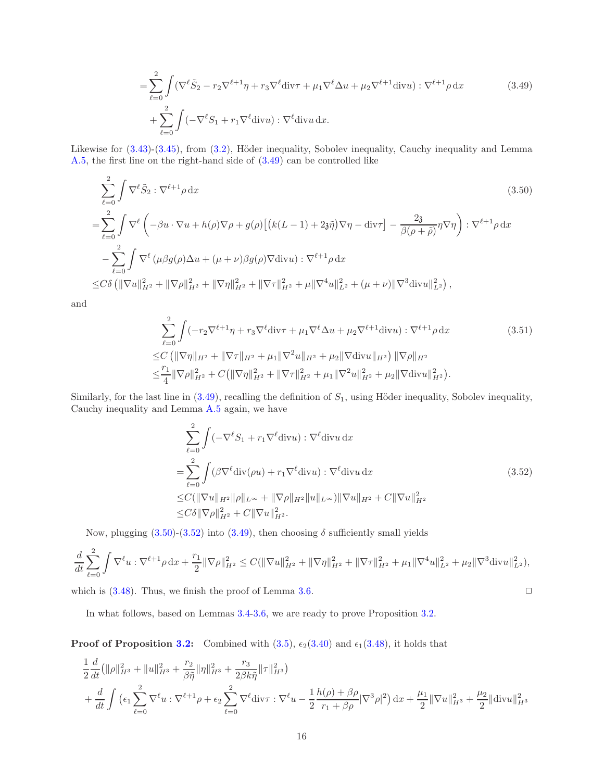<span id="page-15-0"></span>
$$
= \sum_{\ell=0}^{2} \int (\nabla^{\ell} \tilde{S}_2 - r_2 \nabla^{\ell+1} \eta + r_3 \nabla^{\ell} \text{div}\tau + \mu_1 \nabla^{\ell} \Delta u + \mu_2 \nabla^{\ell+1} \text{div}u) : \nabla^{\ell+1} \rho \, dx
$$
\n
$$
+ \sum_{\ell=0}^{2} \int (-\nabla^{\ell} S_1 + r_1 \nabla^{\ell} \text{div}u) : \nabla^{\ell} \text{div}u \, dx.
$$
\n(3.49)

Likewise for  $(3.43)-(3.45)$  $(3.43)-(3.45)$ , from  $(3.2)$ , Höder inequality, Sobolev inequality, Cauchy inequality and Lemma [A.5,](#page-33-0) the first line on the right-hand side of [\(3.49\)](#page-15-0) can be controlled like

$$
\sum_{\ell=0}^{2} \int \nabla^{\ell} \tilde{S}_{2} : \nabla^{\ell+1} \rho \, dx
$$
\n
$$
= \sum_{\ell=0}^{2} \int \nabla^{\ell} \left( -\beta u \cdot \nabla u + h(\rho) \nabla \rho + g(\rho) \left[ \left( k(L-1) + 2\tilde{\eta} \right) \nabla \eta - \text{div}\tau \right] - \frac{2\tilde{\mathfrak{z}}}{\beta(\rho+\tilde{\rho})} \eta \nabla \eta \right) : \nabla^{\ell+1} \rho \, dx
$$
\n
$$
- \sum_{\ell=0}^{2} \int \nabla^{\ell} \left( \mu \beta g(\rho) \Delta u + (\mu + \nu) \beta g(\rho) \nabla \text{div} u \right) : \nabla^{\ell+1} \rho \, dx
$$
\n
$$
\leq C \delta \left( \|\nabla u\|_{H^{2}}^{2} + \|\nabla \rho\|_{H^{2}}^{2} + \|\nabla \eta\|_{H^{2}}^{2} + \|\nabla \tau\|_{H^{2}}^{2} + \mu \|\nabla^{4} u\|_{L^{2}}^{2} + (\mu + \nu) \|\nabla^{3} \text{div} u\|_{L^{2}}^{2} \right),
$$
\n(3.50)

and

<span id="page-15-1"></span>
$$
\sum_{\ell=0}^{2} \int (-r_2 \nabla^{\ell+1} \eta + r_3 \nabla^{\ell} \text{div}\tau + \mu_1 \nabla^{\ell} \Delta u + \mu_2 \nabla^{\ell+1} \text{div}u) : \nabla^{\ell+1} \rho \, dx \tag{3.51}
$$
\n
$$
\leq C \left( \|\nabla \eta\|_{H^2} + \|\nabla \tau\|_{H^2} + \mu_1 \|\nabla^2 u\|_{H^2} + \mu_2 \|\nabla \text{div}u\|_{H^2} \right) \|\nabla \rho\|_{H^2}
$$
\n
$$
\leq \frac{r_1}{4} \|\nabla \rho\|_{H^2}^2 + C \left( \|\nabla \eta\|_{H^2}^2 + \|\nabla \tau\|_{H^2}^2 + \mu_1 \|\nabla^2 u\|_{H^2}^2 + \mu_2 \|\nabla \text{div}u\|_{H^2}^2 \right).
$$

Similarly, for the last line in  $(3.49)$ , recalling the definition of  $S_1$ , using Höder inequality, Sobolev inequality, Cauchy inequality and Lemma [A.5](#page-33-0) again, we have

<span id="page-15-2"></span>
$$
\sum_{\ell=0}^{2} \int \left( -\nabla^{\ell} S_1 + r_1 \nabla^{\ell} \text{div} u \right) : \nabla^{\ell} \text{div} u \, \mathrm{d}x
$$
\n
$$
= \sum_{\ell=0}^{2} \int \left( \beta \nabla^{\ell} \text{div}(\rho u) + r_1 \nabla^{\ell} \text{div} u \right) : \nabla^{\ell} \text{div} u \, \mathrm{d}x
$$
\n
$$
\leq C (\|\nabla u\|_{H^2} \|\rho\|_{L^{\infty}} + \|\nabla \rho\|_{H^2} \|u\|_{L^{\infty}}) \|\nabla u\|_{H^2} + C \|\nabla u\|_{H^2}^2
$$
\n
$$
\leq C \delta \|\nabla \rho\|_{H^2}^2 + C \|\nabla u\|_{H^2}^2.
$$
\n(3.52)

Now, plugging  $(3.50)$ - $(3.52)$  into  $(3.49)$ , then choosing  $\delta$  sufficiently small yields

$$
\frac{d}{dt}\sum_{\ell=0}^2\int \nabla^\ell u:\nabla^{\ell+1}\rho\, \mathrm{d} x+\frac{r_1}{2}\|\nabla\rho\|_{H^2}^2\leq C(\|\nabla u\|_{H^2}^2+\|\nabla \eta\|_{H^2}^2+\|\nabla \tau\|_{H^2}^2+\mu_1\|\nabla^4 u\|_{L^2}^2+\mu_2\|\nabla^3\mathrm{div} u\|_{L^2}^2),
$$

which is  $(3.48)$ . Thus, we finish the proof of Lemma [3.6.](#page-14-0)  $\Box$ 

In what follows, based on Lemmas [3.4-](#page-6-2)[3.6,](#page-14-0) we are ready to prove Proposition [3.2.](#page-6-0)

**Proof of Proposition [3.2:](#page-6-0)** Combined with  $(3.5)$ ,  $\epsilon_2(3.40)$  $\epsilon_2(3.40)$  and  $\epsilon_1(3.48)$  $\epsilon_1(3.48)$ , it holds that

$$
\frac{1}{2}\frac{d}{dt}\left(\|\rho\|_{H^3}^2 + \|u\|_{H^3}^2 + \frac{r_2}{\beta\tilde{\eta}}\|\eta\|_{H^3}^2 + \frac{r_3}{2\beta k\tilde{\eta}}\|\tau\|_{H^3}^2\right) \n+ \frac{d}{dt}\int \left(\epsilon_1 \sum_{\ell=0}^2 \nabla^{\ell} u : \nabla^{\ell+1}\rho + \epsilon_2 \sum_{\ell=0}^2 \nabla^{\ell} \text{div}\tau : \nabla^{\ell} u - \frac{1}{2}\frac{h(\rho) + \beta\rho}{r_1 + \beta\rho}|\nabla^3\rho|^2\right) dx + \frac{\mu_1}{2}\|\nabla u\|_{H^3}^2 + \frac{\mu_2}{2}\|\text{div}u\|_{H^3}^2
$$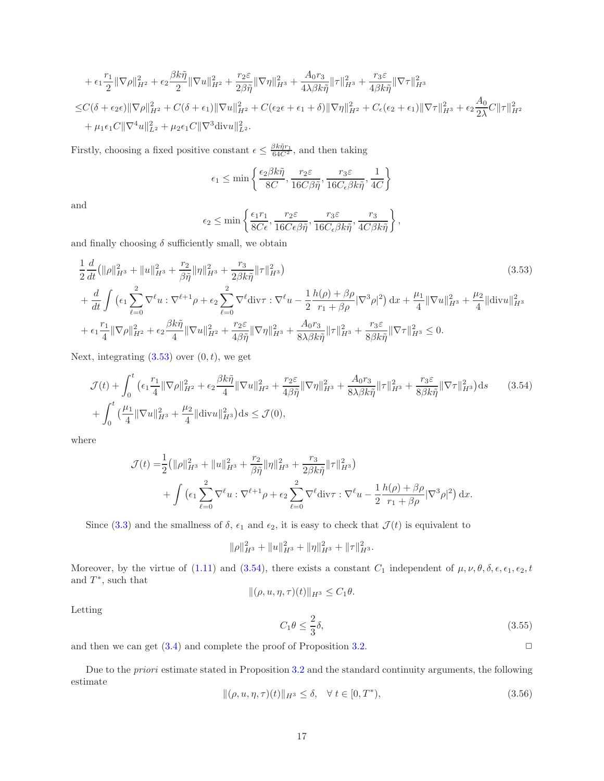+ 
$$
\epsilon_1 \frac{r_1}{2} \|\nabla \rho\|_{H^2}^2 + \epsilon_2 \frac{\beta k \tilde{\eta}}{2} \|\nabla u\|_{H^2}^2 + \frac{r_2 \varepsilon}{2 \beta \tilde{\eta}} \|\nabla \eta\|_{H^3}^2 + \frac{A_0 r_3}{4 \lambda \beta k \tilde{\eta}} \|\tau\|_{H^3}^2 + \frac{r_3 \varepsilon}{4 \beta k \tilde{\eta}} \|\nabla \tau\|_{H^3}^2
$$
  
\n $\leq C(\delta + \epsilon_2 \epsilon) \|\nabla \rho\|_{H^2}^2 + C(\delta + \epsilon_1) \|\nabla u\|_{H^2}^2 + C(\epsilon_2 \epsilon + \epsilon_1 + \delta) \|\nabla \eta\|_{H^2}^2 + C_{\epsilon}(\epsilon_2 + \epsilon_1) \|\nabla \tau\|_{H^3}^2 + \epsilon_2 \frac{A_0}{2 \lambda} C \|\tau\|_{H^2}^2$   
\n+  $\mu_1 \epsilon_1 C \|\nabla^4 u\|_{L^2}^2 + \mu_2 \epsilon_1 C \|\nabla^3 \text{div} u\|_{L^2}^2$ .

Firstly, choosing a fixed positive constant  $\epsilon \leq \frac{\beta k \tilde{\eta} r_1}{64C^2}$ , and then taking

$$
\epsilon_1 \le \min\left\{ \frac{\epsilon_2 \beta k \tilde{\eta}}{8C}, \frac{r_2 \varepsilon}{16C\beta \tilde{\eta}}, \frac{r_3 \varepsilon}{16C_{\epsilon} \beta k \tilde{\eta}}, \frac{1}{4C} \right\}
$$

and

<span id="page-16-1"></span>
$$
\epsilon_2 \le \min\left\{ \frac{\epsilon_1 r_1}{8C\epsilon}, \frac{r_2 \varepsilon}{16C\epsilon\beta\tilde{\eta}}, \frac{r_3 \varepsilon}{16C\epsilon\beta k\tilde{\eta}}, \frac{r_3}{4C\beta k\tilde{\eta}} \right\},\,
$$

and finally choosing  $\delta$  sufficiently small, we obtain

$$
\frac{1}{2}\frac{d}{dt}\left(\|\rho\|_{H^{3}}^{2} + \|u\|_{H^{3}}^{2} + \frac{r_{2}}{\beta\tilde{\eta}}\|\eta\|_{H^{3}}^{2} + \frac{r_{3}}{2\beta k\tilde{\eta}}\|\tau\|_{H^{3}}^{2}\right) \tag{3.53}
$$
\n
$$
+\frac{d}{dt}\int \left(\epsilon_{1}\sum_{\ell=0}^{2}\nabla^{\ell}u:\nabla^{\ell+1}\rho + \epsilon_{2}\sum_{\ell=0}^{2}\nabla^{\ell}\text{div}\tau:\nabla^{\ell}u - \frac{1}{2}\frac{h(\rho) + \beta\rho}{r_{1} + \beta\rho}|\nabla^{3}\rho|^{2}\right)dx + \frac{\mu_{1}}{4}\|\nabla u\|_{H^{3}}^{2} + \frac{\mu_{2}}{4}\|\text{div}u\|_{H^{3}}^{2}
$$
\n
$$
+\epsilon_{1}\frac{r_{1}}{4}\|\nabla\rho\|_{H^{2}}^{2} + \epsilon_{2}\frac{\beta k\tilde{\eta}}{4}\|\nabla u\|_{H^{2}}^{2} + \frac{r_{2}\varepsilon}{4\beta\tilde{\eta}}\|\nabla\eta\|_{H^{3}}^{2} + \frac{A_{0}r_{3}}{8\lambda\beta k\tilde{\eta}}\|\tau\|_{H^{3}}^{2} + \frac{r_{3}\varepsilon}{8\beta k\tilde{\eta}}\|\nabla\tau\|_{H^{3}}^{2} \leq 0.
$$
\n(3.53)

Next, integrating  $(3.53)$  over  $(0, t)$ , we get

$$
\mathcal{J}(t) + \int_0^t \left( \epsilon_1 \frac{r_1}{4} \|\nabla \rho\|_{H^2}^2 + \epsilon_2 \frac{\beta k \tilde{\eta}}{4} \|\nabla u\|_{H^2}^2 + \frac{r_2 \varepsilon}{4 \beta \tilde{\eta}} \|\nabla \eta\|_{H^3}^2 + \frac{A_0 r_3}{8\lambda \beta k \tilde{\eta}} \|\tau\|_{H^3}^2 + \frac{r_3 \varepsilon}{8\beta k \tilde{\eta}} \|\nabla \tau\|_{H^3}^2 \right) ds \qquad (3.54)
$$

$$
+ \int_0^t \left( \frac{\mu_1}{4} \|\nabla u\|_{H^3}^2 + \frac{\mu_2}{4} \|\text{div} u\|_{H^3}^2 \right) ds \le \mathcal{J}(0),
$$

where

$$
\mathcal{J}(t) = \frac{1}{2} \left( \|\rho\|_{H^3}^2 + \|u\|_{H^3}^2 + \frac{r_2}{\beta \tilde{\eta}} \|\eta\|_{H^3}^2 + \frac{r_3}{2\beta k \tilde{\eta}} \|\tau\|_{H^3}^2 \right) + \int \left( \epsilon_1 \sum_{\ell=0}^2 \nabla^\ell u : \nabla^{\ell+1} \rho + \epsilon_2 \sum_{\ell=0}^2 \nabla^\ell \text{div} \tau : \nabla^\ell u - \frac{1}{2} \frac{h(\rho) + \beta \rho}{r_1 + \beta \rho} |\nabla^3 \rho|^2 \right) dx.
$$

Since [\(3.3\)](#page-6-3) and the smallness of  $\delta$ ,  $\epsilon_1$  and  $\epsilon_2$ , it is easy to check that  $\mathcal{J}(t)$  is equivalent to

<span id="page-16-2"></span>
$$
\|\rho\|_{H^3}^2 + \|u\|_{H^3}^2 + \|\eta\|_{H^3}^2 + \|\tau\|_{H^3}^2.
$$

Moreover, by the virtue of [\(1.11\)](#page-3-2) and [\(3.54\)](#page-16-2), there exists a constant  $C_1$  independent of  $\mu, \nu, \theta, \delta, \epsilon, \epsilon_1, \epsilon_2, t$ and  $T^*$ , such that

$$
\|(\rho, u, \eta, \tau)(t)\|_{H^3} \le C_1 \theta.
$$

Letting

<span id="page-16-0"></span>
$$
C_1 \theta \le \frac{2}{3} \delta,\tag{3.55}
$$

and then we can get  $(3.4)$  and complete the proof of Proposition [3.2.](#page-6-0)

Due to the priori estimate stated in Proposition [3.2](#page-6-0) and the standard continuity arguments, the following estimate

<span id="page-16-3"></span>
$$
\|(\rho, u, \eta, \tau)(t)\|_{H^3} \le \delta, \quad \forall \ t \in [0, T^*),
$$
\n(3.56)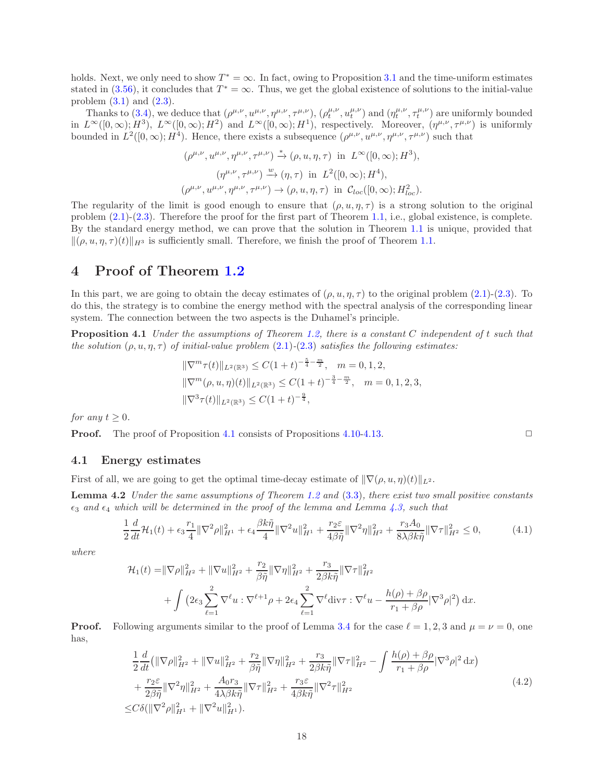holds. Next, we only need to show  $T^* = \infty$ . In fact, owing to Proposition [3.1](#page-5-3) and the time-uniform estimates stated in [\(3.56\)](#page-16-3), it concludes that  $T^* = \infty$ . Thus, we get the global existence of solutions to the initial-value problem  $(3.1)$  $(3.1)$  and  $(2.3)$  $(2.3)$ .

Thanks to [\(3.4\)](#page-6-1), we deduce that  $(\rho^{\mu,\nu}, u^{\mu,\nu}, \eta^{\mu,\nu}, \tau^{\mu,\nu})$ ,  $(\rho^{\mu,\nu}_t, u^{\mu,\nu}_t)$  and  $(\eta^{\mu,\nu}_t, \tau^{\mu,\nu}_t)$  are uniformly bounded in  $L^{\infty}([0,\infty); H^3)$ ,  $L^{\infty}([0,\infty); H^2)$  and  $L^{\infty}([0,\infty); H^1)$ , respectively. Moreover,  $(\eta^{\mu,\nu}, \tau^{\mu,\nu})$  is uniformly bounded in  $L^2([0,\infty); H^4)$ . Hence, there exists a subsequence  $(\rho^{\mu,\nu}, u^{\mu,\nu}, \eta^{\mu,\nu}, \tau^{\mu,\nu})$  such that

$$
(\rho^{\mu,\nu}, u^{\mu,\nu}, \eta^{\mu,\nu}, \tau^{\mu,\nu}) \xrightarrow{\ast} (\rho, u, \eta, \tau) \text{ in } L^{\infty}([0, \infty); H^3),
$$

$$
(\eta^{\mu,\nu}, \tau^{\mu,\nu}) \xrightarrow{\omega} (\eta, \tau) \text{ in } L^2([0, \infty); H^4),
$$

$$
(\rho^{\mu,\nu}, u^{\mu,\nu}, \eta^{\mu,\nu}, \tau^{\mu,\nu}) \to (\rho, u, \eta, \tau) \text{ in } \mathcal{C}_{loc}([0, \infty); H^2_{loc}).
$$

The regularity of the limit is good enough to ensure that  $(\rho, u, \eta, \tau)$  is a strong solution to the original problem [\(2](#page-4-1).1)-[\(2](#page-5-1).3). Therefore the proof for the first part of Theorem [1.1,](#page-3-0) i.e., global existence, is complete. By the standard energy method, we can prove that the solution in Theorem [1.1](#page-3-0) is unique, provided that  $\|(\rho, u, \eta, \tau)(t)\|_{H^3}$  is sufficiently small. Therefore, we finish the proof of Theorem [1.1.](#page-3-0)

## <span id="page-17-0"></span>4 Proof of Theorem [1.2](#page-3-1)

In this part, we are going to obtain the decay estimates of  $(\rho, u, \eta, \tau)$  to the original problem (2.[1\)](#page-4-1)-(2.[3\)](#page-5-1). To do this, the strategy is to combine the energy method with the spectral analysis of the corresponding linear system. The connection between the two aspects is the Duhamel's principle.

Proposition 4.1 Under the assumptions of Theorem [1.2,](#page-3-1) there is a constant C independent of t such that the solution  $(\rho, u, \eta, \tau)$  of initial-value problem  $(2.1)$  $(2.1)$ - $(2.3)$  satisfies the following estimates:

$$
\|\nabla^m \tau(t)\|_{L^2(\mathbb{R}^3)} \le C(1+t)^{-\frac{5}{4}-\frac{m}{2}}, \quad m = 0, 1, 2,
$$
  

$$
\|\nabla^m(\rho, u, \eta)(t)\|_{L^2(\mathbb{R}^3)} \le C(1+t)^{-\frac{3}{4}-\frac{m}{2}}, \quad m = 0, 1, 2, 3,
$$
  

$$
\|\nabla^3 \tau(t)\|_{L^2(\mathbb{R}^3)} \le C(1+t)^{-\frac{9}{4}},
$$

for any  $t \geq 0$ .

**Proof.** The proof of Proposition [4.1](#page-17-1) consists of Propositions [4.10-](#page-22-0)[4.13.](#page-24-1) □

### 4.1 Energy estimates

First of all, we are going to get the optimal time-decay estimate of  $\|\nabla(\rho, u, \eta)(t)\|_{L^2}$ .

Lemma 4.2 Under the same assumptions of Theorem [1.2](#page-3-1) and [\(3.3\)](#page-6-3), there exist two small positive constants  $\epsilon_3$  and  $\epsilon_4$  which will be determined in the proof of the lemma and Lemma [4.3,](#page-18-0) such that

<span id="page-17-3"></span>
$$
\frac{1}{2}\frac{d}{dt}\mathcal{H}_1(t) + \epsilon_3 \frac{r_1}{4} \|\nabla^2 \rho\|_{H^1}^2 + \epsilon_4 \frac{\beta k \tilde{\eta}}{4} \|\nabla^2 u\|_{H^1}^2 + \frac{r_2 \varepsilon}{4\beta \tilde{\eta}} \|\nabla^2 \eta\|_{H^2}^2 + \frac{r_3 A_0}{8\lambda \beta k \tilde{\eta}} \|\nabla \tau\|_{H^2}^2 \le 0,
$$
\n(4.1)

where

$$
\mathcal{H}_1(t) = \|\nabla \rho\|_{H^2}^2 + \|\nabla u\|_{H^2}^2 + \frac{r_2}{\beta \tilde{\eta}} \|\nabla \eta\|_{H^2}^2 + \frac{r_3}{2\beta k \tilde{\eta}} \|\nabla \tau\|_{H^2}^2 \n+ \int \left(2\epsilon_3 \sum_{\ell=1}^2 \nabla^\ell u : \nabla^{\ell+1} \rho + 2\epsilon_4 \sum_{\ell=1}^2 \nabla^\ell \text{div}\tau : \nabla^\ell u - \frac{h(\rho) + \beta \rho}{r_1 + \beta \rho} |\nabla^3 \rho|^2 \right) dx.
$$

<span id="page-17-2"></span>**Proof.** Following arguments similar to the proof of Lemma [3.4](#page-6-2) for the case  $\ell = 1, 2, 3$  and  $\mu = \nu = 0$ , one has,

$$
\frac{1}{2}\frac{d}{dt}\left(\|\nabla\rho\|_{H^2}^2 + \|\nabla u\|_{H^2}^2 + \frac{r_2}{\beta\tilde{\eta}}\|\nabla\eta\|_{H^2}^2 + \frac{r_3}{2\beta k\tilde{\eta}}\|\nabla\tau\|_{H^2}^2 - \int \frac{h(\rho) + \beta\rho}{r_1 + \beta\rho}|\nabla^3\rho|^2 dx\right) \n+ \frac{r_2\varepsilon}{2\beta\tilde{\eta}}\|\nabla^2\eta\|_{H^2}^2 + \frac{A_0r_3}{4\lambda\beta k\tilde{\eta}}\|\nabla\tau\|_{H^2}^2 + \frac{r_3\varepsilon}{4\beta k\tilde{\eta}}\|\nabla^2\tau\|_{H^2}^2 \n\leq C\delta(\|\nabla^2\rho\|_{H^1}^2 + \|\nabla^2u\|_{H^1}^2).
$$
\n(4.2)

<span id="page-17-4"></span><span id="page-17-1"></span>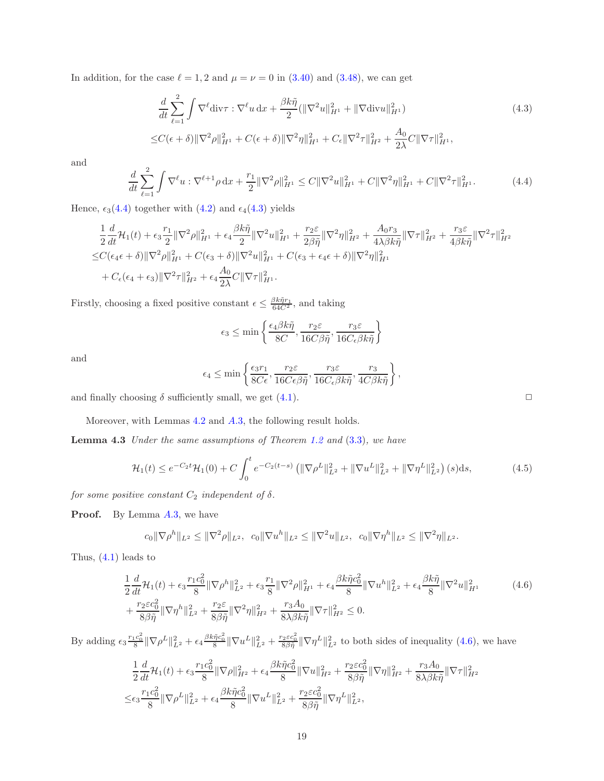In addition, for the case  $\ell = 1, 2$  and  $\mu = \nu = 0$  in  $(3.40)$  and  $(3.48)$ , we can get

$$
\frac{d}{dt} \sum_{\ell=1}^{2} \int \nabla^{\ell} \text{div}\tau : \nabla^{\ell} u \, dx + \frac{\beta k \tilde{\eta}}{2} (\|\nabla^2 u\|_{H^1}^2 + \|\nabla \text{div} u\|_{H^1}^2) \n\leq C(\epsilon + \delta) \|\nabla^2 \rho\|_{H^1}^2 + C(\epsilon + \delta) \|\nabla^2 \eta\|_{H^1}^2 + C_{\epsilon} \|\nabla^2 \tau\|_{H^2}^2 + \frac{A_0}{2\lambda} C \|\nabla \tau\|_{H^1}^2,
$$
\n(4.3)

and

<span id="page-18-1"></span>
$$
\frac{d}{dt} \sum_{\ell=1}^{2} \int \nabla^{\ell} u : \nabla^{\ell+1} \rho \, dx + \frac{r_1}{2} \|\nabla^2 \rho\|_{H^1}^2 \le C \|\nabla^2 u\|_{H^1}^2 + C \|\nabla^2 \eta\|_{H^1}^2 + C \|\nabla^2 \tau\|_{H^1}^2. \tag{4.4}
$$

Hence,  $\epsilon_3(4.4)$  $\epsilon_3(4.4)$  together with  $(4.2)$  and  $\epsilon_4(4.3)$  $\epsilon_4(4.3)$  yields

$$
\frac{1}{2}\frac{d}{dt}\mathcal{H}_{1}(t) + \epsilon_{3}\frac{r_{1}}{2}\|\nabla^{2}\rho\|_{H^{1}}^{2} + \epsilon_{4}\frac{\beta k\tilde{\eta}}{2}\|\nabla^{2}u\|_{H^{1}}^{2} + \frac{r_{2}\varepsilon}{2\beta\tilde{\eta}}\|\nabla^{2}\eta\|_{H^{2}}^{2} + \frac{A_{0}r_{3}}{4\lambda\beta k\tilde{\eta}}\|\nabla\tau\|_{H^{2}}^{2} + \frac{r_{3}\varepsilon}{4\beta k\tilde{\eta}}\|\nabla^{2}\tau\|_{H^{2}}^{2}
$$
  

$$
\leq C(\epsilon_{4}\epsilon + \delta)\|\nabla^{2}\rho\|_{H^{1}}^{2} + C(\epsilon_{3} + \delta)\|\nabla^{2}u\|_{H^{1}}^{2} + C(\epsilon_{3} + \epsilon_{4}\epsilon + \delta)\|\nabla^{2}\eta\|_{H^{1}}^{2}
$$
  

$$
+ C_{\epsilon}(\epsilon_{4} + \epsilon_{3})\|\nabla^{2}\tau\|_{H^{2}}^{2} + \epsilon_{4}\frac{A_{0}}{2\lambda}C\|\nabla\tau\|_{H^{1}}^{2}.
$$

Firstly, choosing a fixed positive constant  $\epsilon \leq \frac{\beta k \tilde{\eta} r_1}{64C^2}$ , and taking

$$
\epsilon_3 \le \min\left\{ \frac{\epsilon_4 \beta k \tilde{\eta}}{8C}, \frac{r_2 \varepsilon}{16 C \beta \tilde{\eta}}, \frac{r_3 \varepsilon}{16 C_\epsilon \beta k \tilde{\eta}} \right\}
$$

and

$$
\epsilon_4 \le \min\left\{ \frac{\epsilon_3 r_1}{8C\epsilon}, \frac{r_2 \varepsilon}{16C\epsilon \beta \tilde{\eta}}, \frac{r_3 \varepsilon}{16C\epsilon \beta k \tilde{\eta}}, \frac{r_3}{4C\beta k \tilde{\eta}} \right\},\,
$$

and finally choosing  $\delta$  sufficiently small, we get [\(4.1\)](#page-17-3).

Moreover, with Lemmas [4.2](#page-17-4) and [A.](#page-33-1)3, the following result holds.

**Lemma 4.3** Under the same assumptions of Theorem [1.2](#page-3-1) and  $(3.3)$  $(3.3)$ , we have

$$
\mathcal{H}_1(t) \le e^{-C_2 t} \mathcal{H}_1(0) + C \int_0^t e^{-C_2(t-s)} \left( \|\nabla \rho^L\|_{L^2}^2 + \|\nabla u^L\|_{L^2}^2 + \|\nabla \eta^L\|_{L^2}^2 \right)(s) \, ds,\tag{4.5}
$$

for some positive constant  $C_2$  independent of  $\delta.$ 

**Proof.** By Lemma [A.](#page-33-1)3, we have

$$
c_0 \|\nabla \rho^h\|_{L^2} \le \|\nabla^2 \rho\|_{L^2}, \quad c_0 \|\nabla u^h\|_{L^2} \le \|\nabla^2 u\|_{L^2}, \quad c_0 \|\nabla \eta^h\|_{L^2} \le \|\nabla^2 \eta\|_{L^2}.
$$

Thus,  $(4.1)$  $(4.1)$  leads to

$$
\frac{1}{2}\frac{d}{dt}\mathcal{H}_{1}(t) + \epsilon_{3}\frac{r_{1}c_{0}^{2}}{8}\|\nabla\rho^{h}\|_{L^{2}}^{2} + \epsilon_{3}\frac{r_{1}}{8}\|\nabla^{2}\rho\|_{H^{1}}^{2} + \epsilon_{4}\frac{\beta k\tilde{\eta}c_{0}^{2}}{8}\|\nabla u^{h}\|_{L^{2}}^{2} + \epsilon_{4}\frac{\beta k\tilde{\eta}}{8}\|\nabla^{2}u\|_{H^{1}}^{2} + \frac{r_{2}\epsilon c_{0}^{2}}{8\beta\tilde{\eta}}\|\nabla\eta^{h}\|_{L^{2}}^{2} + \frac{r_{2}\epsilon}{8\beta\tilde{\eta}}\|\nabla^{2}\eta\|_{H^{2}}^{2} + \frac{r_{3}A_{0}}{8\lambda\beta k\tilde{\eta}}\|\nabla\tau\|_{H^{2}}^{2} \leq 0.
$$
\n(4.6)

By adding  $\epsilon_3 \frac{r_1 c_0^2}{8} \|\nabla \rho^L\|_{L^2}^2 + \epsilon_4 \frac{\beta k \tilde{\eta} c_0^2}{8} \|\nabla u^L\|_{L^2}^2 + \frac{r_2 \varepsilon c_0^2}{8 \beta \tilde{\eta}} \|\nabla \eta^L\|_{L^2}^2$  to both sides of inequality [\(4](#page-18-3).6), we have

$$
\frac{1}{2}\frac{d}{dt}\mathcal{H}_{1}(t) + \epsilon_{3}\frac{r_{1}c_{0}^{2}}{8}\|\nabla\rho\|_{H^{2}}^{2} + \epsilon_{4}\frac{\beta k\tilde{\eta}c_{0}^{2}}{8}\|\nabla u\|_{H^{2}}^{2} + \frac{r_{2}\varepsilon c_{0}^{2}}{8\beta\tilde{\eta}}\|\nabla\eta\|_{H^{2}}^{2} + \frac{r_{3}A_{0}}{8\lambda\beta k\tilde{\eta}}\|\nabla\tau\|_{H^{2}}^{2}
$$

$$
\leq \epsilon_{3}\frac{r_{1}c_{0}^{2}}{8}\|\nabla\rho^{L}\|_{L^{2}}^{2} + \epsilon_{4}\frac{\beta k\tilde{\eta}c_{0}^{2}}{8}\|\nabla u^{L}\|_{L^{2}}^{2} + \frac{r_{2}\varepsilon c_{0}^{2}}{8\beta\tilde{\eta}}\|\nabla\eta^{L}\|_{L^{2}}^{2},
$$

<span id="page-18-4"></span><span id="page-18-3"></span><span id="page-18-2"></span><span id="page-18-0"></span>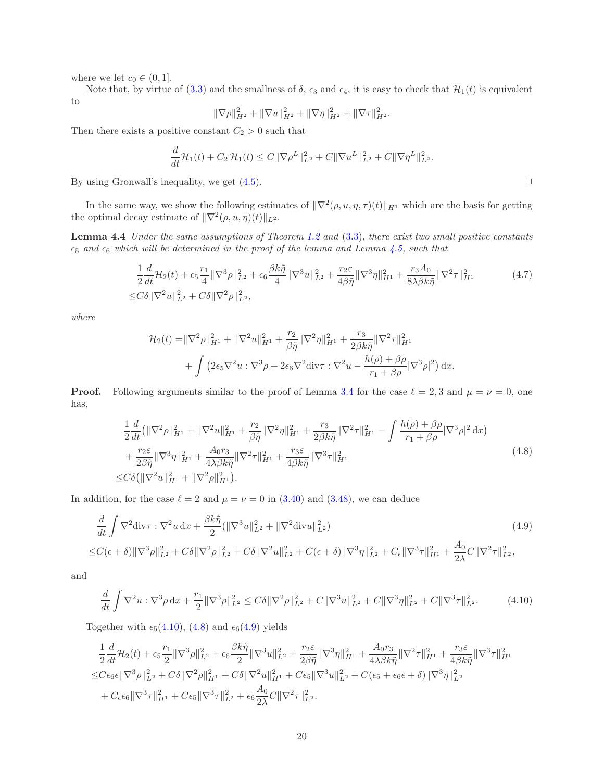where we let  $c_0 \in (0, 1]$ .

Note that, by virtue of [\(3.3\)](#page-6-3) and the smallness of  $\delta$ ,  $\epsilon_3$  and  $\epsilon_4$ , it is easy to check that  $\mathcal{H}_1(t)$  is equivalent to

<span id="page-19-4"></span>
$$
\|\nabla \rho\|_{H^2}^2 + \|\nabla u\|_{H^2}^2 + \|\nabla \eta\|_{H^2}^2 + \|\nabla \tau\|_{H^2}^2.
$$

Then there exists a positive constant  $C_2 > 0$  such that

$$
\frac{d}{dt}\mathcal{H}_1(t) + C_2 \mathcal{H}_1(t) \leq C \|\nabla \rho^L\|_{L^2}^2 + C \|\nabla u^L\|_{L^2}^2 + C \|\nabla \eta^L\|_{L^2}^2.
$$

By using Gronwall's inequality, we get  $(4.5)$ .

In the same way, we show the following estimates of  $\|\nabla^2(\rho, u, \eta, \tau)(t)\|_{H^1}$  which are the basis for getting the optimal decay estimate of  $\|\nabla^2(\rho, u, \eta)(t)\|_{L^2}$ .

Lemma 4.4 Under the same assumptions of Theorem [1.2](#page-3-1) and [\(3.3\)](#page-6-3), there exist two small positive constants  $\epsilon_5$  and  $\epsilon_6$  which will be determined in the proof of the lemma and Lemma [4.5,](#page-20-0) such that

$$
\frac{1}{2}\frac{d}{dt}\mathcal{H}_2(t) + \epsilon_5 \frac{r_1}{4} \|\nabla^3 \rho\|_{L^2}^2 + \epsilon_6 \frac{\beta k \tilde{\eta}}{4} \|\nabla^3 u\|_{L^2}^2 + \frac{r_2 \varepsilon}{4\beta \tilde{\eta}} \|\nabla^3 \eta\|_{H^1}^2 + \frac{r_3 A_0}{8\lambda \beta k \tilde{\eta}} \|\nabla^2 \tau\|_{H^1}^2
$$
\n
$$
\leq C\delta \|\nabla^2 u\|_{L^2}^2 + C\delta \|\nabla^2 \rho\|_{L^2}^2,
$$
\n(4.7)

where

$$
\mathcal{H}_2(t) = \|\nabla^2 \rho\|_{H^1}^2 + \|\nabla^2 u\|_{H^1}^2 + \frac{r_2}{\beta \tilde{\eta}} \|\nabla^2 \eta\|_{H^1}^2 + \frac{r_3}{2\beta k \tilde{\eta}} \|\nabla^2 \tau\|_{H^1}^2 + \int \left(2\epsilon_5 \nabla^2 u : \nabla^3 \rho + 2\epsilon_6 \nabla^2 \text{div}\tau : \nabla^2 u - \frac{h(\rho) + \beta \rho}{r_1 + \beta \rho} |\nabla^3 \rho|^2 \right) dx.
$$

**Proof.** Following arguments similar to the proof of Lemma [3.4](#page-6-2) for the case  $\ell = 2, 3$  and  $\mu = \nu = 0$ , one has,

$$
\frac{1}{2}\frac{d}{dt}\left(\|\nabla^{2}\rho\|_{H^{1}}^{2} + \|\nabla^{2}u\|_{H^{1}}^{2} + \frac{r_{2}}{\beta\tilde{\eta}}\|\nabla^{2}\eta\|_{H^{1}}^{2} + \frac{r_{3}}{2\beta k\tilde{\eta}}\|\nabla^{2}\tau\|_{H^{1}}^{2} - \int \frac{h(\rho) + \beta\rho}{r_{1} + \beta\rho}|\nabla^{3}\rho|^{2} dx\right) \n+ \frac{r_{2}\varepsilon}{2\beta\tilde{\eta}}\|\nabla^{3}\eta\|_{H^{1}}^{2} + \frac{A_{0}r_{3}}{4\lambda\beta k\tilde{\eta}}\|\nabla^{2}\tau\|_{H^{1}}^{2} + \frac{r_{3}\varepsilon}{4\beta k\tilde{\eta}}\|\nabla^{3}\tau\|_{H^{1}}^{2} \n\leq C\delta\left(\|\nabla^{2}u\|_{H^{1}}^{2} + \|\nabla^{2}\rho\|_{H^{1}}^{2}\right).
$$
\n(4.8)

<span id="page-19-1"></span>In addition, for the case  $\ell = 2$  and  $\mu = \nu = 0$  in [\(3.40\)](#page-12-4) and [\(3.48\)](#page-14-2), we can deduce

$$
\frac{d}{dt} \int \nabla^2 \text{div}\tau : \nabla^2 u \, \text{d}x + \frac{\beta k \tilde{\eta}}{2} (\|\nabla^3 u\|_{L^2}^2 + \|\nabla^2 \text{div}u\|_{L^2}^2) \tag{4.9}
$$
\n
$$
\leq C(\epsilon + \delta) \|\nabla^3 \rho\|_{L^2}^2 + C\delta \|\nabla^2 \rho\|_{L^2}^2 + C\delta \|\nabla^2 u\|_{L^2}^2 + C(\epsilon + \delta) \|\nabla^3 \eta\|_{L^2}^2 + C_{\epsilon} \|\nabla^3 \tau\|_{H^1}^2 + \frac{A_0}{2\lambda} C \|\nabla^2 \tau\|_{L^2}^2,
$$

and

<span id="page-19-0"></span>
$$
\frac{d}{dt}\int \nabla^2 u : \nabla^3 \rho \, dx + \frac{r_1}{2} \|\nabla^3 \rho\|_{L^2}^2 \le C\delta \|\nabla^2 \rho\|_{L^2}^2 + C\|\nabla^3 u\|_{L^2}^2 + C\|\nabla^3 \eta\|_{L^2}^2 + C\|\nabla^3 \tau\|_{L^2}^2. \tag{4.10}
$$

Together with  $\epsilon_5(4.10)$  $\epsilon_5(4.10)$ ,  $(4.8)$  and  $\epsilon_6(4.9)$  $\epsilon_6(4.9)$  yields

$$
\begin{split}\n&\frac{1}{2}\frac{d}{dt}\mathcal{H}_{2}(t) + \epsilon_{5}\frac{r_{1}}{2}\|\nabla^{3}\rho\|^{2}_{L^{2}} + \epsilon_{6}\frac{\beta k\tilde{\eta}}{2}\|\nabla^{3}u\|^{2}_{L^{2}} + \frac{r_{2}\varepsilon}{2\beta\tilde{\eta}}\|\nabla^{3}\eta\|^{2}_{H^{1}} + \frac{A_{0}r_{3}}{4\lambda\beta k\tilde{\eta}}\|\nabla^{2}\tau\|^{2}_{H^{1}} + \frac{r_{3}\varepsilon}{4\beta k\tilde{\eta}}\|\nabla^{3}\tau\|^{2}_{H^{1}} \\
&\leq C\epsilon_{6}\epsilon\|\nabla^{3}\rho\|^{2}_{L^{2}} + C\delta\|\nabla^{2}\rho\|^{2}_{H^{1}} + C\delta\|\nabla^{2}u\|^{2}_{H^{1}} + C\epsilon_{5}\|\nabla^{3}u\|^{2}_{L^{2}} + C(\epsilon_{5} + \epsilon_{6}\epsilon + \delta)\|\nabla^{3}\eta\|^{2}_{L^{2}} \\
&\quad + C_{\epsilon}\epsilon_{6}\|\nabla^{3}\tau\|^{2}_{H^{1}} + C\epsilon_{5}\|\nabla^{3}\tau\|^{2}_{L^{2}} + \epsilon_{6}\frac{A_{0}}{2\lambda}C\|\nabla^{2}\tau\|^{2}_{L^{2}}.\n\end{split}
$$

<span id="page-19-3"></span><span id="page-19-2"></span>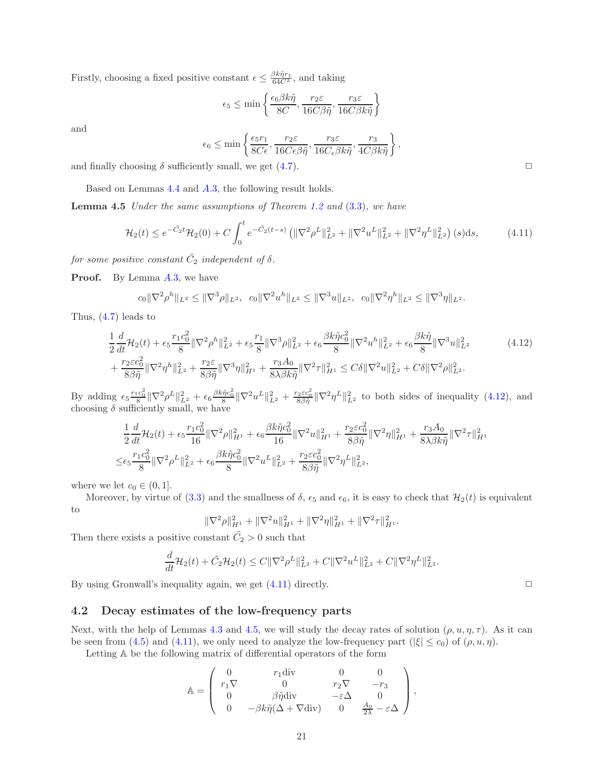Firstly, choosing a fixed positive constant  $\epsilon \leq \frac{\beta k \tilde{\eta} r_1}{64C^2}$ , and taking

$$
\epsilon_5 \le \min\left\{ \frac{\epsilon_6 \beta k \tilde{\eta}}{8C}, \frac{r_2 \varepsilon}{16C\beta \tilde{\eta}}, \frac{r_3 \varepsilon}{16C\beta k \tilde{\eta}} \right\}
$$

and

$$
\epsilon_6 \le \min\left\{ \frac{\epsilon_5 r_1}{8C\epsilon}, \frac{r_2 \varepsilon}{16C\epsilon\beta\tilde{\eta}}, \frac{r_3 \varepsilon}{16C_\epsilon\beta k\tilde{\eta}}, \frac{r_3}{4C\beta k\tilde{\eta}} \right\}
$$

and finally choosing  $\delta$  sufficiently small, we get [\(4.7\)](#page-19-3).

Based on Lemmas [4.4](#page-19-4) and [A.](#page-33-1)3, the following result holds.

Lemma 4.5 Under the same assumptions of Theorem [1.2](#page-3-1) and  $(3.3)$  $(3.3)$ , we have

$$
\mathcal{H}_2(t) \le e^{-\tilde{C}_2 t} \mathcal{H}_2(0) + C \int_0^t e^{-\tilde{C}_2(t-s)} \left( \|\nabla^2 \rho^L\|_{L^2}^2 + \|\nabla^2 u^L\|_{L^2}^2 + \|\nabla^2 \eta^L\|_{L^2}^2 \right)(s) \, \mathrm{d}s,\tag{4.11}
$$

<span id="page-20-0"></span>,

for some positive constant  $\tilde{C_2}$  independent of  $\delta$ .

**Proof.** By Lemma  $A.3$  $A.3$ , we have

$$
c_0 \|\nabla^2 \rho^h\|_{L^2} \le \|\nabla^3 \rho\|_{L^2}, \quad c_0 \|\nabla^2 u^h\|_{L^2} \le \|\nabla^3 u\|_{L^2}, \quad c_0 \|\nabla^2 \eta^h\|_{L^2} \le \|\nabla^3 \eta\|_{L^2}.
$$

Thus, [\(4.7\)](#page-19-3) leads to

$$
\frac{1}{2}\frac{d}{dt}\mathcal{H}_{2}(t) + \epsilon_{5}\frac{r_{1}c_{0}^{2}}{8}\|\nabla^{2}\rho^{h}\|_{L^{2}}^{2} + \epsilon_{5}\frac{r_{1}}{8}\|\nabla^{3}\rho\|_{L^{2}}^{2} + \epsilon_{6}\frac{\beta k\tilde{\eta}c_{0}^{2}}{8}\|\nabla^{2}u^{h}\|_{L^{2}}^{2} + \epsilon_{6}\frac{\beta k\tilde{\eta}}{8}\|\nabla^{3}u\|_{L^{2}}^{2} + \frac{r_{2}\varepsilon c_{0}^{2}}{8\beta\tilde{\eta}}\|\nabla^{2}\eta^{h}\|_{L^{2}}^{2} + \frac{r_{2}\varepsilon c_{0}^{2}}{8\beta\tilde{\eta}}\|\nabla^{3}\eta\|_{H^{1}}^{2} + \frac{r_{3}A_{0}}{8\lambda\beta k\tilde{\eta}}\|\nabla^{2}\tau\|_{H^{1}}^{2} \leq C\delta\|\nabla^{2}u\|_{L^{2}}^{2} + C\delta\|\nabla^{2}\rho\|_{L^{2}}^{2}.
$$
\n(4.12)

By adding  $\epsilon_5 \frac{r_1 c_0^2}{8} \|\nabla^2 \rho^L\|_{L^2}^2 + \epsilon_6 \frac{\beta k \tilde{n} c_0^2}{8} \|\nabla^2 u^L\|_{L^2}^2 + \frac{r_2 \varepsilon c_0^2}{8 \beta \tilde{\eta}} \|\nabla^2 \eta^L\|_{L^2}^2$  to both sides of inequality [\(4.12\)](#page-20-1), and choosing  $\delta$  sufficiently small, we have

$$
\begin{split} &\frac{1}{2}\frac{d}{dt}\mathcal{H}_{2}(t)+\epsilon_{5}\frac{r_{1}c_{0}^{2}}{16}\|\nabla^{2}\rho\|^{2}_{H^{1}}+\epsilon_{6}\frac{\beta k\tilde{\eta}c_{0}^{2}}{16}\|\nabla^{2}u\|^{2}_{H^{1}}+\frac{r_{2}\varepsilon c_{0}^{2}}{8\beta\tilde{\eta}}\|\nabla^{2}\eta\|^{2}_{H^{1}}+\frac{r_{3}A_{0}}{8\lambda\beta k\tilde{\eta}}\|\nabla^{2}\tau\|^{2}_{H^{1}}\\ \leq &\epsilon_{5}\frac{r_{1}c_{0}^{2}}{8}\|\nabla^{2}\rho^{L}\|^{2}_{L^{2}}+\epsilon_{6}\frac{\beta k\tilde{\eta}c_{0}^{2}}{8}\|\nabla^{2}u^{L}\|^{2}_{L^{2}}+\frac{r_{2}\varepsilon c_{0}^{2}}{8\beta\tilde{\eta}}\|\nabla^{2}\eta^{L}\|^{2}_{L^{2}}, \end{split}
$$

where we let  $c_0 \in (0, 1]$ .

Moreover, by virtue of [\(3.3\)](#page-6-3) and the smallness of  $\delta$ ,  $\epsilon_5$  and  $\epsilon_6$ , it is easy to check that  $\mathcal{H}_2(t)$  is equivalent to

$$
\|\nabla^2 \rho\|_{H^1}^2 + \|\nabla^2 u\|_{H^1}^2 + \|\nabla^2 \eta\|_{H^1}^2 + \|\nabla^2 \tau\|_{H^1}^2.
$$

Then there exists a positive constant  $\tilde{C}_2 > 0$  such that

$$
\frac{d}{dt}\mathcal{H}_2(t) + \tilde{C}_2\mathcal{H}_2(t) \le C\|\nabla^2\rho^L\|_{L^2}^2 + C\|\nabla^2 u^L\|_{L^2}^2 + C\|\nabla^2\eta^L\|_{L^2}^2.
$$

By using Gronwall's inequality again, we get  $(4.11)$  directly.  $\Box$ 

### 4.2 Decay estimates of the low-frequency parts

Next, with the help of Lemmas [4.3](#page-18-0) and [4.5,](#page-20-0) we will study the decay rates of solution  $(\rho, u, \eta, \tau)$ . As it can be seen from [\(4.5\)](#page-18-4) and [\(4.11\)](#page-20-2), we only need to analyze the low-frequency part ( $|\xi| \leq c_0$ ) of  $(\rho, u, \eta)$ .

Letting A be the following matrix of differential operators of the form

$$
\mathbb{A} = \left( \begin{array}{cccc} 0 & r_1 \text{div} & 0 & 0 \\ r_1 \nabla & 0 & r_2 \nabla & -r_3 \\ 0 & \beta \tilde{\eta} \text{div} & -\varepsilon \Delta & 0 \\ 0 & -\beta k \tilde{\eta} (\Delta + \nabla \text{div}) & 0 & \frac{A_0}{2\lambda} - \varepsilon \Delta \end{array} \right),
$$

<span id="page-20-2"></span><span id="page-20-1"></span>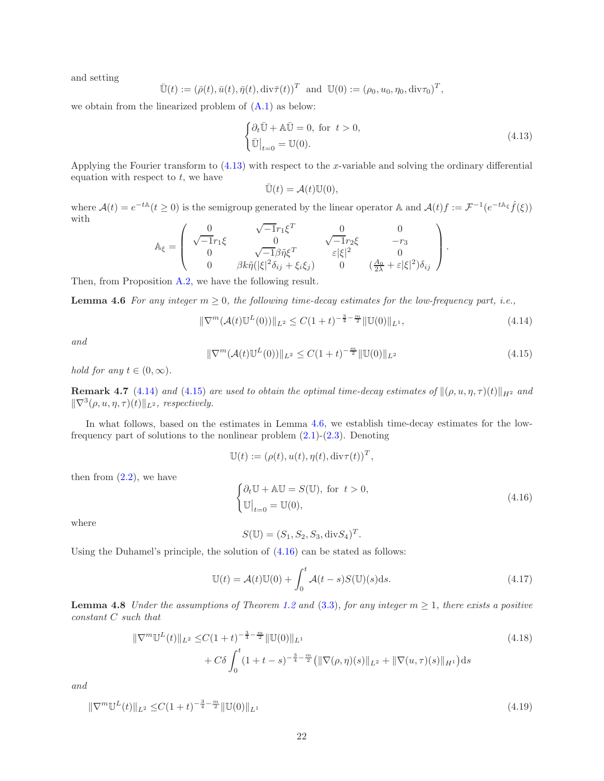and setting

$$
\overline{\mathbb{U}}(t) := (\overline{\rho}(t), \overline{u}(t), \overline{\eta}(t), \text{div}\overline{\tau}(t))^T \text{ and } \mathbb{U}(0) := (\rho_0, u_0, \eta_0, \text{div}\tau_0)^T,
$$

we obtain from the linearized problem of [\(A.1\)](#page-28-0) as below:

<span id="page-21-0"></span>
$$
\begin{cases} \partial_t \bar{\mathbb{U}} + \mathbb{A} \bar{\mathbb{U}} = 0, \text{ for } t > 0, \\ \bar{\mathbb{U}}\big|_{t=0} = \mathbb{U}(0). \end{cases}
$$
\n(4.13)

Applying the Fourier transform to [\(4.13\)](#page-21-0) with respect to the x-variable and solving the ordinary differential equation with respect to  $t$ , we have

<span id="page-21-3"></span>
$$
\bar{\mathbb{U}}(t) = \mathcal{A}(t)\mathbb{U}(0),
$$

where  $\mathcal{A}(t) = e^{-t\mathbb{A}}(t \ge 0)$  is the semigroup generated by the linear operator  $\mathbb{A}$  and  $\mathcal{A}(t)f := \mathcal{F}^{-1}(e^{-t\mathbb{A}_{\xi}}\hat{f}(\xi))$ with √

$$
\mathbb{A}_{\xi} = \begin{pmatrix}\n0 & \sqrt{-1}r_1\xi^T & 0 & 0 \\
\sqrt{-1}r_1\xi & 0 & \sqrt{-1}r_2\xi & -r_3 \\
0 & \sqrt{-1}\beta\tilde{\eta}\xi^T & \varepsilon|\xi|^2 & 0 \\
0 & \beta k\tilde{\eta}(|\xi|^2\delta_{ij} + \xi_i\xi_j) & 0 & (\frac{A_0}{2\lambda} + \varepsilon|\xi|^2)\delta_{ij}\n\end{pmatrix}.
$$

Then, from Proposition [A.2,](#page-32-0) we have the following result.

**Lemma 4.6** For any integer  $m \geq 0$ , the following time-decay estimates for the low-frequency part, i.e.,

<span id="page-21-1"></span>
$$
\|\nabla^m(\mathcal{A}(t)\mathbb{U}^L(0))\|_{L^2} \le C(1+t)^{-\frac{3}{4}-\frac{m}{2}} \|\mathbb{U}(0)\|_{L^1},\tag{4.14}
$$

and

<span id="page-21-2"></span>
$$
\|\nabla^{m}(\mathcal{A}(t)\mathbb{U}^{L}(0))\|_{L^{2}} \leq C(1+t)^{-\frac{m}{2}}\|\mathbb{U}(0)\|_{L^{2}}
$$
\n(4.15)

hold for any  $t \in (0, \infty)$ .

**Remark 4.7** [\(4.14\)](#page-21-1) and [\(4.15\)](#page-21-2) are used to obtain the optimal time-decay estimates of  $\|(\rho, u, \eta, \tau)(t)\|_{H^2}$  and  $\|\nabla^3(\rho, u, \eta, \tau)(t)\|_{L^2}$ , respectively.

In what follows, based on the estimates in Lemma [4.6,](#page-21-3) we establish time-decay estimates for the lowfrequency part of solutions to the nonlinear problem  $(2.1)-(2.3)$  $(2.1)-(2.3)$ . Denoting

$$
\mathbb{U}(t) := (\rho(t), u(t), \eta(t), \text{div}\tau(t))^T,
$$

then from  $(2.2)$ , we have

<span id="page-21-4"></span>
$$
\begin{cases} \partial_t \mathbb{U} + \mathbb{A} \mathbb{U} = S(\mathbb{U}), \text{ for } t > 0, \\ \mathbb{U}\big|_{t=0} = \mathbb{U}(0), \end{cases}
$$
\n(4.16)

where

<span id="page-21-6"></span><span id="page-21-5"></span>
$$
S(\mathbb{U}) = (S_1, S_2, S_3, \text{div} S_4)^T.
$$

Using the Duhamel's principle, the solution of [\(4.16\)](#page-21-4) can be stated as follows:

<span id="page-21-7"></span>
$$
\mathbb{U}(t) = \mathcal{A}(t)\mathbb{U}(0) + \int_0^t \mathcal{A}(t-s)S(\mathbb{U})(s)\mathrm{d}s.
$$
\n(4.17)

<span id="page-21-8"></span>**Lemma 4.8** Under the assumptions of Theorem [1.2](#page-3-1) and [\(3.3\)](#page-6-3), for any integer  $m \geq 1$ , there exists a positive constant C such that

$$
\|\nabla^m \mathbb{U}^L(t)\|_{L^2} \le C(1+t)^{-\frac{3}{4}-\frac{m}{2}} \|\mathbb{U}(0)\|_{L^1} + C\delta \int_0^t (1+t-s)^{-\frac{3}{4}-\frac{m}{2}} (\|\nabla(\rho,\eta)(s)\|_{L^2} + \|\nabla(u,\tau)(s)\|_{H^1}) ds
$$
\n(4.18)

and

$$
\|\nabla^m \mathbb{U}^L(t)\|_{L^2} \le C(1+t)^{-\frac{3}{4}-\frac{m}{2}} \|\mathbb{U}(0)\|_{L^1}
$$
\n(4.19)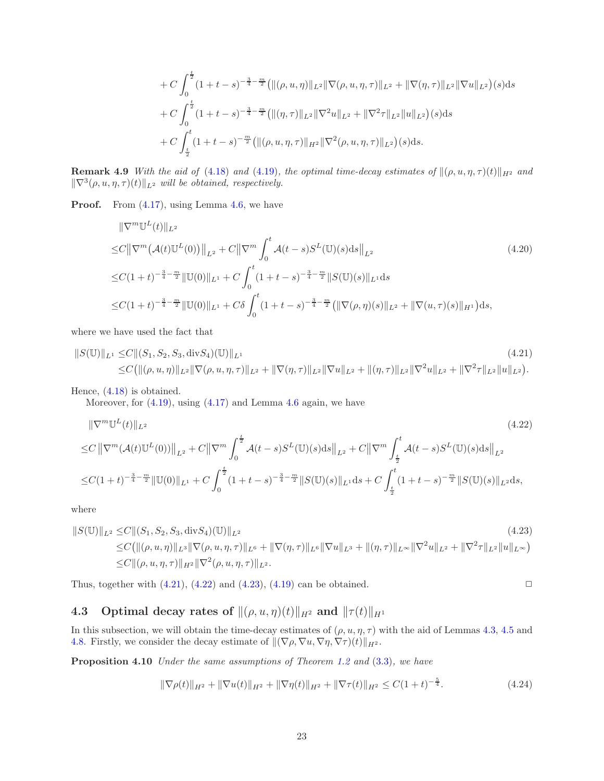<span id="page-22-5"></span>+ C 
$$
\int_0^{\frac{t}{2}} (1+t-s)^{-\frac{3}{4}-\frac{m}{2}} (\|(\rho, u, \eta)\|_{L^2} \|\nabla(\rho, u, \eta, \tau)\|_{L^2} + \|\nabla(\eta, \tau)\|_{L^2} \|\nabla u\|_{L^2})(s) ds
$$
  
+ C  $\int_0^{\frac{t}{2}} (1+t-s)^{-\frac{3}{4}-\frac{m}{2}} (\|(\eta, \tau)\|_{L^2} \|\nabla^2 u\|_{L^2} + \|\nabla^2 \tau\|_{L^2} \|u\|_{L^2})(s) ds$   
+ C  $\int_{\frac{t}{2}}^t (1+t-s)^{-\frac{m}{2}} (\|(\rho, u, \eta, \tau)\|_{H^2} \|\nabla^2(\rho, u, \eta, \tau)\|_{L^2})(s) ds.$ 

**Remark 4.9** With the aid of [\(4.18\)](#page-21-5) and [\(4.19\)](#page-21-6), the optimal time-decay estimates of  $\|(\rho, u, \eta, \tau)(t)\|_{H^2}$  and  $\|\nabla^3(\rho, u, \eta, \tau)(t)\|_{L^2}$  will be obtained, respectively.

**Proof.** From  $(4.17)$ , using Lemma [4.6,](#page-21-3) we have

<span id="page-22-1"></span>
$$
\|\nabla^{m}\mathbb{U}^{L}(t)\|_{L^{2}}
$$
  
\n
$$
\leq C \|\nabla^{m}(A(t)\mathbb{U}^{L}(0))\|_{L^{2}} + C \|\nabla^{m}\int_{0}^{t} A(t-s)S^{L}(\mathbb{U})(s)ds\|_{L^{2}}
$$
  
\n
$$
\leq C(1+t)^{-\frac{3}{4}-\frac{m}{2}} \|\mathbb{U}(0)\|_{L^{1}} + C \int_{0}^{t} (1+t-s)^{-\frac{3}{4}-\frac{m}{2}} \|S(\mathbb{U})(s)\|_{L^{1}} ds
$$
  
\n
$$
\leq C(1+t)^{-\frac{3}{4}-\frac{m}{2}} \|\mathbb{U}(0)\|_{L^{1}} + C\delta \int_{0}^{t} (1+t-s)^{-\frac{3}{4}-\frac{m}{2}} (\|\nabla(\rho,\eta)(s)\|_{L^{2}} + \|\nabla(u,\tau)(s)\|_{H^{1}}) ds,
$$
\n(4.20)

where we have used the fact that

$$
||S(\mathbb{U})||_{L^{1}} \leq C||(S_{1},S_{2},S_{3},\text{div}S_{4})(\mathbb{U})||_{L^{1}}
$$
\n
$$
\leq C(||(\rho,u,\eta)||_{L^{2}}||\nabla(\rho,u,\eta,\tau)||_{L^{2}} + ||\nabla(\eta,\tau)||_{L^{2}}||\nabla u||_{L^{2}} + ||(\eta,\tau)||_{L^{2}}||\nabla^{2}u||_{L^{2}} + ||\nabla^{2}\tau||_{L^{2}}||u||_{L^{2}}).
$$
\n(4.21)

Hence, [\(4.18\)](#page-21-5) is obtained.

<span id="page-22-2"></span>Moreover, for  $(4.19)$ , using  $(4.17)$  and Lemma [4.6](#page-21-3) again, we have

$$
\|\nabla^{m}\mathbb{U}^{L}(t)\|_{L^{2}}\n\leq C\left\|\nabla^{m}(\mathcal{A}(t)\mathbb{U}^{L}(0))\right\|_{L^{2}}+C\left\|\nabla^{m}\int_{0}^{\frac{t}{2}}\mathcal{A}(t-s)S^{L}(\mathbb{U})(s)\mathrm{d}s\right\|_{L^{2}}+C\left\|\nabla^{m}\int_{\frac{t}{2}}^{t}\mathcal{A}(t-s)S^{L}(\mathbb{U})(s)\mathrm{d}s\right\|_{L^{2}}\n\leq C(1+t)^{-\frac{3}{4}-\frac{m}{2}}\|\mathbb{U}(0)\|_{L^{1}}+C\int_{0}^{\frac{t}{2}}(1+t-s)^{-\frac{3}{4}-\frac{m}{2}}\|S(\mathbb{U})(s)\|_{L^{1}}\mathrm{d}s+C\int_{\frac{t}{2}}^{t}(1+t-s)^{-\frac{m}{2}}\|S(\mathbb{U})(s)\|_{L^{2}}\mathrm{d}s,
$$
\n(4.22)

where

$$
||S(\mathbb{U})||_{L^{2}} \leq C||(S_{1},S_{2},S_{3},\text{div}S_{4})(\mathbb{U})||_{L^{2}}
$$
\n
$$
\leq C(||(\rho,u,\eta)||_{L^{3}}||\nabla(\rho,u,\eta,\tau)||_{L^{6}} + ||\nabla(\eta,\tau)||_{L^{6}}||\nabla u||_{L^{3}} + ||(\eta,\tau)||_{L^{\infty}}||\nabla^{2}u||_{L^{2}} + ||\nabla^{2}\tau||_{L^{2}}||u||_{L^{\infty}})
$$
\n
$$
\leq C||( \rho, u, \eta, \tau)||_{H^{2}}||\nabla^{2}(\rho, u, \eta, \tau)||_{L^{2}}.
$$
\n(4.23)

Thus, together with  $(4.21)$ ,  $(4.22)$  and  $(4.23)$ ,  $(4.19)$  can be obtained.

# 4.3 Optimal decay rates of  $\|(\rho, u, \eta)(t)\|_{H^2}$  and  $\|\tau(t)\|_{H^1}$

In this subsection, we will obtain the time-decay estimates of  $(\rho, u, \eta, \tau)$  with the aid of Lemmas [4.3,](#page-18-0) [4.5](#page-20-0) and [4.8.](#page-21-8) Firstly, we consider the decay estimate of  $\|(\nabla \rho, \nabla u, \nabla \eta, \nabla \tau)(t)\|_{H^2}$ .

Proposition 4.10 Under the same assumptions of Theorem [1.2](#page-3-1) and [\(3](#page-6-3).3), we have

<span id="page-22-4"></span><span id="page-22-3"></span><span id="page-22-0"></span>
$$
\|\nabla \rho(t)\|_{H^2} + \|\nabla u(t)\|_{H^2} + \|\nabla \eta(t)\|_{H^2} + \|\nabla \tau(t)\|_{H^2} \le C(1+t)^{-\frac{5}{4}}.
$$
\n(4.24)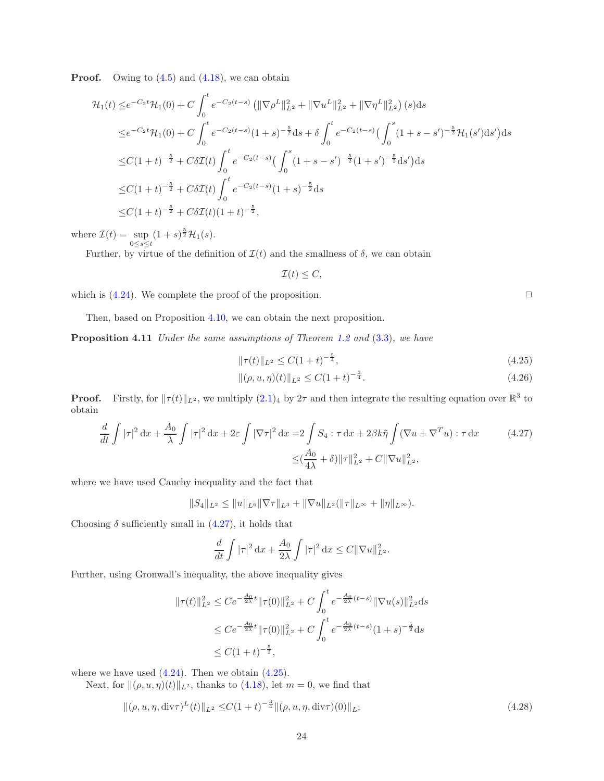**Proof.** Owing to  $(4.5)$  $(4.5)$  and  $(4.18)$ , we can obtain

$$
\mathcal{H}_1(t) \leq e^{-C_2 t} \mathcal{H}_1(0) + C \int_0^t e^{-C_2(t-s)} \left( \|\nabla \rho^L\|_{L^2}^2 + \|\nabla u^L\|_{L^2}^2 + \|\nabla \eta^L\|_{L^2}^2 \right) (s) ds
$$
  
\n
$$
\leq e^{-C_2 t} \mathcal{H}_1(0) + C \int_0^t e^{-C_2(t-s)} (1+s)^{-\frac{5}{2}} ds + \delta \int_0^t e^{-C_2(t-s)} \left( \int_0^s (1+s-s')^{-\frac{5}{2}} \mathcal{H}_1(s') ds' \right) ds
$$
  
\n
$$
\leq C(1+t)^{-\frac{5}{2}} + C\delta \mathcal{I}(t) \int_0^t e^{-C_2(t-s)} \left( \int_0^s (1+s-s')^{-\frac{5}{2}} (1+s')^{-\frac{5}{2}} ds' \right) ds
$$
  
\n
$$
\leq C(1+t)^{-\frac{5}{2}} + C\delta \mathcal{I}(t) \int_0^t e^{-C_2(t-s)} (1+s)^{-\frac{5}{2}} ds
$$
  
\n
$$
\leq C(1+t)^{-\frac{5}{2}} + C\delta \mathcal{I}(t) (1+t)^{-\frac{5}{2}},
$$

where  $\mathcal{I}(t) = \sup_{0 \le s \le t}$  $(1 + s)^{\frac{5}{2}}\mathcal{H}_1(s)$ .

Further, by virtue of the definition of  $\mathcal{I}(t)$  and the smallness of  $\delta$ , we can obtain

$$
\mathcal{I}(t)\leq C,
$$

which is  $(4.24)$  $(4.24)$ . We complete the proof of the proposition.  $\Box$ 

<span id="page-23-4"></span>Then, based on Proposition [4.10,](#page-22-0) we can obtain the next proposition.

Proposition 4.11 Under the same assumptions of Theorem [1.2](#page-3-1) and [\(3](#page-6-3).3), we have

$$
\|\tau(t)\|_{L^2} \le C(1+t)^{-\frac{5}{4}},\tag{4.25}
$$

$$
\|(\rho, u, \eta)(t)\|_{L^2} \le C(1+t)^{-\frac{3}{4}}.\tag{4.26}
$$

**Proof.** Firstly, for  $||\tau(t)||_{L^2}$ , we multiply  $(2.1)_4$  $(2.1)_4$  $(2.1)_4$  by  $2\tau$  and then integrate the resulting equation over  $\mathbb{R}^3$  to obtain

$$
\frac{d}{dt} \int |\tau|^2 dx + \frac{A_0}{\lambda} \int |\tau|^2 dx + 2\varepsilon \int |\nabla \tau|^2 dx = 2 \int S_4 : \tau dx + 2\beta k \tilde{\eta} \int (\nabla u + \nabla^T u) : \tau dx \qquad (4.27)
$$

$$
\leq (\frac{A_0}{4\lambda} + \delta) \|\tau\|_{L^2}^2 + C \|\nabla u\|_{L^2}^2,
$$

where we have used Cauchy inequality and the fact that

 $||S_4||_{L^2} \leq ||u||_{L^6} ||\nabla \tau||_{L^3} + ||\nabla u||_{L^2} (||\tau||_{L^{\infty}} + ||\eta||_{L^{\infty}}).$ 

Choosing  $\delta$  sufficiently small in  $(4.27)$ , it holds that

<span id="page-23-2"></span>
$$
\frac{d}{dt} \int |\tau|^2 \, \mathrm{d}x + \frac{A_0}{2\lambda} \int |\tau|^2 \, \mathrm{d}x \le C \|\nabla u\|_{L^2}^2.
$$

Further, using Gronwall's inequality, the above inequality gives

$$
\begin{aligned} \|\tau(t)\|_{L^2}^2 &\leq Ce^{-\frac{A_0}{2\lambda}t} \|\tau(0)\|_{L^2}^2 + C \int_0^t e^{-\frac{A_0}{2\lambda}(t-s)} \|\nabla u(s)\|_{L^2}^2 \, \mathrm{d}s \\ &\leq Ce^{-\frac{A_0}{2\lambda}t} \|\tau(0)\|_{L^2}^2 + C \int_0^t e^{-\frac{A_0}{2\lambda}(t-s)} (1+s)^{-\frac{5}{2}} \, \mathrm{d}s \\ &\leq C(1+t)^{-\frac{5}{2}}, \end{aligned}
$$

where we have used  $(4.24)$  $(4.24)$ . Then we obtain  $(4.25)$ .

Next, for  $\|(\rho, u, \eta)(t)\|_{L^2}$ , thanks to [\(4.18\)](#page-21-5), let  $m = 0$ , we find that

$$
\|(\rho, u, \eta, \text{div}\tau)^{L}(t)\|_{L^{2}} \leq C(1+t)^{-\frac{3}{4}} \|(\rho, u, \eta, \text{div}\tau)(0)\|_{L^{1}}
$$
\n(4.28)

<span id="page-23-3"></span><span id="page-23-1"></span><span id="page-23-0"></span>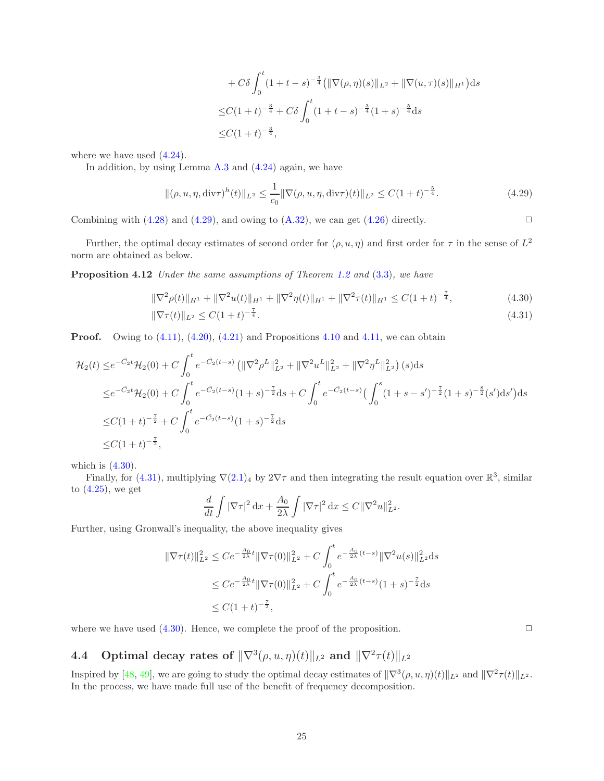+ 
$$
C\delta \int_0^t (1+t-s)^{-\frac{3}{4}} (\|\nabla(\rho,\eta)(s)\|_{L^2} + \|\nabla(u,\tau)(s)\|_{H^1}) ds
$$
  
\n $\leq C(1+t)^{-\frac{3}{4}} + C\delta \int_0^t (1+t-s)^{-\frac{3}{4}} (1+s)^{-\frac{5}{4}} ds$   
\n $\leq C(1+t)^{-\frac{3}{4}},$ 

where we have used [\(4.24\)](#page-22-4).

In addition, by using Lemma [A.3](#page-33-1) and [\(4.24\)](#page-22-4) again, we have

<span id="page-24-2"></span>
$$
\|(\rho, u, \eta, \text{div}\tau)^h(t)\|_{L^2} \le \frac{1}{c_0} \|\nabla(\rho, u, \eta, \text{div}\tau)(t)\|_{L^2} \le C(1+t)^{-\frac{5}{4}}.
$$
\n(4.29)

Combining with  $(4.28)$  and  $(4.29)$ , and owing to  $(A.32)$ , we can get  $(4.26)$  directly.

Further, the optimal decay estimates of second order for  $(\rho, u, \eta)$  and first order for  $\tau$  in the sense of  $L^2$ norm are obtained as below.

Proposition 4.12 Under the same assumptions of Theorem [1.2](#page-3-1) and [\(3](#page-6-3).3), we have

<span id="page-24-5"></span>
$$
\|\nabla^2 \rho(t)\|_{H^1} + \|\nabla^2 u(t)\|_{H^1} + \|\nabla^2 \eta(t)\|_{H^1} + \|\nabla^2 \tau(t)\|_{H^1} \le C(1+t)^{-\frac{7}{4}},\tag{4.30}
$$

$$
\|\nabla \tau(t)\|_{L^2} \le C(1+t)^{-\frac{7}{4}}.\tag{4.31}
$$

**Proof.** Owing to  $(4.11)$ ,  $(4.20)$ ,  $(4.21)$  and Propositions [4.10](#page-22-0) and [4.11,](#page-23-4) we can obtain

$$
\mathcal{H}_2(t) \leq e^{-\tilde{C}_2 t} \mathcal{H}_2(0) + C \int_0^t e^{-\tilde{C}_2(t-s)} \left( \|\nabla^2 \rho^L\|_{L^2}^2 + \|\nabla^2 u^L\|_{L^2}^2 + \|\nabla^2 \eta^L\|_{L^2}^2 \right)(s) ds
$$
  
\n
$$
\leq e^{-\tilde{C}_2 t} \mathcal{H}_2(0) + C \int_0^t e^{-\tilde{C}_2(t-s)} (1+s)^{-\frac{\tau}{2}} ds + C \int_0^t e^{-\tilde{C}_2(t-s)} \left( \int_0^s (1+s-s')^{-\frac{\tau}{2}} (1+s)^{-\frac{8}{2}} (s') ds' \right) ds
$$
  
\n
$$
\leq C(1+t)^{-\frac{\tau}{2}} + C \int_0^t e^{-\tilde{C}_2(t-s)} (1+s)^{-\frac{\tau}{2}} ds
$$
  
\n
$$
\leq C(1+t)^{-\frac{\tau}{2}},
$$

which is  $(4.30)$  $(4.30)$ .

Finally, for [\(4.31\)](#page-24-4), multiplying  $\nabla(2.1)_4$  $\nabla(2.1)_4$  $\nabla(2.1)_4$  by  $2\nabla\tau$  and then integrating the result equation over  $\mathbb{R}^3$ , similar to  $(4.25)$ , we get

$$
\frac{d}{dt} \int |\nabla \tau|^2 \, \mathrm{d}x + \frac{A_0}{2\lambda} \int |\nabla \tau|^2 \, \mathrm{d}x \le C \|\nabla^2 u\|_{L^2}^2.
$$

Further, using Gronwall's inequality, the above inequality gives

$$
\begin{aligned} \|\nabla \tau(t)\|_{L^2}^2 &\leq C e^{-\frac{A_0}{2\lambda}t} \|\nabla \tau(0)\|_{L^2}^2 + C \int_0^t e^{-\frac{A_0}{2\lambda}(t-s)} \|\nabla^2 u(s)\|_{L^2}^2 \, \mathrm{d}s \\ &\leq C e^{-\frac{A_0}{2\lambda}t} \|\nabla \tau(0)\|_{L^2}^2 + C \int_0^t e^{-\frac{A_0}{2\lambda}(t-s)} (1+s)^{-\frac{7}{2}} \, \mathrm{d}s \\ &\leq C (1+t)^{-\frac{7}{2}}, \end{aligned}
$$

where we have used  $(4.30)$  $(4.30)$ . Hence, we complete the proof of the proposition.

# <span id="page-24-0"></span>**4.4** Optimal decay rates of  $\|\nabla^3(\rho, u, \eta)(t)\|_{L^2}$  and  $\|\nabla^2 \tau(t)\|_{L^2}$

Inspired by  $[48, 49]$  $[48, 49]$ , we are going to study the optimal decay estimates of  $\|\nabla^3(\rho, u, \eta)(t)\|_{L^2}$  and  $\|\nabla^2\tau(t)\|_{L^2}$ . In the process, we have made full use of the benefit of frequency decomposition.

<span id="page-24-4"></span><span id="page-24-3"></span><span id="page-24-1"></span>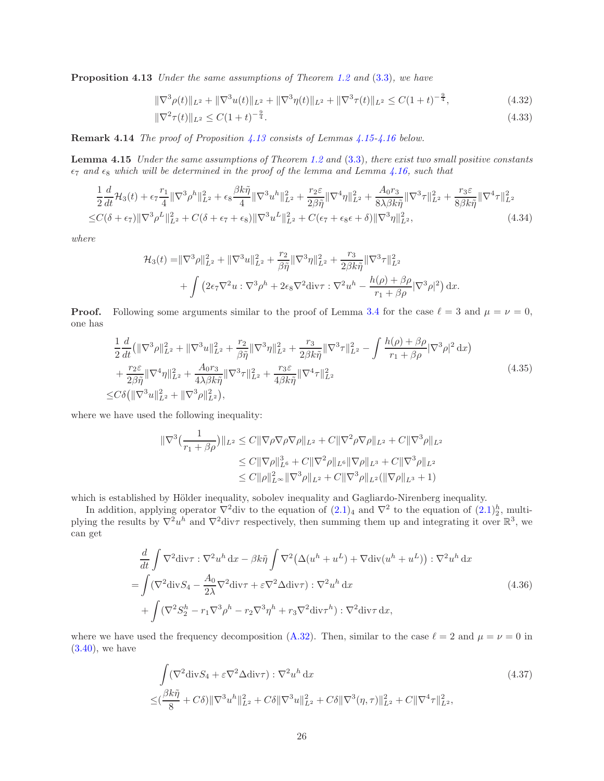Proposition 4.13 Under the same assumptions of Theorem [1.2](#page-3-1) and [\(3](#page-6-3).3), we have

<span id="page-25-5"></span>
$$
\|\nabla^3 \rho(t)\|_{L^2} + \|\nabla^3 u(t)\|_{L^2} + \|\nabla^3 \eta(t)\|_{L^2} + \|\nabla^3 \tau(t)\|_{L^2} \le C(1+t)^{-\frac{9}{4}},\tag{4.32}
$$

<span id="page-25-6"></span>
$$
\|\nabla^2 \tau(t)\|_{L^2} \le C(1+t)^{-\frac{9}{4}}.\tag{4.33}
$$

<span id="page-25-0"></span>Remark 4.14 The proof of Proposition [4.13](#page-24-1) consists of Lemmas [4.15-](#page-25-0)[4.16](#page-26-0) below.

Lemma 4.15 Under the same assumptions of Theorem [1.2](#page-3-1) and [\(3.3\)](#page-6-3), there exist two small positive constants  $\epsilon_7$  and  $\epsilon_8$  which will be determined in the proof of the lemma and Lemma [4.16,](#page-26-0) such that

$$
\frac{1}{2}\frac{d}{dt}\mathcal{H}_{3}(t) + \epsilon_{7}\frac{r_{1}}{4}\|\nabla^{3}\rho^{h}\|_{L^{2}}^{2} + \epsilon_{8}\frac{\beta k\tilde{\eta}}{4}\|\nabla^{3}u^{h}\|_{L^{2}}^{2} + \frac{r_{2}\epsilon}{2\beta\tilde{\eta}}\|\nabla^{4}\eta\|_{L^{2}}^{2} + \frac{A_{0}r_{3}}{8\lambda\beta k\tilde{\eta}}\|\nabla^{3}\tau\|_{L^{2}}^{2} + \frac{r_{3}\epsilon}{8\beta k\tilde{\eta}}\|\nabla^{4}\tau\|_{L^{2}}^{2}
$$
  

$$
\leq C(\delta + \epsilon_{7})\|\nabla^{3}\rho^{L}\|_{L^{2}}^{2} + C(\delta + \epsilon_{7} + \epsilon_{8})\|\nabla^{3}u^{L}\|_{L^{2}}^{2} + C(\epsilon_{7} + \epsilon_{8}\epsilon + \delta)\|\nabla^{3}\eta\|_{L^{2}}^{2},
$$
\n(4.34)

where

<span id="page-25-4"></span>
$$
\mathcal{H}_3(t) = ||\nabla^3 \rho||_{L^2}^2 + ||\nabla^3 u||_{L^2}^2 + \frac{r_2}{\beta \tilde{\eta}} ||\nabla^3 \eta||_{L^2}^2 + \frac{r_3}{2\beta k \tilde{\eta}} ||\nabla^3 \tau||_{L^2}^2 + \int \left(2\epsilon_7 \nabla^2 u : \nabla^3 \rho^h + 2\epsilon_8 \nabla^2 \text{div}\tau : \nabla^2 u^h - \frac{h(\rho) + \beta \rho}{r_1 + \beta \rho} |\nabla^3 \rho|^2 \right) dx.
$$

**Proof.** Following some arguments similar to the proof of Lemma [3.4](#page-6-2) for the case  $\ell = 3$  and  $\mu = \nu = 0$ , one has

<span id="page-25-3"></span>
$$
\frac{1}{2}\frac{d}{dt}\left(\|\nabla^{3}\rho\|_{L^{2}}^{2}+\|\nabla^{3}u\|_{L^{2}}^{2}+\frac{r_{2}}{\beta\tilde{\eta}}\|\nabla^{3}\eta\|_{L^{2}}^{2}+\frac{r_{3}}{2\beta k\tilde{\eta}}\|\nabla^{3}\tau\|_{L^{2}}^{2}-\int\frac{h(\rho)+\beta\rho}{r_{1}+\beta\rho}|\nabla^{3}\rho|^{2}\,dx\right) \n+\frac{r_{2}\varepsilon}{2\beta\tilde{\eta}}\|\nabla^{4}\eta\|_{L^{2}}^{2}+\frac{A_{0}r_{3}}{4\lambda\beta k\tilde{\eta}}\|\nabla^{3}\tau\|_{L^{2}}^{2}+\frac{r_{3}\varepsilon}{4\beta k\tilde{\eta}}\|\nabla^{4}\tau\|_{L^{2}}^{2} \n\leq C\delta\left(\|\nabla^{3}u\|_{L^{2}}^{2}+\|\nabla^{3}\rho\|_{L^{2}}^{2}\right),
$$
\n(4.35)

where we have used the following inequality:

$$
\begin{aligned} \|\nabla^3 \left( \frac{1}{r_1 + \beta \rho} \right) \|_{L^2} &\leq C \|\nabla \rho \nabla \rho \nabla \rho \|_{L^2} + C \|\nabla^2 \rho \nabla \rho \|_{L^2} + C \|\nabla^3 \rho \|_{L^2} \\ &\leq C \|\nabla \rho \|_{L^6}^3 + C \|\nabla^2 \rho \|_{L^6} \|\nabla \rho \|_{L^3} + C \|\nabla^3 \rho \|_{L^2} \\ &\leq C \|\rho \|_{L^\infty}^2 \|\nabla^3 \rho \|_{L^2} + C \|\nabla^3 \rho \|_{L^2} (\|\nabla \rho \|_{L^3} + 1) \end{aligned}
$$

which is established by Hölder inequality, sobolev inequality and Gagliardo-Nirenberg inequality.

In addition, applying operator  $\nabla^2$  div to the equation of  $(2.1)_4$  and  $\nabla^2$  to the equation of  $(2.1)_2^h$ , multiplying the results by  $\nabla^2 u^h$  and  $\nabla^2 \text{div} \tau$  respectively, then summing them up and integrating it over  $\mathbb{R}^3$ , we can get

$$
\frac{d}{dt} \int \nabla^2 \text{div}\,\tau : \nabla^2 u^h \, \text{d}x - \beta k \tilde{\eta} \int \nabla^2 \big( \Delta(u^h + u^L) + \nabla \text{div}(u^h + u^L) \big) : \nabla^2 u^h \, \text{d}x \n= \int (\nabla^2 \text{div} S_4 - \frac{A_0}{2\lambda} \nabla^2 \text{div}\,\tau + \varepsilon \nabla^2 \Delta \text{div}\tau) : \nabla^2 u^h \, \text{d}x \n+ \int (\nabla^2 S_2^h - r_1 \nabla^3 \rho^h - r_2 \nabla^3 \eta^h + r_3 \nabla^2 \text{div}\,\tau^h) : \nabla^2 \text{div}\,\tau \, \text{d}x,
$$
\n(4.36)

where we have used the frequency decomposition [\(A.32\)](#page-33-2). Then, similar to the case  $\ell = 2$  and  $\mu = \nu = 0$  in  $(3.40)$ , we have

<span id="page-25-2"></span><span id="page-25-1"></span>
$$
\int (\nabla^2 \text{div} S_4 + \varepsilon \nabla^2 \Delta \text{div} \tau) : \nabla^2 u^h \, dx
$$
\n
$$
\leq (\frac{\beta k \tilde{\eta}}{8} + C\delta) \|\nabla^3 u^h\|_{L^2}^2 + C\delta \|\nabla^3 u\|_{L^2}^2 + C\delta \|\nabla^3 (\eta, \tau)\|_{L^2}^2 + C \|\nabla^4 \tau\|_{L^2}^2,
$$
\n(4.37)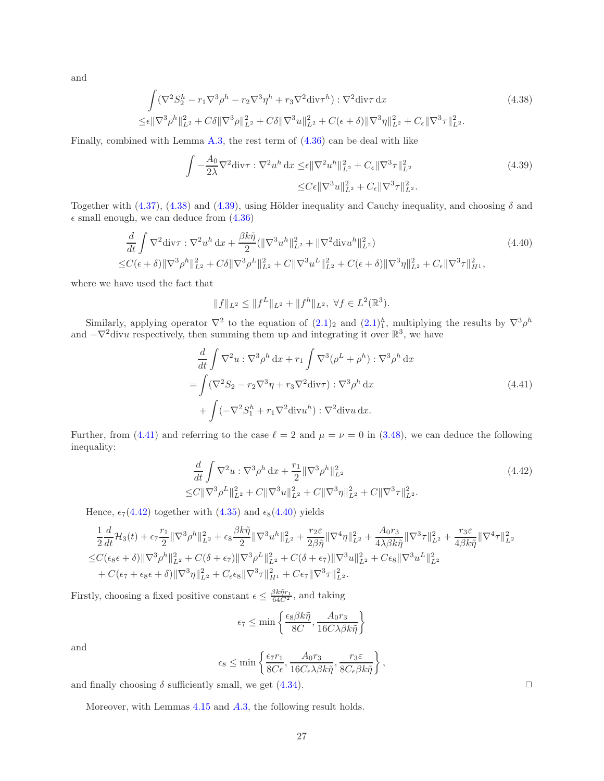and

$$
\int (\nabla^2 S_2^h - r_1 \nabla^3 \rho^h - r_2 \nabla^3 \eta^h + r_3 \nabla^2 \text{div} \tau^h) : \nabla^2 \text{div} \tau \, dx
$$
\n
$$
\leq \epsilon \|\nabla^3 \rho^h\|_{L^2}^2 + C\delta \|\nabla^3 \rho\|_{L^2}^2 + C\delta \|\nabla^3 u\|_{L^2}^2 + C(\epsilon + \delta) \|\nabla^3 \eta\|_{L^2}^2 + C_{\epsilon} \|\nabla^3 \tau\|_{L^2}^2.
$$
\n(4.38)

Finally, combined with Lemma [A.3,](#page-33-1) the rest term of [\(4.36\)](#page-25-1) can be deal with like

<span id="page-26-2"></span><span id="page-26-1"></span>
$$
\int -\frac{A_0}{2\lambda} \nabla^2 \text{div}\tau : \nabla^2 u^h \, dx \leq \epsilon \|\nabla^2 u^h\|_{L^2}^2 + C_{\epsilon} \|\nabla^3 \tau\|_{L^2}^2
$$
\n
$$
\leq C\epsilon \|\nabla^3 u\|_{L^2}^2 + C_{\epsilon} \|\nabla^3 \tau\|_{L^2}^2.
$$
\n(4.39)

Together with [\(4.37\)](#page-25-2), [\(4.38\)](#page-26-1) and [\(4.39\)](#page-26-2), using Hölder inequality and Cauchy inequality, and choosing  $\delta$  and  $\epsilon$  small enough, we can deduce from  $(4.36)$ 

$$
\frac{d}{dt} \int \nabla^2 \text{div}\tau : \nabla^2 u^h \, \text{d}x + \frac{\beta k \tilde{\eta}}{2} (\|\nabla^3 u^h\|_{L^2}^2 + \|\nabla^2 \text{div} u^h\|_{L^2}^2) \tag{4.40}
$$
\n
$$
\leq C(\epsilon + \delta) \|\nabla^3 \rho^h\|_{L^2}^2 + C\delta \|\nabla^3 \rho^L\|_{L^2}^2 + C \|\nabla^3 u^L\|_{L^2}^2 + C(\epsilon + \delta) \|\nabla^3 \eta\|_{L^2}^2 + C_{\epsilon} \|\nabla^3 \tau\|_{H^1}^2,
$$

where we have used the fact that

<span id="page-26-5"></span>
$$
||f||_{L^2} \le ||f^L||_{L^2} + ||f^h||_{L^2}, \ \forall f \in L^2(\mathbb{R}^3).
$$

Similarly, applying operator  $\nabla^2$  to the equation of  $(2.1)_2$  and  $(2.1)_1^h$ , multiplying the results by  $\nabla^3 \rho^h$ and  $-\nabla^2$  divu respectively, then summing them up and integrating it over  $\mathbb{R}^3$ , we have

$$
\frac{d}{dt} \int \nabla^2 u : \nabla^3 \rho^h dx + r_1 \int \nabla^3 (\rho^L + \rho^h) : \nabla^3 \rho^h dx
$$
\n
$$
= \int (\nabla^2 S_2 - r_2 \nabla^3 \eta + r_3 \nabla^2 \text{div} \tau) : \nabla^3 \rho^h dx
$$
\n
$$
+ \int (-\nabla^2 S_1^h + r_1 \nabla^2 \text{div} u^h) : \nabla^2 \text{div} u dx.
$$
\n(4.41)

Further, from [\(4.41\)](#page-26-3) and referring to the case  $\ell = 2$  and  $\mu = \nu = 0$  in [\(3.48\)](#page-14-2), we can deduce the following inequality:

$$
\frac{d}{dt} \int \nabla^2 u : \nabla^3 \rho^h dx + \frac{r_1}{2} \|\nabla^3 \rho^h\|_{L^2}^2
$$
\n
$$
\leq C \|\nabla^3 \rho^L\|_{L^2}^2 + C \|\nabla^3 u\|_{L^2}^2 + C \|\nabla^3 \eta\|_{L^2}^2 + C \|\nabla^3 \tau\|_{L^2}^2. \tag{4.42}
$$

Hence,  $\epsilon_7(4.42)$  $\epsilon_7(4.42)$  together with [\(4.35\)](#page-25-3) and  $\epsilon_8(4.40)$  $\epsilon_8(4.40)$  yields

$$
\frac{1}{2}\frac{d}{dt}\mathcal{H}_{3}(t) + \epsilon_{7}\frac{r_{1}}{2}\|\nabla^{3}\rho^{h}\|_{L^{2}}^{2} + \epsilon_{8}\frac{\beta k\tilde{\eta}}{2}\|\nabla^{3}u^{h}\|_{L^{2}}^{2} + \frac{r_{2}\epsilon}{2\beta\tilde{\eta}}\|\nabla^{4}\eta\|_{L^{2}}^{2} + \frac{A_{0}r_{3}}{4\lambda\beta k\tilde{\eta}}\|\nabla^{3}\tau\|_{L^{2}}^{2} + \frac{r_{3}\epsilon}{4\beta k\tilde{\eta}}\|\nabla^{4}\tau\|_{L^{2}}^{2}
$$
  

$$
\leq C(\epsilon_{8}\epsilon + \delta)\|\nabla^{3}\rho^{h}\|_{L^{2}}^{2} + C(\delta + \epsilon_{7})\|\nabla^{3}\rho^{L}\|_{L^{2}}^{2} + C(\delta + \epsilon_{7})\|\nabla^{3}u\|_{L^{2}}^{2} + C\epsilon_{8}\|\nabla^{3}u^{L}\|_{L^{2}}^{2}
$$
  
+  $C(\epsilon_{7} + \epsilon_{8}\epsilon + \delta)\|\nabla^{3}\eta\|_{L^{2}}^{2} + C_{\epsilon}\epsilon_{8}\|\nabla^{3}\tau\|_{H^{1}}^{2} + C\epsilon_{7}\|\nabla^{3}\tau\|_{L^{2}}^{2}.$ 

Firstly, choosing a fixed positive constant  $\epsilon \leq \frac{\beta k \tilde{\eta} r_1}{64C^2}$ , and taking

$$
\epsilon_7 \leq \min\left\{\frac{\epsilon_8\beta k \tilde{\eta}}{8C}, \frac{A_0 r_3}{16C\lambda\beta k \tilde{\eta}}\right\}
$$

and

<span id="page-26-0"></span>
$$
\epsilon_8 \le \min\left\{ \frac{\epsilon_7 r_1}{8C\epsilon}, \frac{A_0 r_3}{16C_\epsilon \lambda \beta k \tilde{\eta}}, \frac{r_3 \varepsilon}{8C_\epsilon \beta k \tilde{\eta}} \right\},\,
$$

and finally choosing  $\delta$  sufficiently small, we get [\(4.34\)](#page-25-4).

Moreover, with Lemmas [4.15](#page-25-0) and [A.](#page-33-1)3, the following result holds.

<span id="page-26-4"></span><span id="page-26-3"></span>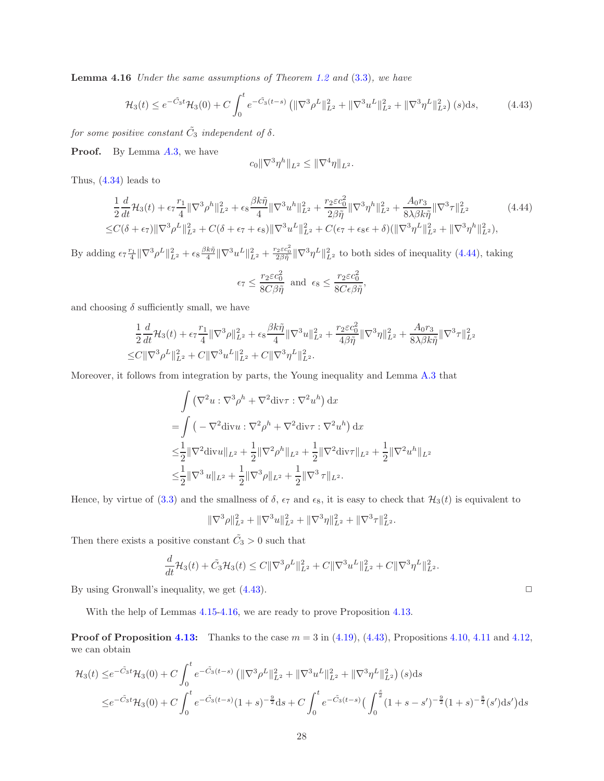Lemma 4.16 Under the same assumptions of Theorem [1.2](#page-3-1) and (3.[3\)](#page-6-3), we have

$$
\mathcal{H}_3(t) \le e^{-\tilde{C}_3 t} \mathcal{H}_3(0) + C \int_0^t e^{-\tilde{C}_3(t-s)} \left( \|\nabla^3 \rho^L\|_{L^2}^2 + \|\nabla^3 u^L\|_{L^2}^2 + \|\nabla^3 \eta^L\|_{L^2}^2 \right)(s) \mathrm{d}s,\tag{4.43}
$$

for some positive constant  $\tilde{C}_3$  independent of  $\delta$ .

**Proof.** By Lemma [A.](#page-33-1)3, we have

<span id="page-27-1"></span><span id="page-27-0"></span>
$$
c_0 \|\nabla^3 \eta^h\|_{L^2} \le \|\nabla^4 \eta\|_{L^2}.
$$

Thus, [\(4.34\)](#page-25-4) leads to

$$
\frac{1}{2}\frac{d}{dt}\mathcal{H}_{3}(t) + \epsilon_{7}\frac{r_{1}}{4}\|\nabla^{3}\rho^{h}\|_{L^{2}}^{2} + \epsilon_{8}\frac{\beta k\tilde{\eta}}{4}\|\nabla^{3}u^{h}\|_{L^{2}}^{2} + \frac{r_{2}\epsilon c_{0}^{2}}{2\beta\tilde{\eta}}\|\nabla^{3}\eta^{h}\|_{L^{2}}^{2} + \frac{A_{0}r_{3}}{8\lambda\beta k\tilde{\eta}}\|\nabla^{3}\tau\|_{L^{2}}^{2}
$$
\n
$$
\leq C(\delta + \epsilon_{7})\|\nabla^{3}\rho^{L}\|_{L^{2}}^{2} + C(\delta + \epsilon_{7} + \epsilon_{8})\|\nabla^{3}u^{L}\|_{L^{2}}^{2} + C(\epsilon_{7} + \epsilon_{8}\epsilon + \delta)(\|\nabla^{3}\eta^{L}\|_{L^{2}}^{2} + \|\nabla^{3}\eta^{h}\|_{L^{2}}^{2}),
$$
\n(4.44)

By adding  $\epsilon_7 \frac{r_1}{4} \|\nabla^3 \rho^L\|_{L^2}^2 + \epsilon_8 \frac{\beta k \tilde{\eta}}{4} \|\nabla^3 u^L\|_{L^2}^2 + \frac{r_2 \epsilon c_0^2}{2 \beta \tilde{\eta}} \|\nabla^3 \eta^L\|_{L^2}^2$  to both sides of inequality [\(4.44\)](#page-27-0), taking

$$
\epsilon_7 \le \frac{r_2 \varepsilon c_0^2}{8C\beta \tilde{\eta}} \text{ and } \epsilon_8 \le \frac{r_2 \varepsilon c_0^2}{8C\epsilon \beta \tilde{\eta}},
$$

and choosing  $\delta$  sufficiently small, we have

$$
\frac{1}{2}\frac{d}{dt}\mathcal{H}_{3}(t) + \epsilon_{7}\frac{r_{1}}{4}\|\nabla^{3}\rho\|_{L^{2}}^{2} + \epsilon_{8}\frac{\beta k\tilde{\eta}}{4}\|\nabla^{3}u\|_{L^{2}}^{2} + \frac{r_{2}\varepsilon c_{0}^{2}}{4\beta\tilde{\eta}}\|\nabla^{3}\eta\|_{L^{2}}^{2} + \frac{A_{0}r_{3}}{8\lambda\beta k\tilde{\eta}}\|\nabla^{3}\tau\|_{L^{2}}^{2}
$$
  

$$
\leq C\|\nabla^{3}\rho^{L}\|_{L^{2}}^{2} + C\|\nabla^{3}u^{L}\|_{L^{2}}^{2} + C\|\nabla^{3}\eta^{L}\|_{L^{2}}^{2}.
$$

Moreover, it follows from integration by parts, the Young inequality and Lemma [A.3](#page-33-1) that

$$
\int (\nabla^2 u : \nabla^3 \rho^h + \nabla^2 \text{div}\tau : \nabla^2 u^h) \, \text{d}x
$$
\n
$$
= \int (-\nabla^2 \text{div}u : \nabla^2 \rho^h + \nabla^2 \text{div}\tau : \nabla^2 u^h) \, \text{d}x
$$
\n
$$
\leq \frac{1}{2} \|\nabla^2 \text{div}u\|_{L^2} + \frac{1}{2} \|\nabla^2 \rho^h\|_{L^2} + \frac{1}{2} \|\nabla^2 \text{div}\tau\|_{L^2} + \frac{1}{2} \|\nabla^2 u^h\|_{L^2}
$$
\n
$$
\leq \frac{1}{2} \|\nabla^3 u\|_{L^2} + \frac{1}{2} \|\nabla^3 \rho\|_{L^2} + \frac{1}{2} \|\nabla^3 \tau\|_{L^2}.
$$

Hence, by virtue of [\(3.3\)](#page-6-3) and the smallness of  $\delta$ ,  $\epsilon_7$  and  $\epsilon_8$ , it is easy to check that  $\mathcal{H}_3(t)$  is equivalent to

$$
\|\nabla^3 \rho\|_{L^2}^2 + \|\nabla^3 u\|_{L^2}^2 + \|\nabla^3 \eta\|_{L^2}^2 + \|\nabla^3 \tau\|_{L^2}^2.
$$

Then there exists a positive constant  $\tilde{C}_3 > 0$  such that

$$
\frac{d}{dt}\mathcal{H}_3(t) + \tilde{C}_3\mathcal{H}_3(t) \leq C\|\nabla^3\rho^L\|_{L^2}^2 + C\|\nabla^3 u^L\|_{L^2}^2 + C\|\nabla^3\eta^L\|_{L^2}^2.
$$

By using Gronwall's inequality, we get  $(4.43)$ .

With the help of Lemmas [4.15](#page-25-0)[-4.16,](#page-26-0) we are ready to prove Proposition [4.13.](#page-24-1)

**Proof of Proposition [4.13:](#page-24-1)** Thanks to the case  $m = 3$  in [\(4.19\)](#page-21-6), [\(4.43\)](#page-27-1), Propositions [4.10,](#page-22-0) [4.11](#page-23-4) and [4.12,](#page-24-5) we can obtain

$$
\mathcal{H}_3(t) \leq e^{-\tilde{C}_3 t} \mathcal{H}_3(0) + C \int_0^t e^{-\tilde{C}_3(t-s)} \left( \|\nabla^3 \rho^L\|_{L^2}^2 + \|\nabla^3 u^L\|_{L^2}^2 + \|\nabla^3 \eta^L\|_{L^2}^2 \right)(s) ds
$$
  

$$
\leq e^{-\tilde{C}_3 t} \mathcal{H}_3(0) + C \int_0^t e^{-\tilde{C}_3(t-s)} (1+s)^{-\frac{9}{2}} ds + C \int_0^t e^{-\tilde{C}_3(t-s)} \left( \int_0^{\frac{s}{2}} (1+s-s')^{-\frac{9}{2}} (1+s)^{-\frac{8}{2}} (s') ds' \right) ds
$$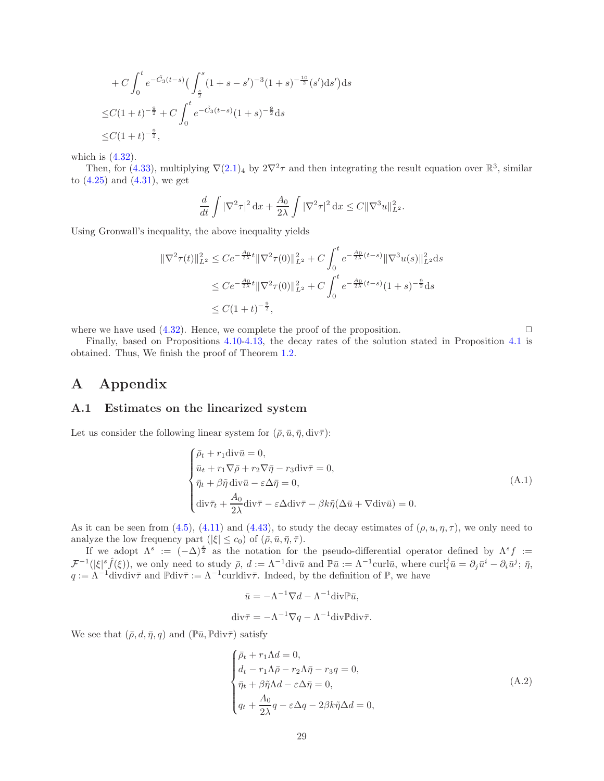+ C 
$$
\int_0^t e^{-\tilde{C}_3(t-s)} \left( \int_{\frac{s}{2}}^s (1+s-s')^{-3} (1+s)^{-\frac{10}{2}} (s') ds' \right) ds
$$
  
\n $\leq C (1+t)^{-\frac{9}{2}} + C \int_0^t e^{-\tilde{C}_3(t-s)} (1+s)^{-\frac{9}{2}} ds$   
\n $\leq C (1+t)^{-\frac{9}{2}},$ 

which is (4.[32\)](#page-25-5).

Then, for [\(4.33\)](#page-25-6), multiplying  $\nabla(2.1)_4$  $\nabla(2.1)_4$  $\nabla(2.1)_4$  by  $2\nabla^2 \tau$  and then integrating the result equation over  $\mathbb{R}^3$ , similar to  $(4.25)$  and  $(4.31)$ , we get

$$
\frac{d}{dt} \int |\nabla^2 \tau|^2 \, \mathrm{d}x + \frac{A_0}{2\lambda} \int |\nabla^2 \tau|^2 \, \mathrm{d}x \le C \|\nabla^3 u\|_{L^2}^2.
$$

Using Gronwall's inequality, the above inequality yields

$$
\begin{aligned} \|\nabla^2 \tau(t)\|_{L^2}^2 &\leq C e^{-\frac{A_0}{2\lambda}t} \|\nabla^2 \tau(0)\|_{L^2}^2 + C \int_0^t e^{-\frac{A_0}{2\lambda}(t-s)} \|\nabla^3 u(s)\|_{L^2}^2 \, \mathrm{d}s \\ &\leq C e^{-\frac{A_0}{2\lambda}t} \|\nabla^2 \tau(0)\|_{L^2}^2 + C \int_0^t e^{-\frac{A_0}{2\lambda}(t-s)} (1+s)^{-\frac{9}{2}} \, \mathrm{d}s \\ &\leq C (1+t)^{-\frac{9}{2}}, \end{aligned}
$$

where we have used  $(4.32)$  $(4.32)$ . Hence, we complete the proof of the proposition.  $\Box$ 

Finally, based on Propositions [4.10](#page-22-0)[-4.13,](#page-24-1) the decay rates of the solution stated in Proposition [4.1](#page-17-1) is obtained. Thus, We finish the proof of Theorem [1.2.](#page-3-1)

# A Appendix

### A.1 Estimates on the linearized system

Let us consider the following linear system for  $(\bar{\rho}, \bar{u}, \bar{\eta}, \text{div}\bar{\tau})$ :

<span id="page-28-0"></span>
$$
\begin{cases}\n\bar{\rho}_t + r_1 \operatorname{div} \bar{u} = 0, \\
\bar{u}_t + r_1 \nabla \bar{\rho} + r_2 \nabla \bar{\eta} - r_3 \operatorname{div} \bar{\tau} = 0, \\
\bar{\eta}_t + \beta \tilde{\eta} \operatorname{div} \bar{u} - \varepsilon \Delta \bar{\eta} = 0, \\
\operatorname{div} \bar{\tau}_t + \frac{A_0}{2\lambda} \operatorname{div} \bar{\tau} - \varepsilon \Delta \operatorname{div} \bar{\tau} - \beta k \tilde{\eta} (\Delta \bar{u} + \nabla \operatorname{div} \bar{u}) = 0.\n\end{cases} (A.1)
$$

As it can be seen from [\(4.5\)](#page-18-4), [\(4.11\)](#page-20-2) and [\(4.43\)](#page-27-1), to study the decay estimates of  $(\rho, u, \eta, \tau)$ , we only need to analyze the low frequency part  $(|\xi| \leq c_0)$  of  $(\bar{\rho}, \bar{u}, \bar{\eta}, \bar{\tau})$ .

If we adopt  $\Lambda^s := (-\Delta)^{\frac{s}{2}}$  as the notation for the pseudo-differential operator defined by  $\Lambda^s f :=$  $\mathcal{F}^{-1}(|\xi|^s \hat{f}(\xi))$ , we only need to study  $\bar{\rho}, d := \Lambda^{-1}$ div $\bar{u}$  and  $\mathbb{P}\bar{u} := \Lambda^{-1}$ curl $\bar{u}$ , where curl $i^j \bar{u} = \partial_j \bar{u}^i - \partial_i \bar{u}^j$ ;  $\bar{\eta}$ ,  $q := \Lambda^{-1}$ divdiv $\bar{\tau}$  and  $\mathbb{P}$ div $\bar{\tau} := \Lambda^{-1}$ curldiv $\bar{\tau}$ . Indeed, by the definition of  $\mathbb{P}$ , we have

$$
\bar{u} = -\Lambda^{-1} \nabla d - \Lambda^{-1} \text{div} \mathbb{P} \bar{u},
$$
  
div $\bar{\tau} = -\Lambda^{-1} \nabla q - \Lambda^{-1} \text{div} \mathbb{P} \text{div} \bar{\tau}.$ 

We see that  $(\bar{\rho}, d, \bar{\eta}, q)$  and  $(\mathbb{P}\bar{u}, \mathbb{P}div\bar{\tau})$  satisfy

<span id="page-28-1"></span>
$$
\begin{cases}\n\bar{\rho}_t + r_1 \Lambda d = 0, \\
d_t - r_1 \Lambda \bar{\rho} - r_2 \Lambda \bar{\eta} - r_3 q = 0, \\
\bar{\eta}_t + \beta \tilde{\eta} \Lambda d - \varepsilon \Delta \bar{\eta} = 0, \\
q_t + \frac{A_0}{2\lambda} q - \varepsilon \Delta q - 2\beta k \tilde{\eta} \Delta d = 0,\n\end{cases} \tag{A.2}
$$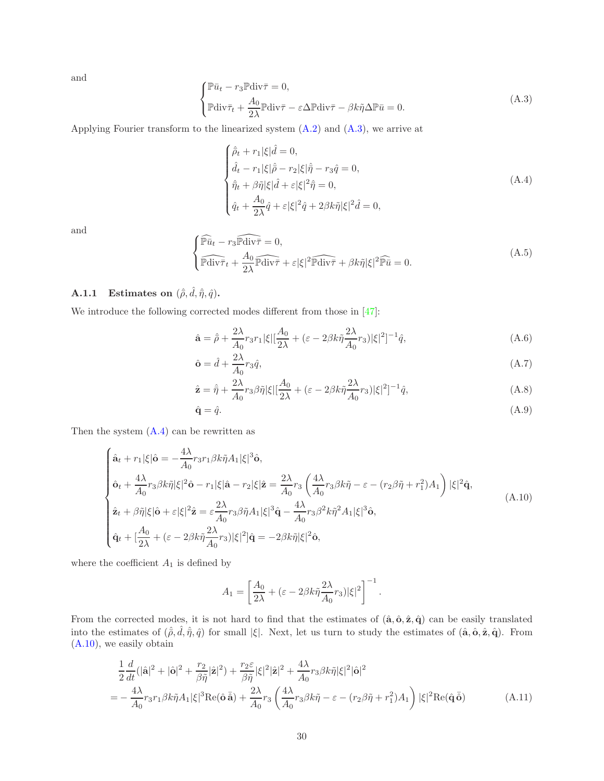and

<span id="page-29-0"></span>
$$
\begin{cases} \mathbb{P}\bar{u}_t - r_3 \mathbb{P} \text{div}\bar{\tau} = 0, \\ \mathbb{P} \text{div}\bar{\tau}_t + \frac{A_0}{2\lambda} \mathbb{P} \text{div}\bar{\tau} - \varepsilon \Delta \mathbb{P} \text{div}\bar{\tau} - \beta k \tilde{\eta} \Delta \mathbb{P}\bar{u} = 0. \end{cases}
$$
(A.3)

Applying Fourier transform to the linearized system  $(A.2)$  and  $(A.3)$ , we arrive at

<span id="page-29-1"></span>
$$
\begin{cases}\n\hat{\rho}_t + r_1|\xi|\hat{d} = 0, \\
\hat{d}_t - r_1|\xi|\hat{\rho} - r_2|\xi|\hat{\eta} - r_3\hat{q} = 0, \\
\hat{\eta}_t + \beta\hat{\eta}|\xi|\hat{d} + \varepsilon|\xi|^2\hat{\eta} = 0, \\
\hat{q}_t + \frac{A_0}{2\lambda}\hat{q} + \varepsilon|\xi|^2\hat{q} + 2\beta k \tilde{\eta}|\xi|^2\hat{d} = 0,\n\end{cases} (A.4)
$$

and

<span id="page-29-6"></span>
$$
\begin{cases} \widehat{\mathbb{P}u}_{t} - r_{3} \widehat{\mathbb{P} \text{div}\tau} = 0, \\ \widehat{\mathbb{P} \text{div}\tau}_{t} + \frac{A_{0}}{2\lambda} \widehat{\mathbb{P} \text{div}\tau} + \varepsilon |\xi|^{2} \widehat{\mathbb{P} \text{div}\tau} + \beta k \tilde{\eta} |\xi|^{2} \widehat{\mathbb{P}u} = 0. \end{cases}
$$
(A.5)

### **A.1.1** Estimates on  $(\hat{\bar{\rho}}, \hat{d}, \hat{\bar{\eta}}, \hat{q})$ .

We introduce the following corrected modes different from those in [\[47\]](#page-36-0):

<span id="page-29-4"></span>
$$
\hat{\mathbf{a}} = \hat{\rho} + \frac{2\lambda}{A_0} r_3 r_1 |\xi| \left[\frac{A_0}{2\lambda} + (\varepsilon - 2\beta k \tilde{\eta} \frac{2\lambda}{A_0} r_3)|\xi|^2\right]^{-1} \hat{q},\tag{A.6}
$$

$$
\hat{\mathbf{o}} = \hat{d} + \frac{2\lambda}{A_0} r_3 \hat{q},\tag{A.7}
$$

<span id="page-29-5"></span>
$$
\hat{\mathbf{z}} = \hat{\eta} + \frac{2\lambda}{A_0} r_3 \beta \tilde{\eta} |\xi| \left[ \frac{A_0}{2\lambda} + (\varepsilon - 2\beta k \tilde{\eta} \frac{2\lambda}{A_0} r_3) |\xi|^2 \right]^{-1} \hat{q},\tag{A.8}
$$

$$
\hat{\mathbf{q}} = \hat{q}.\tag{A.9}
$$

Then the system  $(A.4)$  can be rewritten as

<span id="page-29-2"></span>
$$
\begin{cases}\n\hat{\mathbf{a}}_t + r_1|\xi|\hat{\mathbf{o}} = -\frac{4\lambda}{A_0} r_3 r_1 \beta k \tilde{\eta} A_1 |\xi|^3 \hat{\mathbf{o}}, \\
\hat{\mathbf{o}}_t + \frac{4\lambda}{A_0} r_3 \beta k \tilde{\eta} |\xi|^2 \hat{\mathbf{o}} - r_1 |\xi|\hat{\mathbf{a}} - r_2 |\xi|\hat{\mathbf{z}} = \frac{2\lambda}{A_0} r_3 \left(\frac{4\lambda}{A_0} r_3 \beta k \tilde{\eta} - \varepsilon - (r_2 \beta \tilde{\eta} + r_1^2) A_1\right) |\xi|^2 \hat{\mathbf{q}}, \\
\hat{\mathbf{z}}_t + \beta \tilde{\eta} |\xi|\hat{\mathbf{o}} + \varepsilon |\xi|^2 \hat{\mathbf{z}} = \varepsilon \frac{2\lambda}{A_0} r_3 \beta \tilde{\eta} A_1 |\xi|^3 \hat{\mathbf{q}} - \frac{4\lambda}{A_0} r_3 \beta^2 k \tilde{\eta}^2 A_1 |\xi|^3 \hat{\mathbf{o}}, \\
\hat{\mathbf{q}}_t + \left[\frac{A_0}{2\lambda} + (\varepsilon - 2\beta k \tilde{\eta} \frac{2\lambda}{A_0} r_3) |\xi|^2 \right] \hat{\mathbf{q}} = -2\beta k \tilde{\eta} |\xi|^2 \hat{\mathbf{o}},\n\end{cases} (A.10)
$$

where the coefficient  $A_1$  is defined by

<span id="page-29-3"></span>
$$
A_1 = \left[\frac{A_0}{2\lambda} + (\varepsilon - 2\beta k \tilde{\eta} \frac{2\lambda}{A_0} r_3)|\xi|^2\right]^{-1}.
$$

From the corrected modes, it is not hard to find that the estimates of  $(\hat{a}, \hat{o}, \hat{z}, \hat{q})$  can be easily translated into the estimates of  $(\hat{\rho}, \hat{d}, \hat{\eta}, \hat{q})$  for small  $|\xi|$ . Next, let us turn to study the estimates of  $(\hat{\mathbf{a}}, \hat{\mathbf{o}}, \hat{\mathbf{z}}, \hat{\mathbf{q}})$ . From [\(A.10\)](#page-29-2), we easily obtain

$$
\frac{1}{2}\frac{d}{dt}(|\hat{\mathbf{a}}|^2 + |\hat{\mathbf{o}}|^2 + \frac{r_2}{\beta\tilde{\eta}}|\hat{\mathbf{z}}|^2) + \frac{r_2\varepsilon}{\beta\tilde{\eta}}|\xi|^2|\hat{\mathbf{z}}|^2 + \frac{4\lambda}{A_0}r_3\beta k\tilde{\eta}|\xi|^2|\hat{\mathbf{o}}|^2
$$
\n
$$
= -\frac{4\lambda}{A_0}r_3r_1\beta k\tilde{\eta}A_1|\xi|^3\text{Re}(\hat{\mathbf{o}}\,\tilde{\hat{\mathbf{a}}}) + \frac{2\lambda}{A_0}r_3\left(\frac{4\lambda}{A_0}r_3\beta k\tilde{\eta} - \varepsilon - (r_2\beta\tilde{\eta} + r_1^2)A_1\right)|\xi|^2\text{Re}(\hat{\mathbf{q}}\,\tilde{\mathbf{o}})
$$
\n(A.11)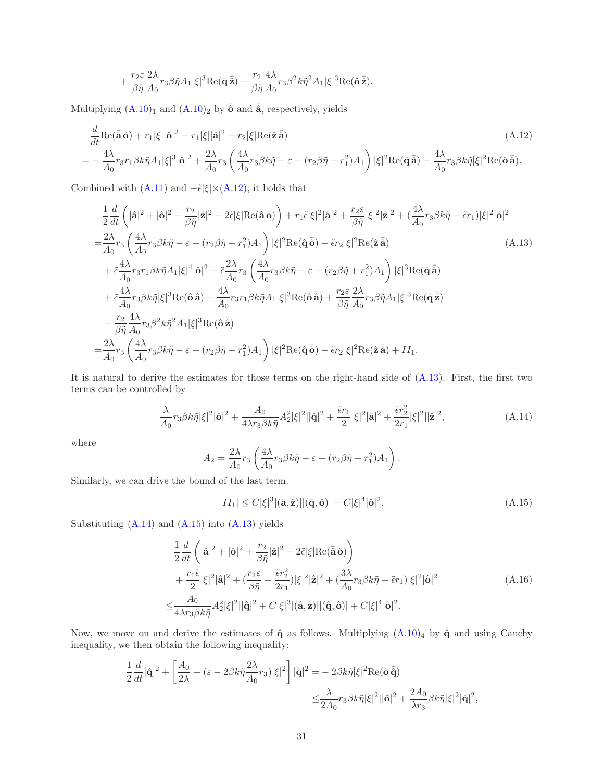<span id="page-30-0"></span>
$$
+\frac{r_2\varepsilon}{\beta\tilde\eta}\frac{2\lambda}{A_0}r_3\beta\tilde\eta A_1|\xi|^3\mathrm{Re}(\hat{\mathbf{q}}\,\bar{\hat{\mathbf{z}}})-\frac{r_2}{\beta\tilde\eta}\frac{4\lambda}{A_0}r_3\beta^2k\tilde\eta^2A_1|\xi|^3\mathrm{Re}(\hat{\mathbf{o}}\,\bar{\hat{\mathbf{z}}}).
$$

Multiplying  $(A.10)<sub>1</sub>$  and  $(A.10)<sub>2</sub>$  by  $\overline{o}$  and  $\overline{a}$ , respectively, yields

$$
\frac{d}{dt}\text{Re}(\tilde{\mathbf{a}}\,\hat{\mathbf{o}}) + r_1|\xi||\hat{\mathbf{o}}|^2 - r_1|\xi||\hat{\mathbf{a}}|^2 - r_2|\xi|\text{Re}(\hat{\mathbf{z}}\,\tilde{\mathbf{a}})
$$
\n
$$
= -\frac{4\lambda}{A_0}r_3r_1\beta k\tilde{\eta}A_1|\xi|^3|\hat{\mathbf{o}}|^2 + \frac{2\lambda}{A_0}r_3\left(\frac{4\lambda}{A_0}r_3\beta k\tilde{\eta} - \varepsilon - (r_2\beta\tilde{\eta} + r_1^2)A_1\right)|\xi|^2\text{Re}(\hat{\mathbf{q}}\,\tilde{\mathbf{a}}) - \frac{4\lambda}{A_0}r_3\beta k\tilde{\eta}|\xi|^2\text{Re}(\hat{\mathbf{o}}\,\tilde{\mathbf{a}}).
$$
\n(A.12)

Combined with [\(A.11\)](#page-29-3) and  $-\tilde{\epsilon}|\xi|\times(A.12)$  $-\tilde{\epsilon}|\xi|\times(A.12)$ , it holds that

$$
\frac{1}{2}\frac{d}{dt}\left(|\hat{\mathbf{a}}|^2+|\hat{\mathbf{o}}|^2+\frac{r_2}{\beta\tilde{\eta}}|\hat{\mathbf{z}}|^2-2\tilde{\epsilon}|\xi|\text{Re}(\bar{\hat{\mathbf{a}}}\hat{\mathbf{o}})\right)+r_1\tilde{\epsilon}|\xi|^2|\hat{\mathbf{a}}|^2+\frac{r_2\epsilon}{\beta\tilde{\eta}}|\xi|^2|\hat{\mathbf{z}}|^2+(\frac{4\lambda}{A_0}r_3\beta k\tilde{\eta}-\tilde{\epsilon}r_1)|\xi|^2|\hat{\mathbf{o}}|^2
$$
\n
$$
=\frac{2\lambda}{A_0}r_3\left(\frac{4\lambda}{A_0}r_3\beta k\tilde{\eta}-\varepsilon-(r_2\beta\tilde{\eta}+r_1^2)A_1\right)|\xi|^2\text{Re}(\hat{\mathbf{q}}\,\tilde{\mathbf{o}})-\tilde{\epsilon}r_2|\xi|^2\text{Re}(\hat{\mathbf{z}}\,\tilde{\mathbf{a}})
$$
\n
$$
+\tilde{\epsilon}\frac{4\lambda}{A_0}r_3r_1\beta k\tilde{\eta}A_1|\xi|^4|\hat{\mathbf{o}}|^2-\tilde{\epsilon}\frac{2\lambda}{A_0}r_3\left(\frac{4\lambda}{A_0}r_3\beta k\tilde{\eta}-\varepsilon-(r_2\beta\tilde{\eta}+r_1^2)A_1\right)|\xi|^3\text{Re}(\hat{\mathbf{q}}\,\tilde{\mathbf{a}})
$$
\n
$$
+\tilde{\epsilon}\frac{4\lambda}{A_0}r_3\beta k\tilde{\eta}|\xi|^3\text{Re}(\hat{\mathbf{o}}\,\tilde{\mathbf{a}})-\frac{4\lambda}{A_0}r_3r_1\beta k\tilde{\eta}A_1|\xi|^3\text{Re}(\hat{\mathbf{o}}\,\tilde{\mathbf{a}})+\frac{r_2\epsilon}{\beta\tilde{\eta}}\frac{2\lambda}{A_0}r_3\beta\tilde{\eta}A_1|\xi|^3\text{Re}(\hat{\mathbf{q}}\,\tilde{\mathbf{z}})
$$
\n
$$
-\frac{r_2}{\beta\tilde{\eta}}\frac{4\lambda}{A_0}r_3\beta^2 k\tilde{\eta}^2A_1|\xi|^3\text{Re}(\hat{\mathbf{o}}\,\tilde{\math
$$

It is natural to derive the estimates for those terms on the right-hand side of [\(A.13\)](#page-30-1). First, the first two terms can be controlled by

<span id="page-30-2"></span>
$$
\frac{\lambda}{A_0} r_3 \beta k \tilde{\eta} |\xi|^2 |\hat{\mathbf{o}}|^2 + \frac{A_0}{4\lambda r_3 \beta k \tilde{\eta}} A_2^2 |\xi|^2 ||\hat{\mathbf{q}}|^2 + \frac{\tilde{\epsilon} r_1}{2} |\xi|^2 |\hat{\mathbf{a}}|^2 + \frac{\tilde{\epsilon} r_2^2}{2r_1} |\xi|^2 ||\hat{\mathbf{z}}|^2,\tag{A.14}
$$

where

<span id="page-30-1"></span>
$$
A_2 = \frac{2\lambda}{A_0} r_3 \left( \frac{4\lambda}{A_0} r_3 \beta k \tilde{\eta} - \varepsilon - (r_2 \beta \tilde{\eta} + r_1^2) A_1 \right).
$$

Similarly, we can drive the bound of the last term.

<span id="page-30-4"></span><span id="page-30-3"></span>
$$
|II_1| \le C|\xi|^3|(\hat{\mathbf{a}}, \hat{\mathbf{z}})||(\hat{\mathbf{q}}, \hat{\mathbf{o}})| + C|\xi|^4|\hat{\mathbf{o}}|^2. \tag{A.15}
$$

Substituting  $(A.14)$  and  $(A.15)$  into  $(A.13)$  yields

$$
\frac{1}{2}\frac{d}{dt}\left(|\hat{\mathbf{a}}|^2+|\hat{\mathbf{o}}|^2+\frac{r_2}{\beta\tilde{\eta}}|\hat{\mathbf{z}}|^2-2\tilde{\epsilon}|\xi|\text{Re}(\bar{\hat{\mathbf{a}}}\,\hat{\mathbf{o}})\right) \n+\frac{r_1\tilde{\epsilon}}{2}|\xi|^2|\hat{\mathbf{a}}|^2+(\frac{r_2\epsilon}{\beta\tilde{\eta}}-\frac{\tilde{\epsilon}r_2^2}{2r_1})|\xi|^2|\hat{\mathbf{z}}|^2+(\frac{3\lambda}{A_0}r_3\beta k\tilde{\eta}-\tilde{\epsilon}r_1)|\xi|^2|\hat{\mathbf{o}}|^2 \n\leq \frac{A_0}{4\lambda r_3\beta k\tilde{\eta}}A_2^2|\xi|^2||\hat{\mathbf{q}}|^2+C|\xi|^3|(\hat{\mathbf{a}},\hat{\mathbf{z}})||(\hat{\mathbf{q}},\hat{\mathbf{o}})|+C|\xi|^4|\hat{\mathbf{o}}|^2.
$$
\n(A.16)

Now, we move on and derive the estimates of  $\hat{q}$  as follows. Multiplying  $(A.10)<sub>4</sub>$  by  $\overline{\hat{q}}$  and using Cauchy inequality, we then obtain the following inequality:

$$
\begin{split} \frac{1}{2}\frac{d}{dt}|\hat{\mathbf{q}}|^{2}+\left[\frac{A_{0}}{2\lambda}+(\varepsilon-2\beta k\tilde{\eta}\frac{2\lambda}{A_{0}}r_{3})|\xi|^{2}\right]|\hat{\mathbf{q}}|^{2} &=-2\beta k\tilde{\eta}|\xi|^{2}\mathrm{Re}(\hat{\mathbf{o}}\,\bar{\hat{\mathbf{q}}})\\ &\leq\!\frac{\lambda}{2A_{0}}r_{3}\beta k\tilde{\eta}|\xi|^{2}||\hat{\mathbf{o}}|^{2}+\frac{2A_{0}}{\lambda r_{3}}\beta k\tilde{\eta}|\xi|^{2}|\hat{\mathbf{q}}|^{2}, \end{split}
$$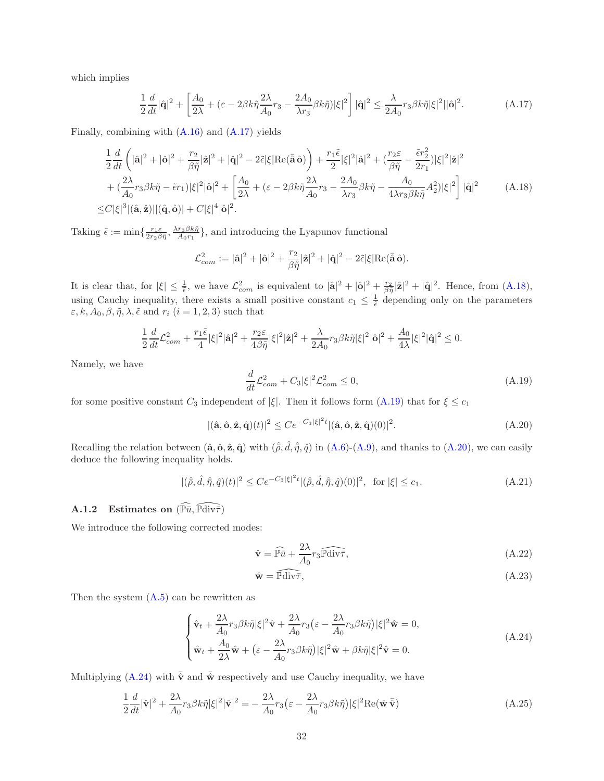which implies

$$
\frac{1}{2}\frac{d}{dt}|\hat{\mathbf{q}}|^2 + \left[\frac{A_0}{2\lambda} + (\varepsilon - 2\beta k \tilde{\eta}\frac{2\lambda}{A_0}r_3 - \frac{2A_0}{\lambda r_3}\beta k \tilde{\eta})|\xi|^2\right]|\hat{\mathbf{q}}|^2 \le \frac{\lambda}{2A_0}r_3\beta k \tilde{\eta}|\xi|^2||\hat{\mathbf{o}}|^2. \tag{A.17}
$$

Finally, combining with [\(A.16\)](#page-30-4) and [\(A.17\)](#page-31-0) yields

$$
\frac{1}{2}\frac{d}{dt}\left(|\hat{\mathbf{a}}|^2+|\hat{\mathbf{o}}|^2+\frac{r_2}{\beta\tilde{\eta}}|\hat{\mathbf{z}}|^2+|\hat{\mathbf{q}}|^2-2\tilde{\epsilon}|\xi|\text{Re}(\bar{\hat{\mathbf{a}}}\,\hat{\mathbf{o}})\right)+\frac{r_1\tilde{\epsilon}}{2}|\xi|^2|\hat{\mathbf{a}}|^2+(\frac{r_2\epsilon}{\beta\tilde{\eta}}-\frac{\tilde{\epsilon}r_2^2}{2r_1})|\xi|^2|\hat{\mathbf{z}}|^2+(\frac{2\lambda}{A_0}r_3\beta k\tilde{\eta}-\tilde{\epsilon}r_1)|\xi|^2|\hat{\mathbf{o}}|^2+\left[\frac{A_0}{2\lambda}+(\epsilon-2\beta k\tilde{\eta}\frac{2\lambda}{A_0}r_3-\frac{2A_0}{\lambda r_3}\beta k\tilde{\eta}-\frac{A_0}{4\lambda r_3\beta k\tilde{\eta}}A_2^2)|\xi|^2\right]|\hat{\mathbf{q}}|^2
$$
(A.18)  

$$
\leq C|\xi|^3|(\hat{\mathbf{a}},\hat{\mathbf{z}})||(\hat{\mathbf{q}},\hat{\mathbf{o}})|+C|\xi|^4|\hat{\mathbf{o}}|^2.
$$

Taking  $\tilde{\epsilon} := \min\{\frac{r_1 \varepsilon}{2r_2 \beta \tilde{\eta}}, \frac{\lambda r_3 \beta k \tilde{\eta}}{A_0 r_1}\}$ , and introducing the Lyapunov functional

<span id="page-31-1"></span><span id="page-31-0"></span>
$$
\mathcal{L}_{com}^2 := |\hat{\mathbf{a}}|^2 + |\hat{\mathbf{o}}|^2 + \frac{r_2}{\beta \tilde{\eta}} |\hat{\mathbf{z}}|^2 + |\hat{\mathbf{q}}|^2 - 2\tilde{\epsilon} |\xi| \text{Re}(\tilde{\mathbf{a}}\,\hat{\mathbf{o}}).
$$

It is clear that, for  $|\xi| \leq \frac{1}{\tilde{\epsilon}}$ , we have  $\mathcal{L}_{com}^2$  is equivalent to  $|\hat{\mathbf{a}}|^2 + |\hat{\mathbf{o}}|^2 + \frac{r_2}{\beta \tilde{\eta}} |\hat{\mathbf{z}}|^2 + |\hat{\mathbf{q}}|^2$ . Hence, from  $(A.18)$ , using Cauchy inequality, there exists a small positive constant  $c_1 \leq \frac{1}{\tilde{\epsilon}}$  depending only on the parameters  $\varepsilon, k, A_0, \beta, \tilde{\eta}, \lambda, \tilde{\epsilon}$  and  $r_i$   $(i = 1, 2, 3)$  such that

$$
\frac{1}{2}\frac{d}{dt}\mathcal{L}_{com}^2 + \frac{r_1\tilde{\epsilon}}{4}|\xi|^2|\hat{\mathbf{a}}|^2 + \frac{r_2\epsilon}{4\beta\tilde{\eta}}|\xi|^2|\hat{\mathbf{z}}|^2 + \frac{\lambda}{2A_0}r_3\beta k\tilde{\eta}|\xi|^2|\hat{\mathbf{o}}|^2 + \frac{A_0}{4\lambda}|\xi|^2|\hat{\mathbf{q}}|^2 \le 0.
$$

Namely, we have

<span id="page-31-2"></span>
$$
\frac{d}{dt}\mathcal{L}_{com}^2 + C_3|\xi|^2 \mathcal{L}_{com}^2 \le 0,
$$
\n(A.19)

for some positive constant  $C_3$  independent of  $|\xi|$ . Then it follows form  $(A.19)$  that for  $\xi \leq c_1$ 

<span id="page-31-3"></span> $|(\hat{\mathbf{a}}, \hat{\mathbf{o}}, \hat{\mathbf{z}}, \hat{\mathbf{q}})(t)|^2 \leq C e^{-C_3 |\xi|^2 t} |(\hat{\mathbf{a}}, \hat{\mathbf{o}}, \hat{\mathbf{z}}, \hat{\mathbf{q}})(0)|^2$  $(A.20)$ 

Recalling the relation between  $(\hat{\mathbf{a}}, \hat{\mathbf{o}}, \hat{\mathbf{z}}, \hat{\mathbf{q}})$  with  $(\hat{\rho}, \hat{d}, \hat{\eta}, \hat{q})$  in  $(A.6)-(A.9)$  $(A.6)-(A.9)$ , and thanks to  $(A.20)$ , we can easily deduce the following inequality holds.

<span id="page-31-8"></span>
$$
|(\hat{\rho}, \hat{d}, \hat{\eta}, \hat{q})(t)|^2 \le C e^{-C_3 |\xi|^2 t} |(\hat{\rho}, \hat{d}, \hat{\eta}, \hat{q})(0)|^2, \text{ for } |\xi| \le c_1.
$$
 (A.21)

### A.1.2 Estimates on  $(\widehat{\mathbb{P} \bar{u}}, \widehat{\mathbb{P} \text{div} \bar{\tau}})$

We introduce the following corrected modes:

<span id="page-31-6"></span>
$$
\hat{\mathbf{v}} = \widehat{\mathbb{P}\bar{u}} + \frac{2\lambda}{A_0} r_3 \widehat{\mathbb{P} \text{div}\tau},\tag{A.22}
$$

<span id="page-31-7"></span><span id="page-31-5"></span>
$$
\hat{\mathbf{w}} = \widehat{\mathbb{P} \text{div}\tau},\tag{A.23}
$$

Then the system  $(A.5)$  can be rewritten as

<span id="page-31-4"></span>
$$
\begin{cases}\n\hat{\mathbf{v}}_t + \frac{2\lambda}{A_0} r_3 \beta k \tilde{\eta} |\xi|^2 \hat{\mathbf{v}} + \frac{2\lambda}{A_0} r_3 (\varepsilon - \frac{2\lambda}{A_0} r_3 \beta k \tilde{\eta}) |\xi|^2 \hat{\mathbf{w}} = 0, \\
\hat{\mathbf{w}}_t + \frac{A_0}{2\lambda} \hat{\mathbf{w}} + (\varepsilon - \frac{2\lambda}{A_0} r_3 \beta k \tilde{\eta}) |\xi|^2 \hat{\mathbf{w}} + \beta k \tilde{\eta} |\xi|^2 \hat{\mathbf{v}} = 0.\n\end{cases} (A.24)
$$

Multiplying [\(A.24\)](#page-31-4) with  $\bar{\mathbf{v}}$  and  $\bar{\mathbf{w}}$  respectively and use Cauchy inequality, we have

$$
\frac{1}{2}\frac{d}{dt}|\hat{\mathbf{v}}|^2 + \frac{2\lambda}{A_0}r_3\beta k\tilde{\eta}|\xi|^2|\hat{\mathbf{v}}|^2 = -\frac{2\lambda}{A_0}r_3(\varepsilon - \frac{2\lambda}{A_0}r_3\beta k\tilde{\eta})|\xi|^2\text{Re}(\hat{\mathbf{w}}\,\bar{\hat{\mathbf{v}}})\tag{A.25}
$$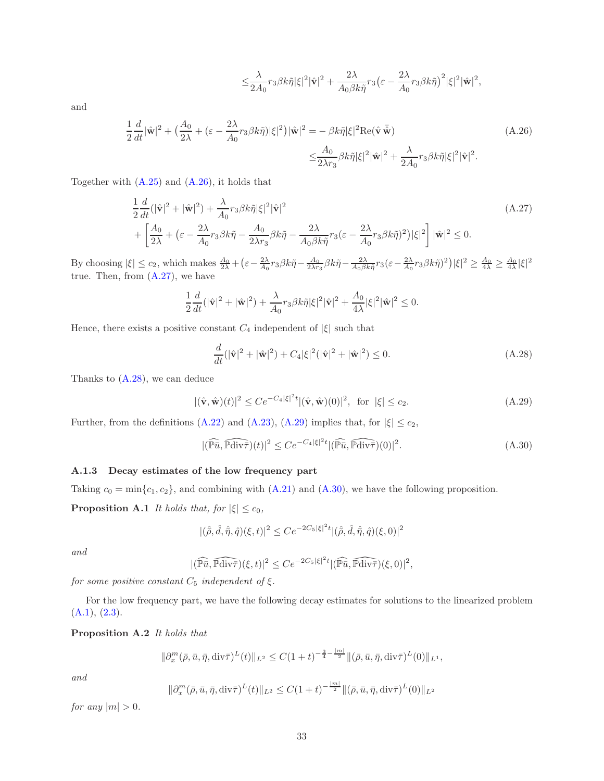<span id="page-32-2"></span><span id="page-32-1"></span>
$$
\leq \frac{\lambda}{2A_0}r_3\beta k \tilde{\eta}|\xi|^2|\hat{\mathbf{v}}|^2+\frac{2\lambda}{A_0\beta k \tilde{\eta}}r_3\big(\varepsilon-\frac{2\lambda}{A_0}r_3\beta k \tilde{\eta}\big)^2|\xi|^2|\hat{\mathbf{w}}|^2,
$$

and

$$
\frac{1}{2}\frac{d}{dt}|\hat{\mathbf{w}}|^2 + \left(\frac{A_0}{2\lambda} + (\varepsilon - \frac{2\lambda}{A_0}r_3\beta k\tilde{\eta})|\xi|^2\right)|\hat{\mathbf{w}}|^2 = -\beta k\tilde{\eta}|\xi|^2 \text{Re}(\hat{\mathbf{v}}\,\tilde{\hat{\mathbf{w}}})
$$
\n
$$
\leq \frac{A_0}{2\lambda r_3}\beta k\tilde{\eta}|\xi|^2|\hat{\mathbf{w}}|^2 + \frac{\lambda}{2A_0}r_3\beta k\tilde{\eta}|\xi|^2|\hat{\mathbf{v}}|^2.
$$
\n(A.26)

Together with [\(A.25\)](#page-31-5) and [\(A.26\)](#page-32-1), it holds that

$$
\frac{1}{2}\frac{d}{dt}(|\hat{\mathbf{v}}|^2 + |\hat{\mathbf{w}}|^2) + \frac{\lambda}{A_0}r_3\beta k\tilde{\eta}|\xi|^2|\hat{\mathbf{v}}|^2 \n+ \left[\frac{A_0}{2\lambda} + \left(\varepsilon - \frac{2\lambda}{A_0}r_3\beta k\tilde{\eta} - \frac{A_0}{2\lambda r_3}\beta k\tilde{\eta} - \frac{2\lambda}{A_0\beta k\tilde{\eta}}r_3(\varepsilon - \frac{2\lambda}{A_0}r_3\beta k\tilde{\eta})^2\right)|\xi|^2\right]|\hat{\mathbf{w}}|^2 \leq 0.
$$
\n(A.27)

By choosing  $|\xi| \le c_2$ , which makes  $\frac{A_0}{2\lambda} + \left(\varepsilon - \frac{2\lambda}{A_0} r_3 \beta k \tilde{\eta} - \frac{A_0}{2\lambda r_3} \beta k \tilde{\eta} - \frac{2\lambda}{A_0 \beta k \tilde{\eta}} r_3(\varepsilon - \frac{2\lambda}{A_0} r_3 \beta k \tilde{\eta})^2\right) |\xi|^2 \ge \frac{A_0}{4\lambda} \ge \frac{A_0}{4\lambda} |\xi|^2$ true. Then, from [\(A.27\)](#page-32-2), we have

$$
\frac{1}{2}\frac{d}{dt}(|\hat{\mathbf{v}}|^2+|\hat{\mathbf{w}}|^2)+\frac{\lambda}{A_0}r_3\beta k\tilde{\eta}|\xi|^2|\hat{\mathbf{v}}|^2+\frac{A_0}{4\lambda}|\xi|^2|\hat{\mathbf{w}}|^2\leq 0.
$$

Hence, there exists a positive constant  $C_4$  independent of  $|\xi|$  such that

<span id="page-32-3"></span>
$$
\frac{d}{dt}(|\hat{\mathbf{v}}|^2 + |\hat{\mathbf{w}}|^2) + C_4|\xi|^2(|\hat{\mathbf{v}}|^2 + |\hat{\mathbf{w}}|^2) \le 0.
$$
\n(A.28)

Thanks to [\(A.28\)](#page-32-3), we can deduce

<span id="page-32-4"></span>
$$
|(\hat{\mathbf{v}}, \hat{\mathbf{w}})(t)|^2 \le Ce^{-C_4|\xi|^2 t} |(\hat{\mathbf{v}}, \hat{\mathbf{w}})(0)|^2, \text{ for } |\xi| \le c_2.
$$
 (A.29)

Further, from the definitions [\(A.22\)](#page-31-6) and [\(A.23\)](#page-31-7), [\(A.29\)](#page-32-4) implies that, for  $|\xi| \leq c_2$ ,

<span id="page-32-5"></span>
$$
|(\widehat{\mathbb{P}u}, \widehat{\mathbb{P}div\tau})(t)|^2 \le Ce^{-C_4|\xi|^2t} |(\widehat{\mathbb{P}u}, \widehat{\mathbb{P}div\tau})(0)|^2.
$$
 (A.30)

### A.1.3 Decay estimates of the low frequency part

Taking  $c_0 = \min\{c_1, c_2\}$ , and combining with  $(A.21)$  and  $(A.30)$ , we have the following proposition.

**Proposition A.1** It holds that, for  $|\xi| \leq c_0$ ,

<span id="page-32-6"></span>
$$
|(\hat{\rho}, \hat{d}, \hat{\eta}, \hat{q})(\xi, t)|^2 \leq C e^{-2C_5|\xi|^2 t} |(\hat{\rho}, \hat{d}, \hat{\eta}, \hat{q})(\xi, 0)|^2
$$

and

$$
|(\widehat{\mathbb{P} \bar u},\widehat{\mathbb{P} \text{div} \bar \tau})(\xi,t)|^2\leq Ce^{-2C_5|\xi|^2t}|(\widehat{\mathbb{P} \bar u},\widehat{\mathbb{P} \text{div} \bar \tau})(\xi,0)|^2,
$$

for some positive constant  $C_5$  independent of  $\xi.$ 

<span id="page-32-0"></span>For the low frequency part, we have the following decay estimates for solutions to the linearized problem  $(A.1), (2.3).$  $(A.1), (2.3).$  $(A.1), (2.3).$  $(A.1), (2.3).$ 

Proposition A.2 It holds that

$$
\|\partial_x^m(\bar{\rho}, \bar{u}, \bar{\eta}, \mathrm{div}\bar{\tau})^L(t)\|_{L^2} \le C(1+t)^{-\frac{3}{4}-\frac{|m|}{2}} \|(\bar{\rho}, \bar{u}, \bar{\eta}, \mathrm{div}\bar{\tau})^L(0)\|_{L^1},
$$

and

$$
\|\partial_x^m(\bar{\rho}, \bar{u}, \bar{\eta}, \text{div}\bar{\tau})^L(t)\|_{L^2} \le C(1+t)^{-\frac{|m|}{2}} \|(\bar{\rho}, \bar{u}, \bar{\eta}, \text{div}\bar{\tau})^L(0)\|_{L^2}
$$

for any  $|m| > 0$ .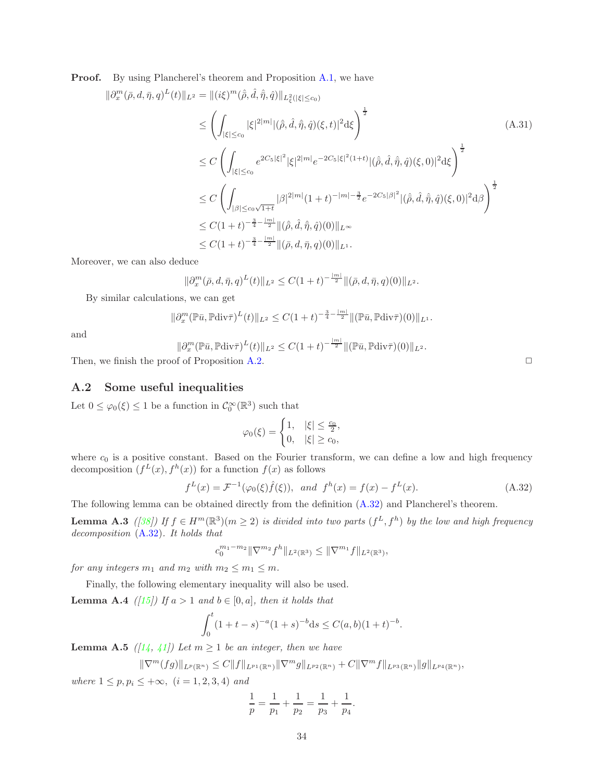**Proof.** By using Plancherel's theorem and Proposition [A.1,](#page-32-6) we have

$$
\|\partial_x^m(\bar{\rho}, d, \bar{\eta}, q)^L(t)\|_{L^2} = \|(\mathrm{i}\xi)^m(\hat{\rho}, \hat{d}, \hat{\eta}, \hat{q})\|_{L^2_{\xi}(|\xi| \le c_0)}
$$
\n
$$
\leq \left(\int_{|\xi| \le c_0} |\xi|^{2|m|} |(\hat{\rho}, \hat{d}, \hat{\eta}, \hat{q})(\xi, t)|^2 \mathrm{d}\xi\right)^{\frac{1}{2}}
$$
\n
$$
\leq C \left(\int_{|\xi| \le c_0} e^{2C_5|\xi|^2} |\xi|^{2|m|} e^{-2C_5|\xi|^2(1+t)} |(\hat{\rho}, \hat{d}, \hat{\eta}, \hat{q})(\xi, 0)|^2 \mathrm{d}\xi\right)^{\frac{1}{2}}
$$
\n
$$
\leq C \left(\int_{|\beta| \le c_0 \sqrt{1+t}} |\beta|^{2|m|} (1+t)^{-|m|-\frac{3}{2}} e^{-2C_5|\beta|^2} |(\hat{\rho}, \hat{d}, \hat{\eta}, \hat{q})(\xi, 0)|^2 \mathrm{d}\beta\right)^{\frac{1}{2}}
$$
\n
$$
\leq C(1+t)^{-\frac{3}{4}-\frac{|m|}{2}} \|(\hat{\rho}, \hat{d}, \hat{\eta}, \hat{q})(0)\|_{L^\infty}
$$
\n
$$
\leq C(1+t)^{-\frac{3}{4}-\frac{|m|}{2}} \|(\bar{\rho}, d, \bar{\eta}, q)(0)\|_{L^1}.
$$
\n(A.31)

Moreover, we can also deduce

$$
\|\partial_x^m(\bar{\rho}, d, \bar{\eta}, q)^L(t)\|_{L^2} \le C(1+t)^{-\frac{|m|}{2}} \|(\bar{\rho}, d, \bar{\eta}, q)(0)\|_{L^2}.
$$

By similar calculations, we can get

$$
\|\partial_x^m(\mathbb{P}\bar{u},\mathbb{P} \text{div}\bar{\tau})^L(t)\|_{L^2} \leq C(1+t)^{-\frac{3}{4}-\frac{|m|}{2}} \|(\mathbb{P}\bar{u},\mathbb{P} \text{div}\bar{\tau})(0)\|_{L^1}.
$$

and

$$
\|\partial_x^m(\mathbb{P}\bar{u},\mathbb{P}\text{div}\bar{\tau})^L(t)\|_{L^2}\leq C(1+t)^{-\frac{|m|}{2}}\|(\mathbb{P}\bar{u},\mathbb{P}\text{div}\bar{\tau})(0)\|_{L^2}.
$$

Then, we finish the proof of Proposition [A.2.](#page-32-0)  $\Box$ 

#### A.2 Some useful inequalities

Let  $0 \leq \varphi_0(\xi) \leq 1$  be a function in  $C_0^{\infty}(\mathbb{R}^3)$  such that

$$
\varphi_0(\xi) = \begin{cases} 1, & |\xi| \le \frac{c_0}{2}, \\ 0, & |\xi| \ge c_0, \end{cases}
$$

where  $c_0$  is a positive constant. Based on the Fourier transform, we can define a low and high frequency decomposition  $(f^L(x), f^h(x))$  for a function  $f(x)$  as follows

<span id="page-33-2"></span>
$$
f^{L}(x) = \mathcal{F}^{-1}(\varphi_{0}(\xi)\hat{f}(\xi)), \text{ and } f^{h}(x) = f(x) - f^{L}(x). \tag{A.32}
$$

<span id="page-33-1"></span>The following lemma can be obtained directly from the definition [\(A.32\)](#page-33-2) and Plancherel's theorem.

**Lemma A.3** ([\[38\]](#page-35-18)) If  $f \in H^m(\mathbb{R}^3)(m \geq 2)$  is divided into two parts  $(f^L, f^h)$  by the low and high frequency decomposition [\(A.32\)](#page-33-2). It holds that

$$
c_0^{m_1-m_2} \|\nabla^{m_2} f^h\|_{L^2(\mathbb{R}^3)} \le \|\nabla^{m_1} f\|_{L^2(\mathbb{R}^3)},
$$

for any integers  $m_1$  and  $m_2$  with  $m_2 \le m_1 \le m$ .

Finally, the following elementary inequality will also be used.

**Lemma A.4** ([\[15\]](#page-34-16)) If  $a > 1$  and  $b \in [0, a]$ , then it holds that

$$
\int_0^t (1+t-s)^{-a}(1+s)^{-b}ds \le C(a,b)(1+t)^{-b}.
$$

<span id="page-33-0"></span>**Lemma A.5** ([\[14,](#page-34-17) [41\]](#page-36-13)) Let  $m \geq 1$  be an integer, then we have

$$
\|\nabla^m(fg)\|_{L^p(\mathbb{R}^n)} \leq C\|f\|_{L^{p_1}(\mathbb{R}^n)}\|\nabla^m g\|_{L^{p_2}(\mathbb{R}^n)} + C\|\nabla^m f\|_{L^{p_3}(\mathbb{R}^n)}\|g\|_{L^{p_4}(\mathbb{R}^n)},
$$

where  $1 \le p, p_i \le +\infty$ ,  $(i = 1, 2, 3, 4)$  and

$$
\frac{1}{p} = \frac{1}{p_1} + \frac{1}{p_2} = \frac{1}{p_3} + \frac{1}{p_4}.
$$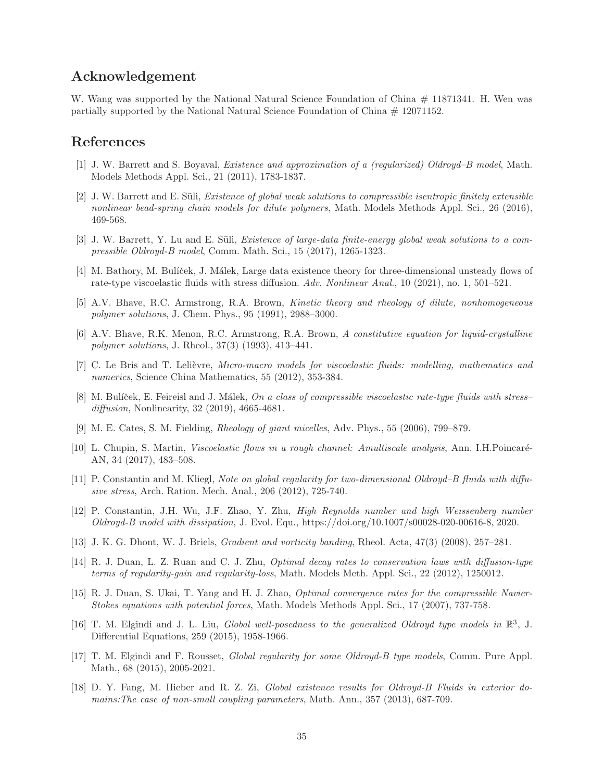# Acknowledgement

W. Wang was supported by the National Natural Science Foundation of China  $\#$  11871341. H. Wen was partially supported by the National Natural Science Foundation of China # 12071152.

# <span id="page-34-9"></span>References

- <span id="page-34-2"></span>[1] J. W. Barrett and S. Boyaval, *Existence and approximation of a (regularized) Oldroyd–B model*, Math. Models Methods Appl. Sci., 21 (2011), 1783-1837.
- [2] J. W. Barrett and E. Süli, *Existence of global weak solutions to compressible isentropic finitely extensible* nonlinear bead-spring chain models for dilute polymers, Math. Models Methods Appl. Sci., 26 (2016), 469-568.
- <span id="page-34-1"></span>[3] J. W. Barrett, Y. Lu and E. Süli, *Existence of large-data finite-energy global weak solutions to a com*pressible Oldroyd-B model, Comm. Math. Sci., 15 (2017), 1265-1323.
- <span id="page-34-11"></span>[4] M. Bathory, M. Bulíček, J. Málek, Large data existence theory for three-dimensional unsteady flows of rate-type viscoelastic fluids with stress diffusion. Adv. Nonlinear Anal., 10 (2021), no. 1, 501–521.
- <span id="page-34-5"></span><span id="page-34-3"></span>[5] A.V. Bhave, R.C. Armstrong, R.A. Brown, Kinetic theory and rheology of dilute, nonhomogeneous polymer solutions, J. Chem. Phys., 95 (1991), 2988–3000.
- [6] A.V. Bhave, R.K. Menon, R.C. Armstrong, R.A. Brown, A constitutive equation for liquid-crystalline polymer solutions, J. Rheol., 37(3) (1993), 413–441.
- <span id="page-34-0"></span>[7] C. Le Bris and T. Lelièvre, Micro-macro models for viscoelastic fluids: modelling, mathematics and numerics, Science China Mathematics, 55 (2012), 353-384.
- <span id="page-34-15"></span>[8] M. Bulíček, E. Feireisl and J. Málek, On a class of compressible viscoelastic rate-type fluids with stress– diffusion, Nonlinearity, 32 (2019), 4665-4681.
- <span id="page-34-7"></span><span id="page-34-6"></span>[9] M. E. Cates, S. M. Fielding, Rheology of giant micelles, Adv. Phys., 55 (2006), 799–879.
- [10] L. Chupin, S. Martin, Viscoelastic flows in a rough channel: Amultiscale analysis, Ann. I.H.Poincar´e-AN, 34 (2017), 483–508.
- <span id="page-34-10"></span>[11] P. Constantin and M. Kliegl, Note on global regularity for two-dimensional Oldroyd–B fluids with diffusive stress, Arch. Ration. Mech. Anal., 206 (2012), 725-740.
- <span id="page-34-14"></span>[12] P. Constantin, J.H. Wu, J.F. Zhao, Y. Zhu, High Reynolds number and high Weissenberg number Oldroyd-B model with dissipation, J. Evol. Equ., https://doi.org/10.1007/s00028-020-00616-8, 2020.
- <span id="page-34-17"></span><span id="page-34-8"></span>[13] J. K. G. Dhont, W. J. Briels, Gradient and vorticity banding, Rheol. Acta, 47(3) (2008), 257–281.
- [14] R. J. Duan, L. Z. Ruan and C. J. Zhu, Optimal decay rates to conservation laws with diffusion-type terms of regularity-gain and regularity-loss, Math. Models Meth. Appl. Sci., 22 (2012), 1250012.
- <span id="page-34-16"></span>[15] R. J. Duan, S. Ukai, T. Yang and H. J. Zhao, Optimal convergence rates for the compressible Navier-Stokes equations with potential forces, Math. Models Methods Appl. Sci., 17 (2007), 737-758.
- <span id="page-34-13"></span>[16] T. M. Elgindi and J. L. Liu, Global well-posedness to the generalized Oldroyd type models in  $\mathbb{R}^3$ , J. Differential Equations, 259 (2015), 1958-1966.
- <span id="page-34-12"></span>[17] T. M. Elgindi and F. Rousset, Global regularity for some Oldroyd-B type models, Comm. Pure Appl. Math., 68 (2015), 2005-2021.
- <span id="page-34-4"></span>[18] D. Y. Fang, M. Hieber and R. Z. Zi, Global existence results for Oldroyd-B Fluids in exterior domains:The case of non-small coupling parameters, Math. Ann., 357 (2013), 687-709.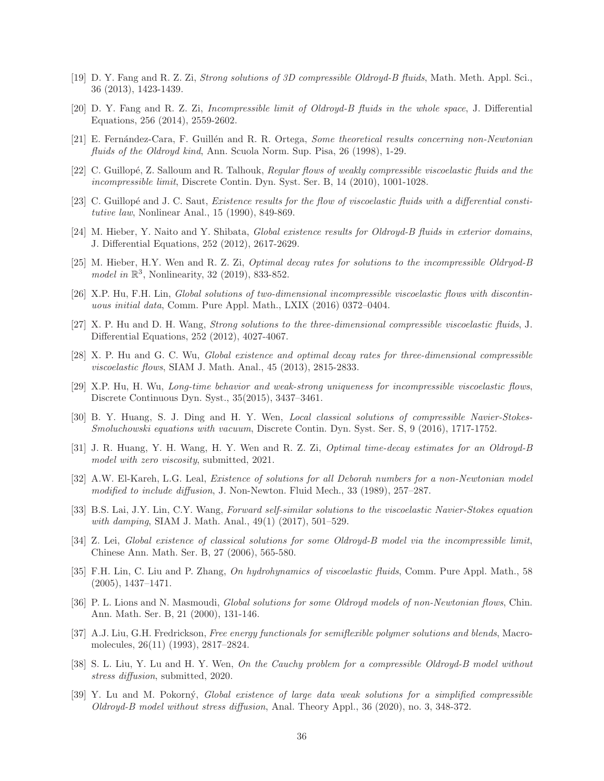- <span id="page-35-16"></span><span id="page-35-12"></span>[19] D. Y. Fang and R. Z. Zi, Strong solutions of 3D compressible Oldroyd-B fluids, Math. Meth. Appl. Sci., 36 (2013), 1423-1439.
- [20] D. Y. Fang and R. Z. Zi, Incompressible limit of Oldroyd-B fluids in the whole space, J. Differential Equations, 256 (2014), 2559-2602.
- <span id="page-35-17"></span><span id="page-35-1"></span>[21] E. Fernández-Cara, F. Guillén and R. R. Ortega, Some theoretical results concerning non-Newtonian fluids of the Oldroyd kind, Ann. Scuola Norm. Sup. Pisa, 26 (1998), 1-29.
- <span id="page-35-0"></span>[22] C. Guillopé, Z. Salloum and R. Talhouk, Regular flows of weakly compressible viscoelastic fluids and the incompressible limit, Discrete Contin. Dyn. Syst. Ser. B, 14 (2010), 1001-1028.
- [23] C. Guillopé and J. C. Saut, Existence results for the flow of viscoelastic fluids with a differential constitutive law, Nonlinear Anal., 15 (1990), 849-869.
- <span id="page-35-4"></span><span id="page-35-2"></span>[24] M. Hieber, Y. Naito and Y. Shibata, *Global existence results for Oldroyd-B fluids in exterior domains*, J. Differential Equations, 252 (2012), 2617-2629.
- [25] M. Hieber, H.Y. Wen and R. Z. Zi, Optimal decay rates for solutions to the incompressible Oldryod-B model in  $\mathbb{R}^3$ , Nonlinearity, 32 (2019), 833-852.
- <span id="page-35-13"></span><span id="page-35-7"></span>[26] X.P. Hu, F.H. Lin, Global solutions of two-dimensional incompressible viscoelastic flows with discontinuous initial data, Comm. Pure Appl. Math., LXIX (2016) 0372–0404.
- [27] X. P. Hu and D. H. Wang, Strong solutions to the three-dimensional compressible viscoelastic fluids, J. Differential Equations, 252 (2012), 4027-4067.
- <span id="page-35-14"></span><span id="page-35-8"></span>[28] X. P. Hu and G. C. Wu, Global existence and optimal decay rates for three-dimensional compressible viscoelastic flows, SIAM J. Math. Anal., 45 (2013), 2815-2833.
- [29] X.P. Hu, H. Wu, Long-time behavior and weak-strong uniqueness for incompressible viscoelastic flows, Discrete Continuous Dyn. Syst., 35(2015), 3437–3461.
- <span id="page-35-20"></span>[30] B. Y. Huang, S. J. Ding and H. Y. Wen, Local classical solutions of compressible Navier-Stokes-Smoluchowski equations with vacuum, Discrete Contin. Dyn. Syst. Ser. S, 9 (2016), 1717-1752.
- <span id="page-35-5"></span>[31] J. R. Huang, Y. H. Wang, H. Y. Wen and R. Z. Zi, Optimal time-decay estimates for an Oldroyd-B model with zero viscosity, submitted, 2021.
- <span id="page-35-10"></span>[32] A.W. El-Kareh, L.G. Leal, Existence of solutions for all Deborah numbers for a non-Newtonian model modified to include diffusion, J. Non-Newton. Fluid Mech., 33 (1989), 257–287.
- <span id="page-35-9"></span>[33] B.S. Lai, J.Y. Lin, C.Y. Wang, Forward self-similar solutions to the viscoelastic Navier-Stokes equation with damping, SIAM J. Math. Anal., 49(1) (2017), 501–529.
- <span id="page-35-15"></span>[34] Z. Lei, Global existence of classical solutions for some Oldroyd-B model via the incompressible limit, Chinese Ann. Math. Ser. B, 27 (2006), 565-580.
- <span id="page-35-6"></span>[35] F.H. Lin, C. Liu and P. Zhang, On hydrohynamics of viscoelastic fluids, Comm. Pure Appl. Math., 58 (2005), 1437–1471.
- <span id="page-35-3"></span>[36] P. L. Lions and N. Masmoudi, Global solutions for some Oldroyd models of non-Newtonian flows, Chin. Ann. Math. Ser. B, 21 (2000), 131-146.
- <span id="page-35-11"></span>[37] A.J. Liu, G.H. Fredrickson, Free energy functionals for semiflexible polymer solutions and blends, Macromolecules, 26(11) (1993), 2817–2824.
- <span id="page-35-18"></span>[38] S. L. Liu, Y. Lu and H. Y. Wen, On the Cauchy problem for a compressible Oldroyd-B model without stress diffusion, submitted, 2020.
- <span id="page-35-19"></span>[39] Y. Lu and M. Pokorn´y, Global existence of large data weak solutions for a simplified compressible Oldroyd-B model without stress diffusion, Anal. Theory Appl., 36 (2020), no. 3, 348-372.